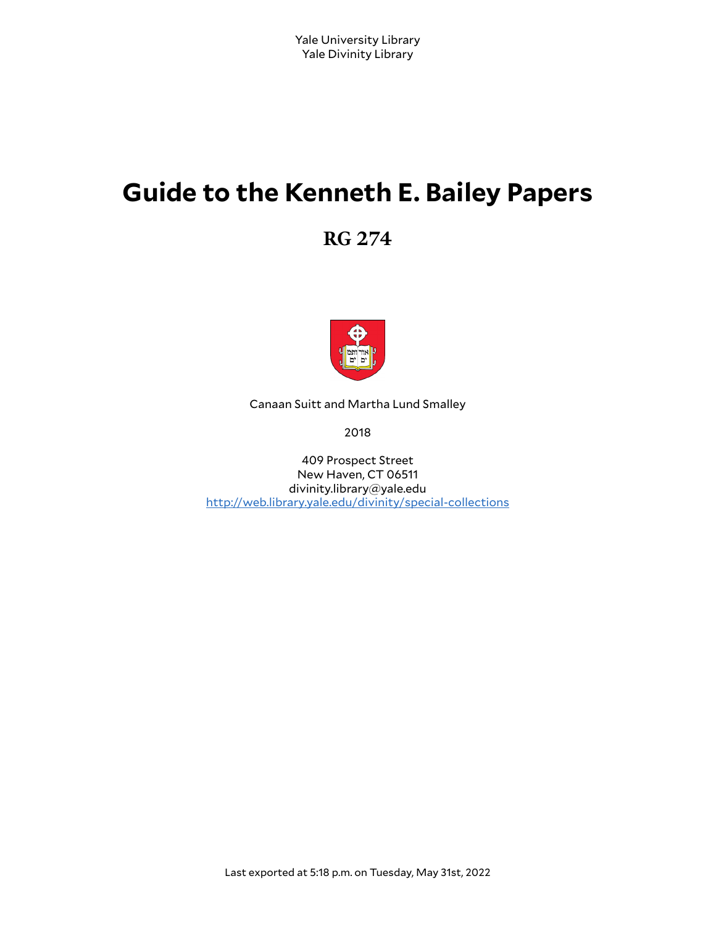# **Guide to the Kenneth E. Bailey Papers**

**RG 274**



Canaan Suitt and Martha Lund Smalley

2018

409 Prospect Street New Haven, CT 06511 divinity.library@yale.edu <http://web.library.yale.edu/divinity/special-collections>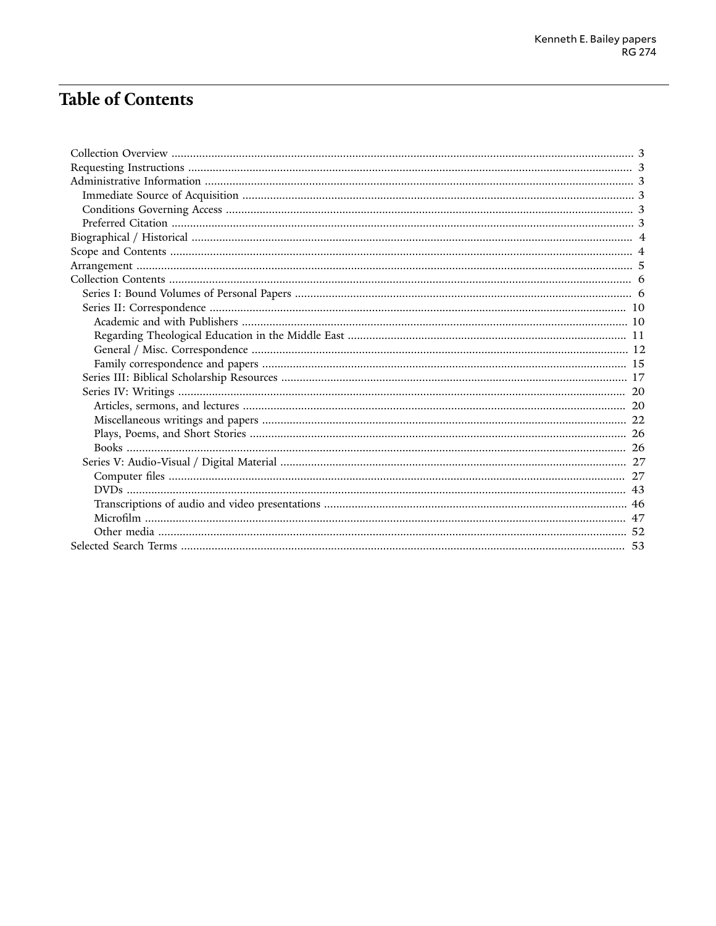# **Table of Contents**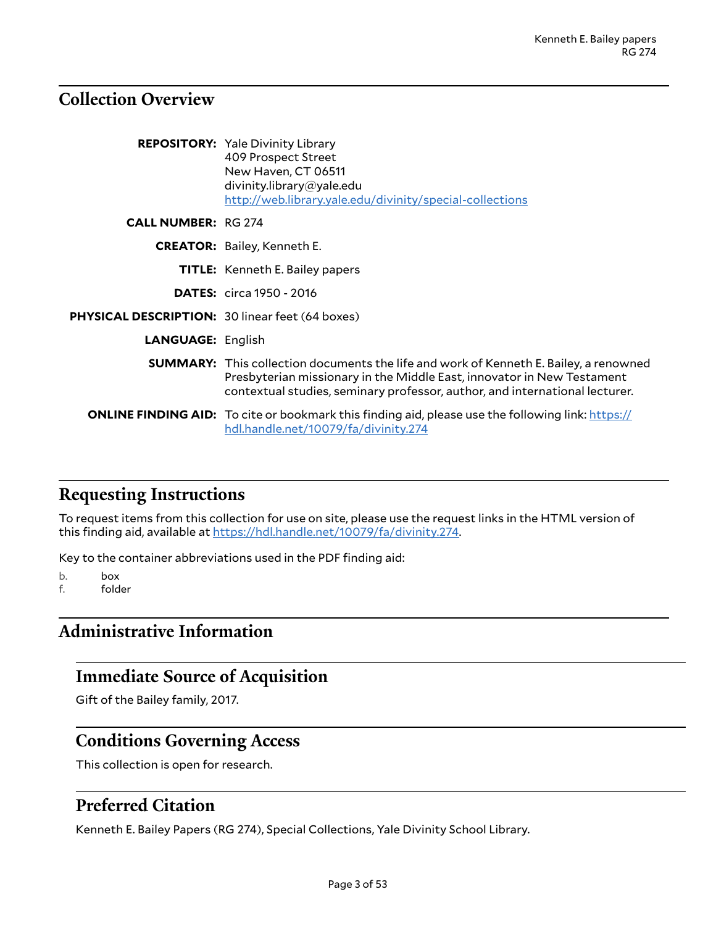### <span id="page-2-0"></span>**Collection Overview**

|                                                        | <b>REPOSITORY:</b> Yale Divinity Library<br>409 Prospect Street<br>New Haven, CT 06511<br>divinity.library@yale.edu<br>http://web.library.yale.edu/divinity/special-collections                                                                       |
|--------------------------------------------------------|-------------------------------------------------------------------------------------------------------------------------------------------------------------------------------------------------------------------------------------------------------|
| <b>CALL NUMBER: RG 274</b>                             |                                                                                                                                                                                                                                                       |
|                                                        | <b>CREATOR:</b> Bailey, Kenneth E.                                                                                                                                                                                                                    |
|                                                        | <b>TITLE:</b> Kenneth E. Bailey papers                                                                                                                                                                                                                |
|                                                        | <b>DATES:</b> circa 1950 - 2016                                                                                                                                                                                                                       |
| <b>PHYSICAL DESCRIPTION: 30 linear feet (64 boxes)</b> |                                                                                                                                                                                                                                                       |
| <b>LANGUAGE: English</b>                               |                                                                                                                                                                                                                                                       |
|                                                        | <b>SUMMARY:</b> This collection documents the life and work of Kenneth E. Bailey, a renowned<br>Presbyterian missionary in the Middle East, innovator in New Testament<br>contextual studies, seminary professor, author, and international lecturer. |
|                                                        | <b>ONLINE FINDING AID:</b> To cite or bookmark this finding aid, please use the following link: https://<br>hdl.handle.net/10079/fa/divinity.274                                                                                                      |

### <span id="page-2-1"></span>**Requesting Instructions**

To request items from this collection for use on site, please use the request links in the HTML version of this finding aid, available at [https://hdl.handle.net/10079/fa/divinity.274.](https://hdl.handle.net/10079/fa/divinity.274)

Key to the container abbreviations used in the PDF finding aid:

b. box

f. folder

# <span id="page-2-2"></span>**Administrative Information**

### <span id="page-2-3"></span>**Immediate Source of Acquisition**

Gift of the Bailey family, 2017.

### <span id="page-2-4"></span>**Conditions Governing Access**

This collection is open for research.

### <span id="page-2-5"></span>**Preferred Citation**

Kenneth E. Bailey Papers (RG 274), Special Collections, Yale Divinity School Library.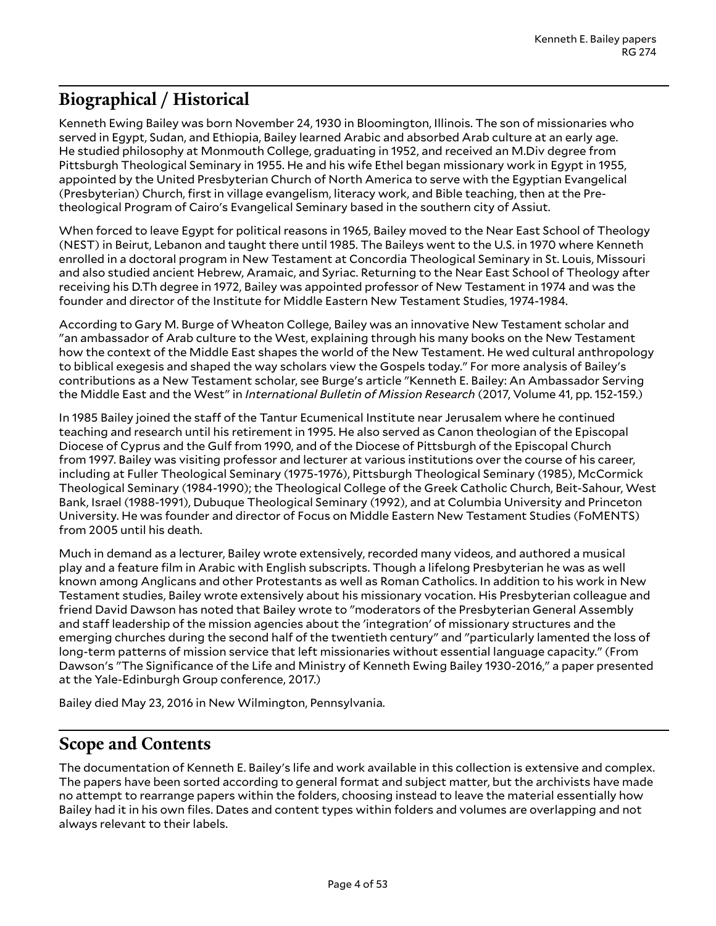# <span id="page-3-0"></span>**Biographical / Historical**

Kenneth Ewing Bailey was born November 24, 1930 in Bloomington, Illinois. The son of missionaries who served in Egypt, Sudan, and Ethiopia, Bailey learned Arabic and absorbed Arab culture at an early age. He studied philosophy at Monmouth College, graduating in 1952, and received an M.Div degree from Pittsburgh Theological Seminary in 1955. He and his wife Ethel began missionary work in Egypt in 1955, appointed by the United Presbyterian Church of North America to serve with the Egyptian Evangelical (Presbyterian) Church, first in village evangelism, literacy work, and Bible teaching, then at the Pretheological Program of Cairo's Evangelical Seminary based in the southern city of Assiut.

When forced to leave Egypt for political reasons in 1965, Bailey moved to the Near East School of Theology (NEST) in Beirut, Lebanon and taught there until 1985. The Baileys went to the U.S. in 1970 where Kenneth enrolled in a doctoral program in New Testament at Concordia Theological Seminary in St. Louis, Missouri and also studied ancient Hebrew, Aramaic, and Syriac. Returning to the Near East School of Theology after receiving his D.Th degree in 1972, Bailey was appointed professor of New Testament in 1974 and was the founder and director of the Institute for Middle Eastern New Testament Studies, 1974-1984.

According to Gary M. Burge of Wheaton College, Bailey was an innovative New Testament scholar and "an ambassador of Arab culture to the West, explaining through his many books on the New Testament how the context of the Middle East shapes the world of the New Testament. He wed cultural anthropology to biblical exegesis and shaped the way scholars view the Gospels today." For more analysis of Bailey's contributions as a New Testament scholar, see Burge's article "Kenneth E. Bailey: An Ambassador Serving the Middle East and the West" in *International Bulletin of Mission Research* (2017, Volume 41, pp. 152-159.)

In 1985 Bailey joined the staff of the Tantur Ecumenical Institute near Jerusalem where he continued teaching and research until his retirement in 1995. He also served as Canon theologian of the Episcopal Diocese of Cyprus and the Gulf from 1990, and of the Diocese of Pittsburgh of the Episcopal Church from 1997. Bailey was visiting professor and lecturer at various institutions over the course of his career, including at Fuller Theological Seminary (1975-1976), Pittsburgh Theological Seminary (1985), McCormick Theological Seminary (1984-1990); the Theological College of the Greek Catholic Church, Beit-Sahour, West Bank, Israel (1988-1991), Dubuque Theological Seminary (1992), and at Columbia University and Princeton University. He was founder and director of Focus on Middle Eastern New Testament Studies (FoMENTS) from 2005 until his death.

Much in demand as a lecturer, Bailey wrote extensively, recorded many videos, and authored a musical play and a feature film in Arabic with English subscripts. Though a lifelong Presbyterian he was as well known among Anglicans and other Protestants as well as Roman Catholics. In addition to his work in New Testament studies, Bailey wrote extensively about his missionary vocation. His Presbyterian colleague and friend David Dawson has noted that Bailey wrote to "moderators of the Presbyterian General Assembly and staff leadership of the mission agencies about the 'integration' of missionary structures and the emerging churches during the second half of the twentieth century" and "particularly lamented the loss of long-term patterns of mission service that left missionaries without essential language capacity." (From Dawson's "The Significance of the Life and Ministry of Kenneth Ewing Bailey 1930-2016," a paper presented at the Yale-Edinburgh Group conference, 2017.)

Bailey died May 23, 2016 in New Wilmington, Pennsylvania.

### <span id="page-3-1"></span>**Scope and Contents**

The documentation of Kenneth E. Bailey's life and work available in this collection is extensive and complex. The papers have been sorted according to general format and subject matter, but the archivists have made no attempt to rearrange papers within the folders, choosing instead to leave the material essentially how Bailey had it in his own files. Dates and content types within folders and volumes are overlapping and not always relevant to their labels.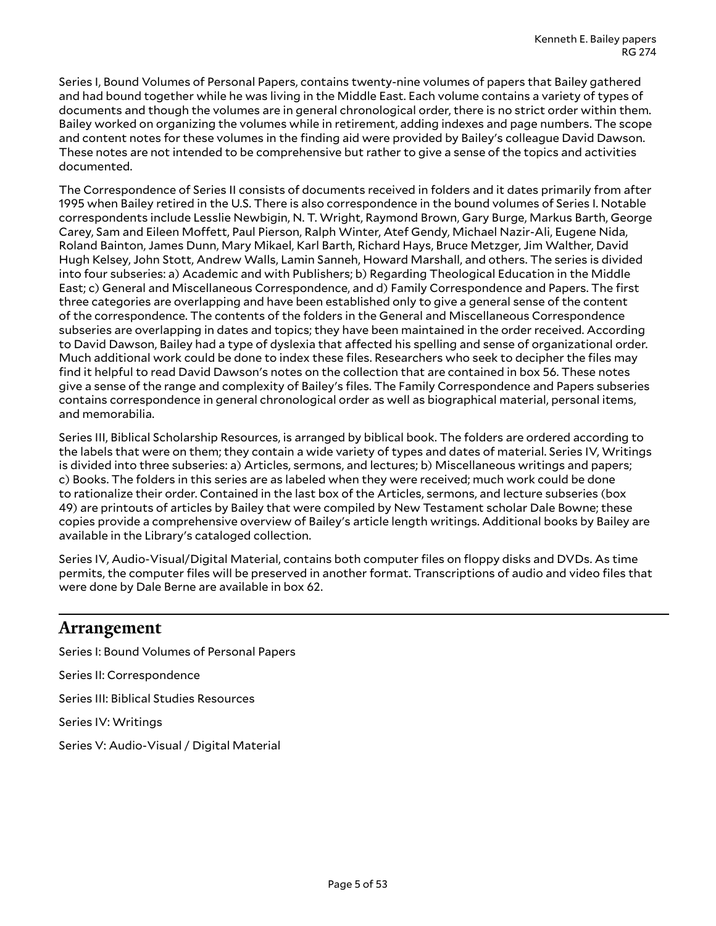Series I, Bound Volumes of Personal Papers, contains twenty-nine volumes of papers that Bailey gathered and had bound together while he was living in the Middle East. Each volume contains a variety of types of documents and though the volumes are in general chronological order, there is no strict order within them. Bailey worked on organizing the volumes while in retirement, adding indexes and page numbers. The scope and content notes for these volumes in the finding aid were provided by Bailey's colleague David Dawson. These notes are not intended to be comprehensive but rather to give a sense of the topics and activities documented.

The Correspondence of Series II consists of documents received in folders and it dates primarily from after 1995 when Bailey retired in the U.S. There is also correspondence in the bound volumes of Series I. Notable correspondents include Lesslie Newbigin, N. T. Wright, Raymond Brown, Gary Burge, Markus Barth, George Carey, Sam and Eileen Moffett, Paul Pierson, Ralph Winter, Atef Gendy, Michael Nazir-Ali, Eugene Nida, Roland Bainton, James Dunn, Mary Mikael, Karl Barth, Richard Hays, Bruce Metzger, Jim Walther, David Hugh Kelsey, John Stott, Andrew Walls, Lamin Sanneh, Howard Marshall, and others. The series is divided into four subseries: a) Academic and with Publishers; b) Regarding Theological Education in the Middle East; c) General and Miscellaneous Correspondence, and d) Family Correspondence and Papers. The first three categories are overlapping and have been established only to give a general sense of the content of the correspondence. The contents of the folders in the General and Miscellaneous Correspondence subseries are overlapping in dates and topics; they have been maintained in the order received. According to David Dawson, Bailey had a type of dyslexia that affected his spelling and sense of organizational order. Much additional work could be done to index these files. Researchers who seek to decipher the files may find it helpful to read David Dawson's notes on the collection that are contained in box 56. These notes give a sense of the range and complexity of Bailey's files. The Family Correspondence and Papers subseries contains correspondence in general chronological order as well as biographical material, personal items, and memorabilia.

Series III, Biblical Scholarship Resources, is arranged by biblical book. The folders are ordered according to the labels that were on them; they contain a wide variety of types and dates of material. Series IV, Writings is divided into three subseries: a) Articles, sermons, and lectures; b) Miscellaneous writings and papers; c) Books. The folders in this series are as labeled when they were received; much work could be done to rationalize their order. Contained in the last box of the Articles, sermons, and lecture subseries (box 49) are printouts of articles by Bailey that were compiled by New Testament scholar Dale Bowne; these copies provide a comprehensive overview of Bailey's article length writings. Additional books by Bailey are available in the Library's cataloged collection.

Series IV, Audio-Visual/Digital Material, contains both computer files on floppy disks and DVDs. As time permits, the computer files will be preserved in another format. Transcriptions of audio and video files that were done by Dale Berne are available in box 62.

### <span id="page-4-0"></span>**Arrangement**

Series I: Bound Volumes of Personal Papers Series II: Correspondence Series III: Biblical Studies Resources Series IV: Writings Series V: Audio-Visual / Digital Material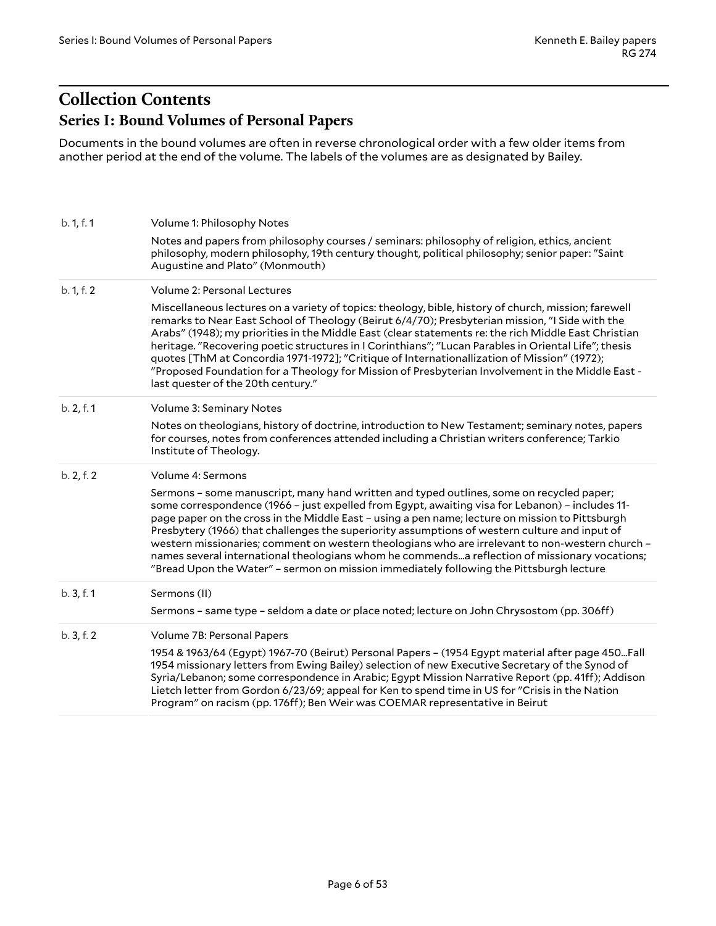# <span id="page-5-1"></span><span id="page-5-0"></span>**Collection Contents Series I: Bound Volumes of Personal Papers**

Documents in the bound volumes are often in reverse chronological order with a few older items from another period at the end of the volume. The labels of the volumes are as designated by Bailey.

| b. 1, f. 1 | Volume 1: Philosophy Notes                                                                                                                                                                                                                                                                                                                                                                                                                                                                                                                                                                                                                                                                     |
|------------|------------------------------------------------------------------------------------------------------------------------------------------------------------------------------------------------------------------------------------------------------------------------------------------------------------------------------------------------------------------------------------------------------------------------------------------------------------------------------------------------------------------------------------------------------------------------------------------------------------------------------------------------------------------------------------------------|
|            | Notes and papers from philosophy courses / seminars: philosophy of religion, ethics, ancient<br>philosophy, modern philosophy, 19th century thought, political philosophy; senior paper: "Saint<br>Augustine and Plato" (Monmouth)                                                                                                                                                                                                                                                                                                                                                                                                                                                             |
| b. 1, f. 2 | Volume 2: Personal Lectures                                                                                                                                                                                                                                                                                                                                                                                                                                                                                                                                                                                                                                                                    |
|            | Miscellaneous lectures on a variety of topics: theology, bible, history of church, mission; farewell<br>remarks to Near East School of Theology (Beirut 6/4/70); Presbyterian mission, "I Side with the<br>Arabs" (1948); my priorities in the Middle East (clear statements re: the rich Middle East Christian<br>heritage. "Recovering poetic structures in I Corinthians"; "Lucan Parables in Oriental Life"; thesis<br>quotes [ThM at Concordia 1971-1972]; "Critique of Internationallization of Mission" (1972);<br>"Proposed Foundation for a Theology for Mission of Presbyterian Involvement in the Middle East -<br>last quester of the 20th century."                               |
| b. 2, f. 1 | Volume 3: Seminary Notes                                                                                                                                                                                                                                                                                                                                                                                                                                                                                                                                                                                                                                                                       |
|            | Notes on theologians, history of doctrine, introduction to New Testament; seminary notes, papers<br>for courses, notes from conferences attended including a Christian writers conference; Tarkio<br>Institute of Theology.                                                                                                                                                                                                                                                                                                                                                                                                                                                                    |
| b. 2, f. 2 | Volume 4: Sermons                                                                                                                                                                                                                                                                                                                                                                                                                                                                                                                                                                                                                                                                              |
|            | Sermons - some manuscript, many hand written and typed outlines, some on recycled paper;<br>some correspondence (1966 - just expelled from Egypt, awaiting visa for Lebanon) - includes 11-<br>page paper on the cross in the Middle East - using a pen name; lecture on mission to Pittsburgh<br>Presbytery (1966) that challenges the superiority assumptions of western culture and input of<br>western missionaries; comment on western theologians who are irrelevant to non-western church -<br>names several international theologians whom he commendsa reflection of missionary vocations;<br>"Bread Upon the Water" - sermon on mission immediately following the Pittsburgh lecture |
| b. 3, f. 1 | Sermons (II)                                                                                                                                                                                                                                                                                                                                                                                                                                                                                                                                                                                                                                                                                   |
|            | Sermons - same type - seldom a date or place noted; lecture on John Chrysostom (pp. 306ff)                                                                                                                                                                                                                                                                                                                                                                                                                                                                                                                                                                                                     |
| b.3, f.2   | Volume 7B: Personal Papers                                                                                                                                                                                                                                                                                                                                                                                                                                                                                                                                                                                                                                                                     |
|            | 1954 & 1963/64 (Egypt) 1967-70 (Beirut) Personal Papers - (1954 Egypt material after page 450Fall<br>1954 missionary letters from Ewing Bailey) selection of new Executive Secretary of the Synod of<br>Syria/Lebanon; some correspondence in Arabic; Egypt Mission Narrative Report (pp. 41ff); Addison<br>Lietch letter from Gordon 6/23/69; appeal for Ken to spend time in US for "Crisis in the Nation<br>Program" on racism (pp. 176ff); Ben Weir was COEMAR representative in Beirut                                                                                                                                                                                                    |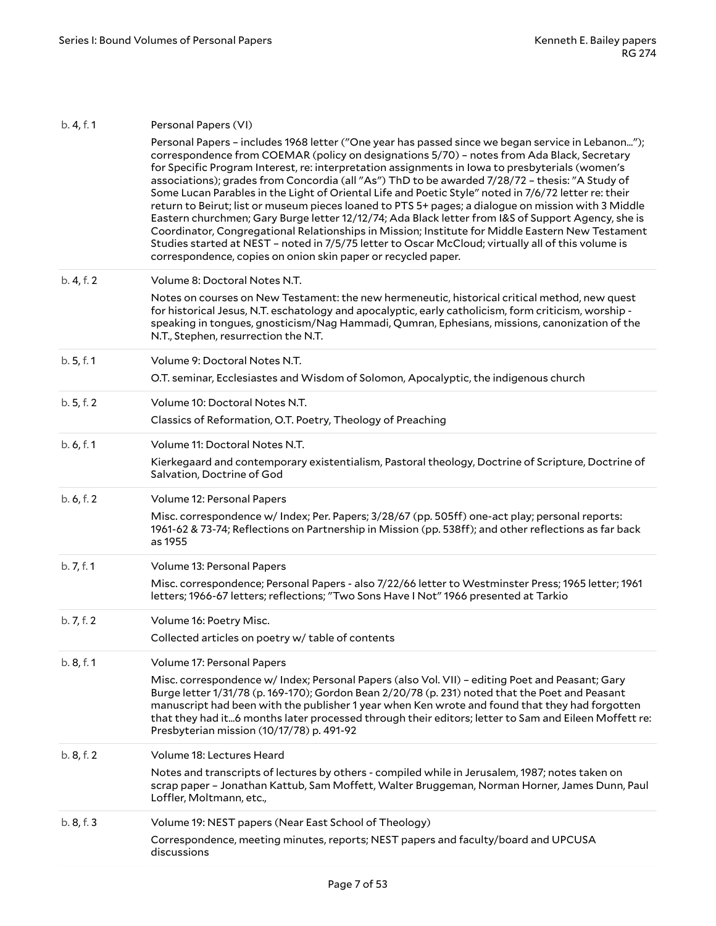| b. 4, f. 1 | Personal Papers (VI)                                                                                                                                                                                                                                                                                                                                                                                                                                                                                                                                                                                                                                                                                                                                                                                                                                                                                                                                                                                  |
|------------|-------------------------------------------------------------------------------------------------------------------------------------------------------------------------------------------------------------------------------------------------------------------------------------------------------------------------------------------------------------------------------------------------------------------------------------------------------------------------------------------------------------------------------------------------------------------------------------------------------------------------------------------------------------------------------------------------------------------------------------------------------------------------------------------------------------------------------------------------------------------------------------------------------------------------------------------------------------------------------------------------------|
|            | Personal Papers - includes 1968 letter ("One year has passed since we began service in Lebanon");<br>correspondence from COEMAR (policy on designations 5/70) - notes from Ada Black, Secretary<br>for Specific Program Interest, re: interpretation assignments in lowa to presbyterials (women's<br>associations); grades from Concordia (all "As") ThD to be awarded 7/28/72 - thesis: "A Study of<br>Some Lucan Parables in the Light of Oriental Life and Poetic Style" noted in 7/6/72 letter re: their<br>return to Beirut; list or museum pieces loaned to PTS 5+ pages; a dialogue on mission with 3 Middle<br>Eastern churchmen; Gary Burge letter 12/12/74; Ada Black letter from I&S of Support Agency, she is<br>Coordinator, Congregational Relationships in Mission; Institute for Middle Eastern New Testament<br>Studies started at NEST - noted in 7/5/75 letter to Oscar McCloud; virtually all of this volume is<br>correspondence, copies on onion skin paper or recycled paper. |
| b. 4, f. 2 | Volume 8: Doctoral Notes N.T.                                                                                                                                                                                                                                                                                                                                                                                                                                                                                                                                                                                                                                                                                                                                                                                                                                                                                                                                                                         |
|            | Notes on courses on New Testament: the new hermeneutic, historical critical method, new quest<br>for historical Jesus, N.T. eschatology and apocalyptic, early catholicism, form criticism, worship -<br>speaking in tongues, gnosticism/Nag Hammadi, Qumran, Ephesians, missions, canonization of the<br>N.T., Stephen, resurrection the N.T.                                                                                                                                                                                                                                                                                                                                                                                                                                                                                                                                                                                                                                                        |
| b. 5, f. 1 | Volume 9: Doctoral Notes N.T.                                                                                                                                                                                                                                                                                                                                                                                                                                                                                                                                                                                                                                                                                                                                                                                                                                                                                                                                                                         |
|            | O.T. seminar, Ecclesiastes and Wisdom of Solomon, Apocalyptic, the indigenous church                                                                                                                                                                                                                                                                                                                                                                                                                                                                                                                                                                                                                                                                                                                                                                                                                                                                                                                  |
| b.5, f.2   | Volume 10: Doctoral Notes N.T.                                                                                                                                                                                                                                                                                                                                                                                                                                                                                                                                                                                                                                                                                                                                                                                                                                                                                                                                                                        |
|            | Classics of Reformation, O.T. Poetry, Theology of Preaching                                                                                                                                                                                                                                                                                                                                                                                                                                                                                                                                                                                                                                                                                                                                                                                                                                                                                                                                           |
| b.6, f.1   | Volume 11: Doctoral Notes N.T.                                                                                                                                                                                                                                                                                                                                                                                                                                                                                                                                                                                                                                                                                                                                                                                                                                                                                                                                                                        |
|            | Kierkegaard and contemporary existentialism, Pastoral theology, Doctrine of Scripture, Doctrine of<br>Salvation, Doctrine of God                                                                                                                                                                                                                                                                                                                                                                                                                                                                                                                                                                                                                                                                                                                                                                                                                                                                      |
| b. 6, f. 2 | Volume 12: Personal Papers                                                                                                                                                                                                                                                                                                                                                                                                                                                                                                                                                                                                                                                                                                                                                                                                                                                                                                                                                                            |
|            | Misc. correspondence w/ Index; Per. Papers; 3/28/67 (pp. 505ff) one-act play; personal reports:<br>1961-62 & 73-74; Reflections on Partnership in Mission (pp. 538ff); and other reflections as far back<br>as 1955                                                                                                                                                                                                                                                                                                                                                                                                                                                                                                                                                                                                                                                                                                                                                                                   |
| b. 7, f. 1 | Volume 13: Personal Papers                                                                                                                                                                                                                                                                                                                                                                                                                                                                                                                                                                                                                                                                                                                                                                                                                                                                                                                                                                            |
|            | Misc. correspondence; Personal Papers - also 7/22/66 letter to Westminster Press; 1965 letter; 1961<br>letters; 1966-67 letters; reflections; "Two Sons Have I Not" 1966 presented at Tarkio                                                                                                                                                                                                                                                                                                                                                                                                                                                                                                                                                                                                                                                                                                                                                                                                          |
| b. 7, f. 2 | Volume 16: Poetry Misc.                                                                                                                                                                                                                                                                                                                                                                                                                                                                                                                                                                                                                                                                                                                                                                                                                                                                                                                                                                               |
|            | Collected articles on poetry w/ table of contents                                                                                                                                                                                                                                                                                                                                                                                                                                                                                                                                                                                                                                                                                                                                                                                                                                                                                                                                                     |
| b.8, f.1   | Volume 17: Personal Papers                                                                                                                                                                                                                                                                                                                                                                                                                                                                                                                                                                                                                                                                                                                                                                                                                                                                                                                                                                            |
|            | Misc. correspondence w/ Index; Personal Papers (also Vol. VII) - editing Poet and Peasant; Gary<br>Burge letter 1/31/78 (p. 169-170); Gordon Bean 2/20/78 (p. 231) noted that the Poet and Peasant<br>manuscript had been with the publisher 1 year when Ken wrote and found that they had forgotten<br>that they had it6 months later processed through their editors; letter to Sam and Eileen Moffett re:<br>Presbyterian mission (10/17/78) p. 491-92                                                                                                                                                                                                                                                                                                                                                                                                                                                                                                                                             |
| b.8, f.2   | Volume 18: Lectures Heard                                                                                                                                                                                                                                                                                                                                                                                                                                                                                                                                                                                                                                                                                                                                                                                                                                                                                                                                                                             |
|            | Notes and transcripts of lectures by others - compiled while in Jerusalem, 1987; notes taken on<br>scrap paper - Jonathan Kattub, Sam Moffett, Walter Bruggeman, Norman Horner, James Dunn, Paul<br>Loffler, Moltmann, etc.,                                                                                                                                                                                                                                                                                                                                                                                                                                                                                                                                                                                                                                                                                                                                                                          |
| b. 8, f. 3 | Volume 19: NEST papers (Near East School of Theology)                                                                                                                                                                                                                                                                                                                                                                                                                                                                                                                                                                                                                                                                                                                                                                                                                                                                                                                                                 |
|            | Correspondence, meeting minutes, reports; NEST papers and faculty/board and UPCUSA<br>discussions                                                                                                                                                                                                                                                                                                                                                                                                                                                                                                                                                                                                                                                                                                                                                                                                                                                                                                     |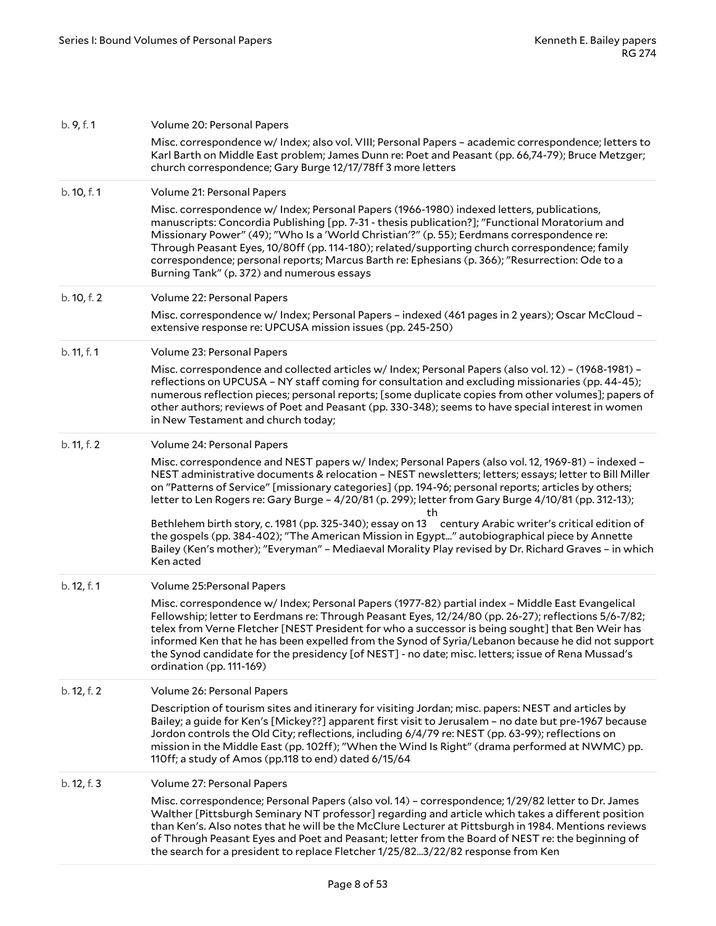| b. 9, f. 1  | Volume 20: Personal Papers                                                                                                                                                                                                                                                                                                                                                                                                                                                                                                                         |
|-------------|----------------------------------------------------------------------------------------------------------------------------------------------------------------------------------------------------------------------------------------------------------------------------------------------------------------------------------------------------------------------------------------------------------------------------------------------------------------------------------------------------------------------------------------------------|
|             | Misc. correspondence w/ Index; also vol. VIII; Personal Papers - academic correspondence; letters to<br>Karl Barth on Middle East problem; James Dunn re: Poet and Peasant (pp. 66,74-79); Bruce Metzger;<br>church correspondence; Gary Burge 12/17/78ff 3 more letters                                                                                                                                                                                                                                                                           |
| b. 10, f. 1 | Volume 21: Personal Papers                                                                                                                                                                                                                                                                                                                                                                                                                                                                                                                         |
|             | Misc. correspondence w/ Index; Personal Papers (1966-1980) indexed letters, publications,<br>manuscripts: Concordia Publishing [pp. 7-31 - thesis publication?]; "Functional Moratorium and<br>Missionary Power" (49); "Who Is a 'World Christian'?" (p. 55); Eerdmans correspondence re:<br>Through Peasant Eyes, 10/80ff (pp. 114-180); related/supporting church correspondence; family<br>correspondence; personal reports; Marcus Barth re: Ephesians (p. 366); "Resurrection: Ode to a<br>Burning Tank" (p. 372) and numerous essays         |
| b. 10, f. 2 | Volume 22: Personal Papers                                                                                                                                                                                                                                                                                                                                                                                                                                                                                                                         |
|             | Misc. correspondence w/ Index; Personal Papers - indexed (461 pages in 2 years); Oscar McCloud -<br>extensive response re: UPCUSA mission issues (pp. 245-250)                                                                                                                                                                                                                                                                                                                                                                                     |
| b. 11, f. 1 | Volume 23: Personal Papers                                                                                                                                                                                                                                                                                                                                                                                                                                                                                                                         |
|             | Misc. correspondence and collected articles w/ Index; Personal Papers (also vol. 12) - (1968-1981) -<br>reflections on UPCUSA - NY staff coming for consultation and excluding missionaries (pp. 44-45);<br>numerous reflection pieces; personal reports; [some duplicate copies from other volumes]; papers of<br>other authors; reviews of Poet and Peasant (pp. 330-348); seems to have special interest in women<br>in New Testament and church today;                                                                                         |
| b. 11, f. 2 | Volume 24: Personal Papers                                                                                                                                                                                                                                                                                                                                                                                                                                                                                                                         |
|             | Misc. correspondence and NEST papers w/ Index; Personal Papers (also vol. 12, 1969-81) - indexed -<br>NEST administrative documents & relocation - NEST newsletters; letters; essays; letter to Bill Miller<br>on "Patterns of Service" [missionary categories] (pp. 194-96; personal reports; articles by others;<br>letter to Len Rogers re: Gary Burge - 4/20/81 (p. 299); letter from Gary Burge 4/10/81 (pp. 312-13);<br>th                                                                                                                   |
|             | Bethlehem birth story, c. 1981 (pp. 325-340); essay on 13 century Arabic writer's critical edition of<br>the gospels (pp. 384-402); "The American Mission in Egypt" autobiographical piece by Annette<br>Bailey (Ken's mother); "Everyman" - Mediaeval Morality Play revised by Dr. Richard Graves - in which<br>Ken acted                                                                                                                                                                                                                         |
| b. 12, f. 1 | Volume 25: Personal Papers                                                                                                                                                                                                                                                                                                                                                                                                                                                                                                                         |
|             | Misc. correspondence w/ Index; Personal Papers (1977-82) partial index - Middle East Evangelical<br>Fellowship; letter to Eerdmans re: Through Peasant Eyes, 12/24/80 (pp. 26-27); reflections 5/6-7/82;<br>telex from Verne Fletcher [NEST President for who a successor is being sought] that Ben Weir has<br>informed Ken that he has been expelled from the Synod of Syria/Lebanon because he did not support<br>the Synod candidate for the presidency [of NEST] - no date; misc. letters; issue of Rena Mussad's<br>ordination (pp. 111-169) |
| b. 12, f. 2 | Volume 26: Personal Papers                                                                                                                                                                                                                                                                                                                                                                                                                                                                                                                         |
|             | Description of tourism sites and itinerary for visiting Jordan; misc. papers: NEST and articles by<br>Bailey; a guide for Ken's [Mickey??] apparent first visit to Jerusalem - no date but pre-1967 because<br>Jordon controls the Old City; reflections, including 6/4/79 re: NEST (pp. 63-99); reflections on<br>mission in the Middle East (pp. 102ff); "When the Wind Is Right" (drama performed at NWMC) pp.<br>110ff; a study of Amos (pp.118 to end) dated 6/15/64                                                                          |
| b. 12, f. 3 | Volume 27: Personal Papers                                                                                                                                                                                                                                                                                                                                                                                                                                                                                                                         |
|             | Misc. correspondence; Personal Papers (also vol. 14) - correspondence; 1/29/82 letter to Dr. James<br>Walther [Pittsburgh Seminary NT professor] regarding and article which takes a different position<br>than Ken's. Also notes that he will be the McClure Lecturer at Pittsburgh in 1984. Mentions reviews<br>of Through Peasant Eyes and Poet and Peasant; letter from the Board of NEST re: the beginning of<br>the search for a president to replace Fletcher 1/25/823/22/82 response from Ken                                              |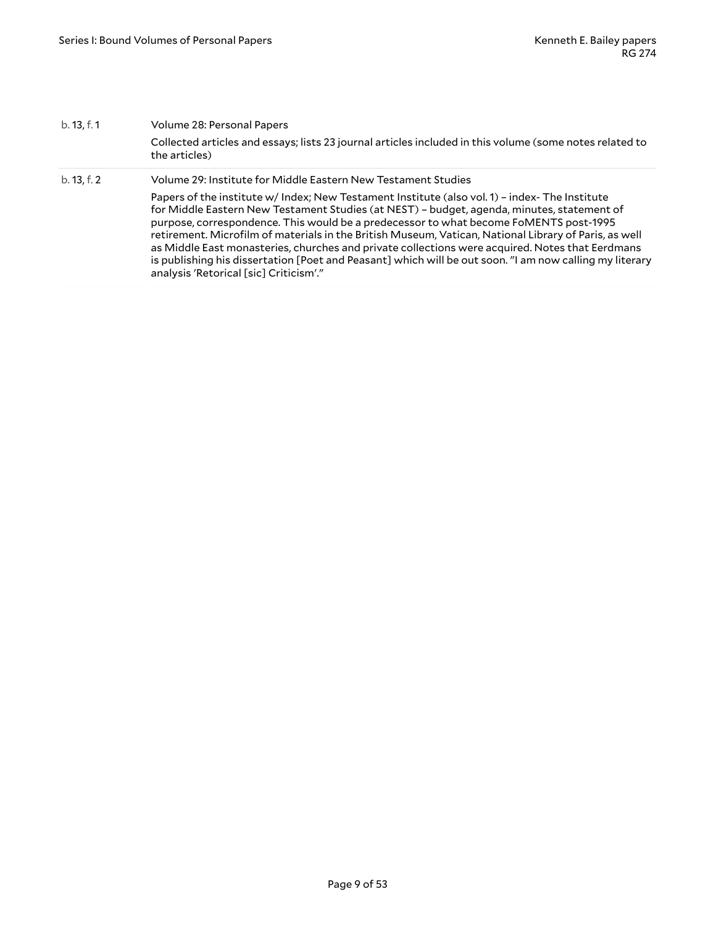| b. 13, f. 1 | Volume 28: Personal Papers                                                                                                                                                                                                                                                                                                                                                                                                                                                                                                                                                                                                                             |
|-------------|--------------------------------------------------------------------------------------------------------------------------------------------------------------------------------------------------------------------------------------------------------------------------------------------------------------------------------------------------------------------------------------------------------------------------------------------------------------------------------------------------------------------------------------------------------------------------------------------------------------------------------------------------------|
|             | Collected articles and essays; lists 23 journal articles included in this volume (some notes related to<br>the articles)                                                                                                                                                                                                                                                                                                                                                                                                                                                                                                                               |
| b. 13, f. 2 | Volume 29: Institute for Middle Eastern New Testament Studies                                                                                                                                                                                                                                                                                                                                                                                                                                                                                                                                                                                          |
|             | Papers of the institute w/ Index; New Testament Institute (also vol. 1) - index- The Institute<br>for Middle Eastern New Testament Studies (at NEST) - budget, agenda, minutes, statement of<br>purpose, correspondence. This would be a predecessor to what become FoMENTS post-1995<br>retirement. Microfilm of materials in the British Museum, Vatican, National Library of Paris, as well<br>as Middle East monasteries, churches and private collections were acquired. Notes that Eerdmans<br>is publishing his dissertation [Poet and Peasant] which will be out soon. "I am now calling my literary<br>analysis 'Retorical [sic] Criticism'." |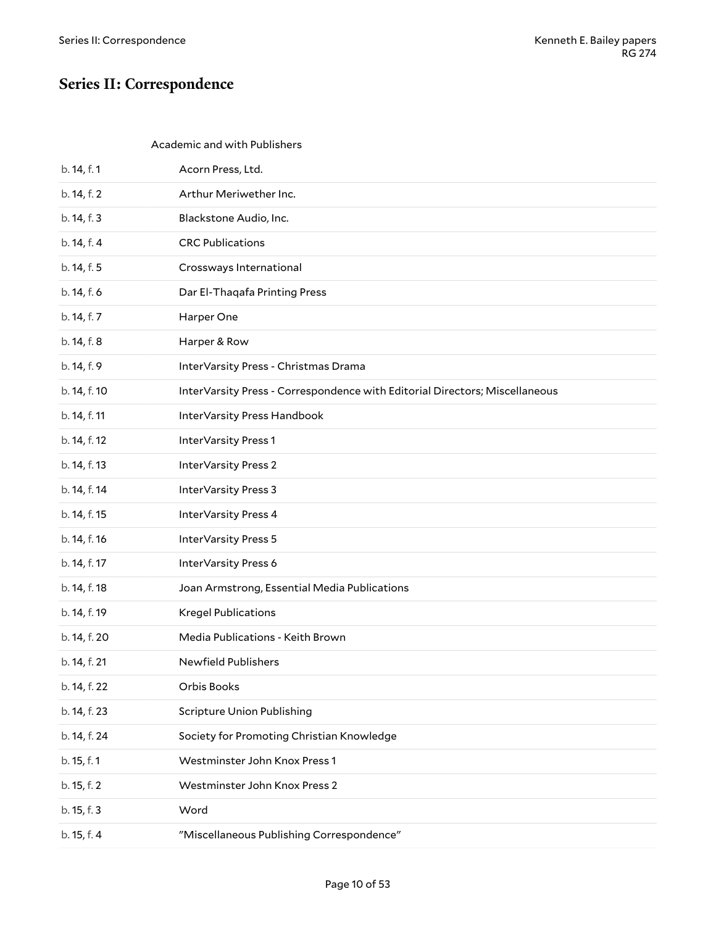# <span id="page-9-0"></span>**Series II: Correspondence**

#### <span id="page-9-1"></span>Academic and with Publishers

| b. 14, f. 1  | Acorn Press, Ltd.                                                           |
|--------------|-----------------------------------------------------------------------------|
| b. 14, f. 2  | Arthur Meriwether Inc.                                                      |
| b. 14, f. 3  | Blackstone Audio, Inc.                                                      |
| b. 14, f. 4  | <b>CRC Publications</b>                                                     |
| b. 14, f. 5  | Crossways International                                                     |
| b. 14, f. 6  | Dar El-Thaqafa Printing Press                                               |
| b. 14, f. 7  | Harper One                                                                  |
| b. 14, f. 8  | Harper & Row                                                                |
| b. 14, f. 9  | InterVarsity Press - Christmas Drama                                        |
| b. 14, f. 10 | InterVarsity Press - Correspondence with Editorial Directors; Miscellaneous |
| b. 14, f. 11 | InterVarsity Press Handbook                                                 |
| b. 14, f. 12 | InterVarsity Press 1                                                        |
| b. 14, f. 13 | <b>InterVarsity Press 2</b>                                                 |
| b. 14, f. 14 | InterVarsity Press 3                                                        |
| b. 14, f. 15 | InterVarsity Press 4                                                        |
| b. 14, f. 16 | InterVarsity Press 5                                                        |
| b. 14, f. 17 | InterVarsity Press 6                                                        |
| b. 14, f. 18 | Joan Armstrong, Essential Media Publications                                |
| b. 14, f. 19 | <b>Kregel Publications</b>                                                  |
| b. 14, f. 20 | Media Publications - Keith Brown                                            |
| b. 14, f. 21 | <b>Newfield Publishers</b>                                                  |
| b. 14, f. 22 | Orbis Books                                                                 |
| b. 14, f. 23 | <b>Scripture Union Publishing</b>                                           |
| b. 14, f. 24 | Society for Promoting Christian Knowledge                                   |
| b. 15, f. 1  | Westminster John Knox Press 1                                               |
| b. 15, f. 2  | Westminster John Knox Press 2                                               |
| b. 15, f. 3  | Word                                                                        |
| b. 15, f. 4  | "Miscellaneous Publishing Correspondence"                                   |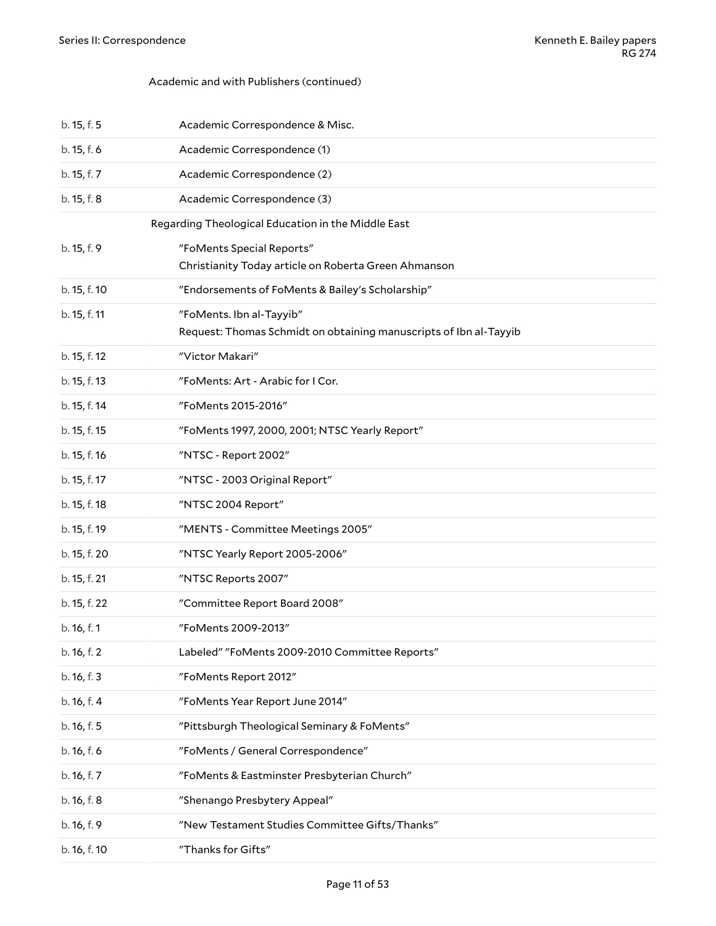#### Academic and with Publishers (continued)

<span id="page-10-0"></span>

| b. 15, f. 5  | Academic Correspondence & Misc.                                                               |
|--------------|-----------------------------------------------------------------------------------------------|
| b. 15, f. 6  | Academic Correspondence (1)                                                                   |
| b. 15, f. 7  | Academic Correspondence (2)                                                                   |
| b. 15, f. 8  | Academic Correspondence (3)                                                                   |
|              | Regarding Theological Education in the Middle East                                            |
| b. 15, f. 9  | "FoMents Special Reports"<br>Christianity Today article on Roberta Green Ahmanson             |
| b. 15, f. 10 | "Endorsements of FoMents & Bailey's Scholarship"                                              |
| b. 15, f. 11 | "FoMents. Ibn al-Tayyib"<br>Request: Thomas Schmidt on obtaining manuscripts of Ibn al-Tayyib |
| b. 15, f. 12 | "Victor Makari"                                                                               |
| b. 15, f. 13 | "FoMents: Art - Arabic for I Cor.                                                             |
| b. 15, f. 14 | "FoMents 2015-2016"                                                                           |
| b. 15, f. 15 | "FoMents 1997, 2000, 2001; NTSC Yearly Report"                                                |
| b. 15, f. 16 | "NTSC - Report 2002"                                                                          |
| b. 15, f. 17 | "NTSC - 2003 Original Report"                                                                 |
| b. 15, f. 18 | "NTSC 2004 Report"                                                                            |
| b. 15, f. 19 | "MENTS - Committee Meetings 2005"                                                             |
| b. 15, f. 20 | "NTSC Yearly Report 2005-2006"                                                                |
| b. 15, f. 21 | "NTSC Reports 2007"                                                                           |
| b. 15, f. 22 | "Committee Report Board 2008"                                                                 |
| b. 16, f. 1  | "FoMents 2009-2013"                                                                           |
| b. 16, f. 2  | Labeled" "FoMents 2009-2010 Committee Reports"                                                |
| b. 16, f. 3  | "FoMents Report 2012"                                                                         |
| b. 16, f. 4  | "FoMents Year Report June 2014"                                                               |
| b. 16, f. 5  | "Pittsburgh Theological Seminary & FoMents"                                                   |
| b. 16, f. 6  | "FoMents / General Correspondence"                                                            |
| b. 16, f. 7  | "FoMents & Eastminster Presbyterian Church"                                                   |
| b. 16, f. 8  | "Shenango Presbytery Appeal"                                                                  |
| b. 16, f. 9  | "New Testament Studies Committee Gifts/Thanks"                                                |
| b. 16, f. 10 | "Thanks for Gifts"                                                                            |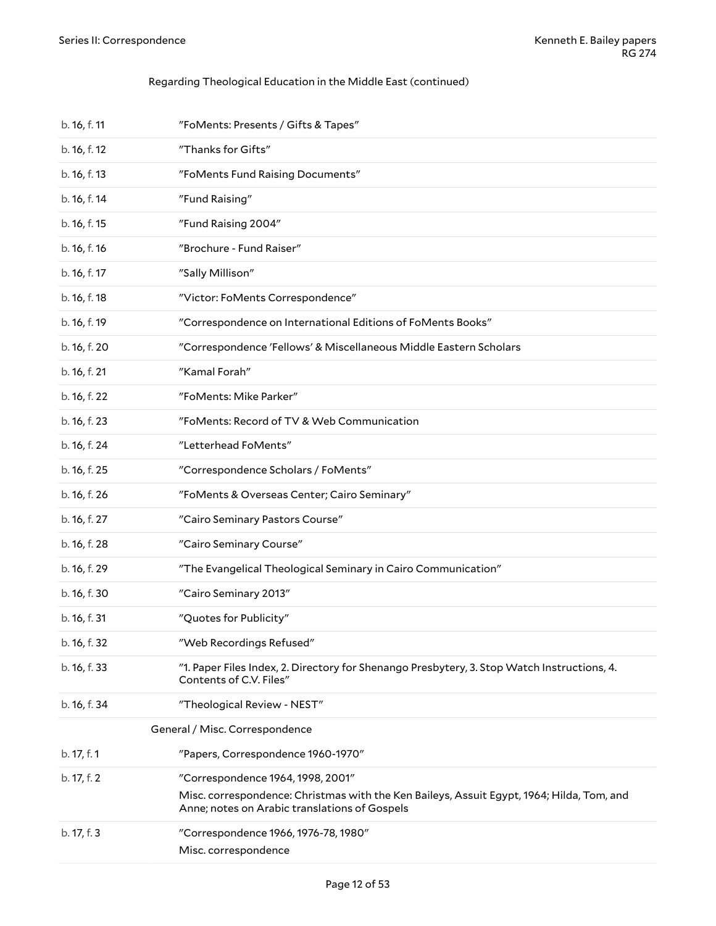#### Regarding Theological Education in the Middle East (continued)

<span id="page-11-0"></span>

| b. 16, f. 11 | "FoMents: Presents / Gifts & Tapes"                                                                                                                                             |
|--------------|---------------------------------------------------------------------------------------------------------------------------------------------------------------------------------|
| b. 16, f. 12 | "Thanks for Gifts"                                                                                                                                                              |
| b. 16, f. 13 | "FoMents Fund Raising Documents"                                                                                                                                                |
| b. 16, f. 14 | "Fund Raising"                                                                                                                                                                  |
| b. 16, f. 15 | "Fund Raising 2004"                                                                                                                                                             |
| b. 16, f. 16 | "Brochure - Fund Raiser"                                                                                                                                                        |
| b. 16, f. 17 | "Sally Millison"                                                                                                                                                                |
| b. 16, f. 18 | "Victor: FoMents Correspondence"                                                                                                                                                |
| b. 16, f. 19 | "Correspondence on International Editions of FoMents Books"                                                                                                                     |
| b. 16, f. 20 | "Correspondence 'Fellows' & Miscellaneous Middle Eastern Scholars                                                                                                               |
| b. 16, f. 21 | "Kamal Forah"                                                                                                                                                                   |
| b. 16, f. 22 | "FoMents: Mike Parker"                                                                                                                                                          |
| b. 16, f. 23 | "FoMents: Record of TV & Web Communication                                                                                                                                      |
| b. 16, f. 24 | "Letterhead FoMents"                                                                                                                                                            |
| b. 16, f. 25 | "Correspondence Scholars / FoMents"                                                                                                                                             |
| b. 16, f. 26 | "FoMents & Overseas Center; Cairo Seminary"                                                                                                                                     |
| b. 16, f. 27 | "Cairo Seminary Pastors Course"                                                                                                                                                 |
| b. 16, f. 28 | "Cairo Seminary Course"                                                                                                                                                         |
| b. 16, f. 29 | "The Evangelical Theological Seminary in Cairo Communication"                                                                                                                   |
| b. 16, f. 30 | "Cairo Seminary 2013"                                                                                                                                                           |
| b. 16, f. 31 | "Quotes for Publicity"                                                                                                                                                          |
| b. 16, f. 32 | "Web Recordings Refused"                                                                                                                                                        |
| b. 16, f. 33 | "1. Paper Files Index, 2. Directory for Shenango Presbytery, 3. Stop Watch Instructions, 4.<br>Contents of C.V. Files"                                                          |
| b. 16, f. 34 | "Theological Review - NEST"                                                                                                                                                     |
|              | General / Misc. Correspondence                                                                                                                                                  |
| b. 17, f. 1  | "Papers, Correspondence 1960-1970"                                                                                                                                              |
| b. 17, f. 2  | "Correspondence 1964, 1998, 2001"<br>Misc. correspondence: Christmas with the Ken Baileys, Assuit Egypt, 1964; Hilda, Tom, and<br>Anne; notes on Arabic translations of Gospels |
| b. 17, f. 3  | "Correspondence 1966, 1976-78, 1980"<br>Misc. correspondence                                                                                                                    |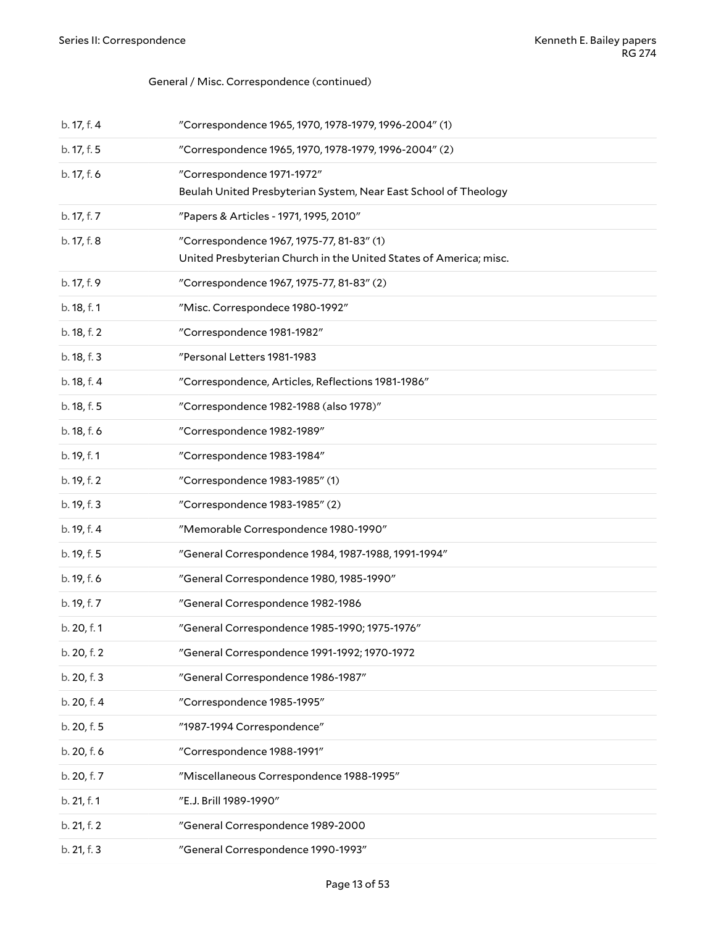#### General / Misc. Correspondence (continued)

| b. 17, f. 4 | "Correspondence 1965, 1970, 1978-1979, 1996-2004" (1)                                                          |
|-------------|----------------------------------------------------------------------------------------------------------------|
| b. 17, f. 5 | "Correspondence 1965, 1970, 1978-1979, 1996-2004" (2)                                                          |
| b. 17, f. 6 | "Correspondence 1971-1972"<br>Beulah United Presbyterian System, Near East School of Theology                  |
| b. 17, f. 7 | "Papers & Articles - 1971, 1995, 2010"                                                                         |
| b. 17, f. 8 | "Correspondence 1967, 1975-77, 81-83" (1)<br>United Presbyterian Church in the United States of America; misc. |
| b. 17, f. 9 | "Correspondence 1967, 1975-77, 81-83" (2)                                                                      |
| b. 18, f. 1 | "Misc. Correspondece 1980-1992"                                                                                |
| b. 18, f. 2 | "Correspondence 1981-1982"                                                                                     |
| b. 18, f. 3 | "Personal Letters 1981-1983                                                                                    |
| b. 18, f. 4 | "Correspondence, Articles, Reflections 1981-1986"                                                              |
| b. 18, f. 5 | "Correspondence 1982-1988 (also 1978)"                                                                         |
| b. 18, f. 6 | "Correspondence 1982-1989"                                                                                     |
| b. 19, f. 1 | "Correspondence 1983-1984"                                                                                     |
| b. 19, f. 2 | "Correspondence 1983-1985" (1)                                                                                 |
| b. 19, f. 3 | "Correspondence 1983-1985" (2)                                                                                 |
| b. 19, f. 4 | "Memorable Correspondence 1980-1990"                                                                           |
| b. 19, f. 5 | "General Correspondence 1984, 1987-1988, 1991-1994"                                                            |
| b. 19, f. 6 | "General Correspondence 1980, 1985-1990"                                                                       |
| b. 19, f. 7 | "General Correspondence 1982-1986                                                                              |
| b. 20, f. 1 | "General Correspondence 1985-1990; 1975-1976"                                                                  |
| b. 20, f. 2 | "General Correspondence 1991-1992; 1970-1972                                                                   |
| b. 20, f. 3 | "General Correspondence 1986-1987"                                                                             |
| b. 20, f. 4 | "Correspondence 1985-1995"                                                                                     |
| b. 20, f. 5 | "1987-1994 Correspondence"                                                                                     |
| b. 20, f. 6 | "Correspondence 1988-1991"                                                                                     |
| b. 20, f. 7 | "Miscellaneous Correspondence 1988-1995"                                                                       |
| b. 21, f. 1 | "E.J. Brill 1989-1990"                                                                                         |
| b. 21, f. 2 | "General Correspondence 1989-2000                                                                              |
| b. 21, f. 3 | "General Correspondence 1990-1993"                                                                             |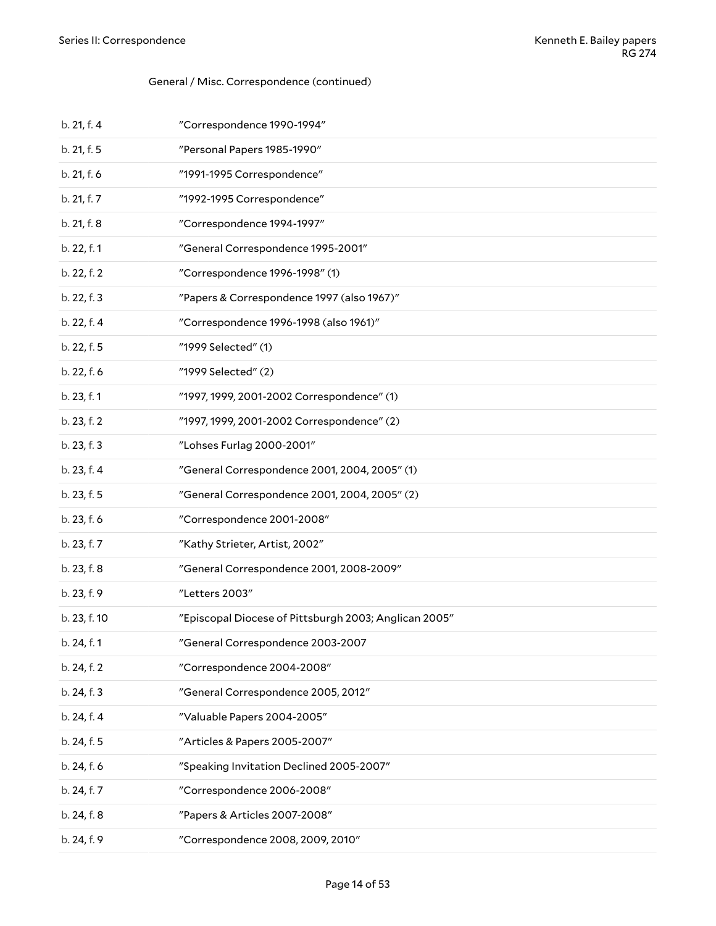#### General / Misc. Correspondence (continued)

| b. 21, f. 4  | "Correspondence 1990-1994"                            |
|--------------|-------------------------------------------------------|
| b. 21, f. 5  | "Personal Papers 1985-1990"                           |
| b. 21, f. 6  | "1991-1995 Correspondence"                            |
| b. 21, f. 7  | "1992-1995 Correspondence"                            |
| b. 21, f. 8  | "Correspondence 1994-1997"                            |
| b. 22, f. 1  | "General Correspondence 1995-2001"                    |
| b. 22, f. 2  | "Correspondence 1996-1998" (1)                        |
| b. 22, f. 3  | "Papers & Correspondence 1997 (also 1967)"            |
| b. 22, f. 4  | "Correspondence 1996-1998 (also 1961)"                |
| b. 22, f. 5  | "1999 Selected" (1)                                   |
| b. 22, f. 6  | "1999 Selected" (2)                                   |
| b. 23, f. 1  | "1997, 1999, 2001-2002 Correspondence" (1)            |
| b. 23, f. 2  | "1997, 1999, 2001-2002 Correspondence" (2)            |
| b. 23, f. 3  | "Lohses Furlag 2000-2001"                             |
| b. 23, f. 4  | "General Correspondence 2001, 2004, 2005" (1)         |
| b. 23, f. 5  | "General Correspondence 2001, 2004, 2005" (2)         |
| b. 23, f. 6  | "Correspondence 2001-2008"                            |
| b. 23, f. 7  | "Kathy Strieter, Artist, 2002"                        |
| b. 23, f. 8  | "General Correspondence 2001, 2008-2009"              |
| b. 23, f. 9  | "Letters 2003"                                        |
| b. 23, f. 10 | "Episcopal Diocese of Pittsburgh 2003; Anglican 2005" |
| b. 24, f. 1  | "General Correspondence 2003-2007                     |
| b. 24, f. 2  | "Correspondence 2004-2008"                            |
| b. 24, f. 3  | "General Correspondence 2005, 2012"                   |
| b. 24, f. 4  | "Valuable Papers 2004-2005"                           |
| b. 24, f. 5  | "Articles & Papers 2005-2007"                         |
| b. 24, f. 6  | "Speaking Invitation Declined 2005-2007"              |
| b. 24, f. 7  | "Correspondence 2006-2008"                            |
| b. 24, f. 8  | "Papers & Articles 2007-2008"                         |
| b. 24, f. 9  | "Correspondence 2008, 2009, 2010"                     |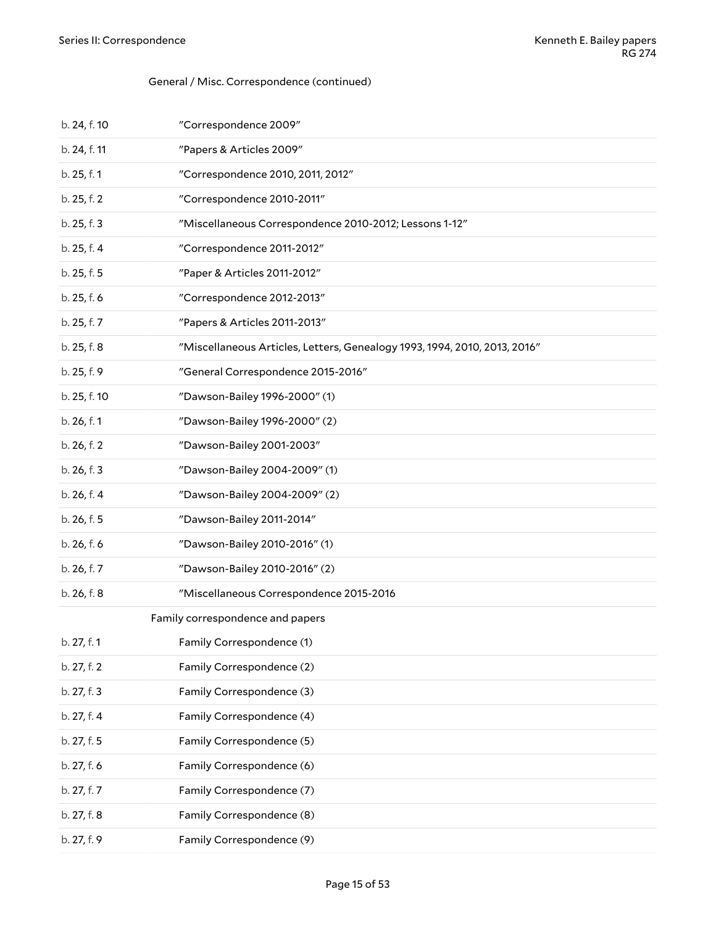#### General / Misc. Correspondence (continued)

<span id="page-14-0"></span>

| b. 24, f. 10 | "Correspondence 2009"                                                     |
|--------------|---------------------------------------------------------------------------|
| b. 24, f. 11 | "Papers & Articles 2009"                                                  |
| b. 25, f. 1  | "Correspondence 2010, 2011, 2012"                                         |
| b. 25, f. 2  | "Correspondence 2010-2011"                                                |
| b. 25, f. 3  | "Miscellaneous Correspondence 2010-2012; Lessons 1-12"                    |
| b. 25, f. 4  | "Correspondence 2011-2012"                                                |
| b. 25, f. 5  | "Paper & Articles 2011-2012"                                              |
| b. 25, f. 6  | "Correspondence 2012-2013"                                                |
| b. 25, f. 7  | "Papers & Articles 2011-2013"                                             |
| b. 25, f. 8  | "Miscellaneous Articles, Letters, Genealogy 1993, 1994, 2010, 2013, 2016" |
| b. 25, f. 9  | "General Correspondence 2015-2016"                                        |
| b. 25, f. 10 | "Dawson-Bailey 1996-2000" (1)                                             |
| b. 26, f. 1  | "Dawson-Bailey 1996-2000" (2)                                             |
| b. 26, f. 2  | "Dawson-Bailey 2001-2003"                                                 |
| b. 26, f. 3  | "Dawson-Bailey 2004-2009" (1)                                             |
| b. 26, f. 4  | "Dawson-Bailey 2004-2009" (2)                                             |
| b. 26, f. 5  | "Dawson-Bailey 2011-2014"                                                 |
| b. 26, f. 6  | "Dawson-Bailey 2010-2016" (1)                                             |
| b. 26, f. 7  | "Dawson-Bailey 2010-2016" (2)                                             |
| b. 26, f. 8  | "Miscellaneous Correspondence 2015-2016                                   |
|              | Family correspondence and papers                                          |
| b. 27, f. 1  | Family Correspondence (1)                                                 |
| b. 27, f. 2  | Family Correspondence (2)                                                 |
| b. 27, f. 3  | Family Correspondence (3)                                                 |
| b. 27, f. 4  | Family Correspondence (4)                                                 |
| b. 27, f. 5  | Family Correspondence (5)                                                 |
| b. 27, f. 6  | Family Correspondence (6)                                                 |
| b. 27, f. 7  | Family Correspondence (7)                                                 |
| b. 27, f. 8  | Family Correspondence (8)                                                 |
| b. 27, f. 9  | Family Correspondence (9)                                                 |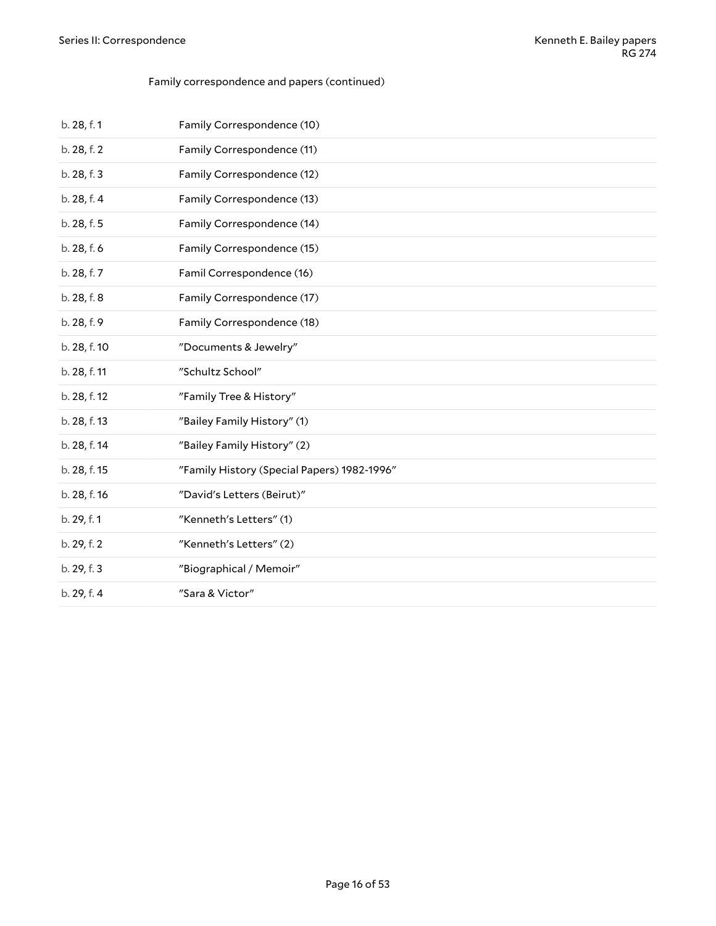#### Family correspondence and papers (continued)

| b. 28, f. 1  | Family Correspondence (10)                  |
|--------------|---------------------------------------------|
| b. 28, f. 2  | Family Correspondence (11)                  |
| b. 28, f. 3  | Family Correspondence (12)                  |
| b. 28, f. 4  | Family Correspondence (13)                  |
| b. 28, f. 5  | Family Correspondence (14)                  |
| b. 28, f. 6  | Family Correspondence (15)                  |
| b. 28, f. 7  | Famil Correspondence (16)                   |
| b. 28, f. 8  | Family Correspondence (17)                  |
| b. 28, f. 9  | Family Correspondence (18)                  |
| b. 28, f. 10 | "Documents & Jewelry"                       |
| b. 28, f. 11 | "Schultz School"                            |
| b. 28, f. 12 | "Family Tree & History"                     |
| b. 28, f. 13 | "Bailey Family History" (1)                 |
| b. 28, f. 14 | "Bailey Family History" (2)                 |
| b. 28, f. 15 | "Family History (Special Papers) 1982-1996" |
| b. 28, f. 16 | "David's Letters (Beirut)"                  |
| b. 29, f. 1  | "Kenneth's Letters" (1)                     |
| b. 29, f. 2  | "Kenneth's Letters" (2)                     |
| b. 29, f. 3  | "Biographical / Memoir"                     |
| b. 29, f. 4  | "Sara & Victor"                             |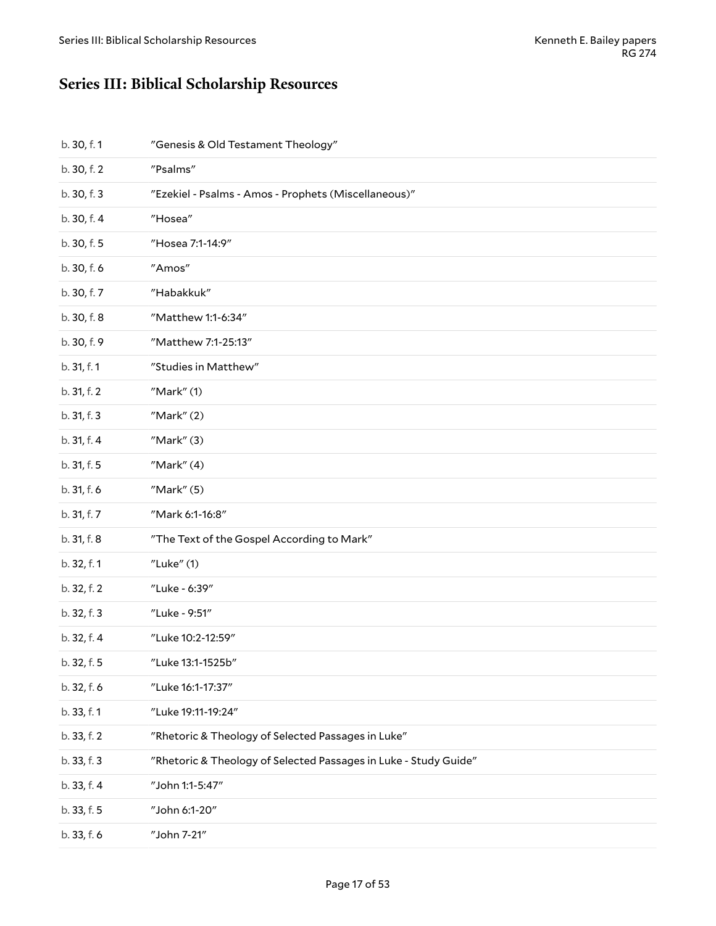# <span id="page-16-0"></span>**Series III: Biblical Scholarship Resources**

| b. 30, f. 1 | "Genesis & Old Testament Theology"                               |
|-------------|------------------------------------------------------------------|
| b. 30, f. 2 | "Psalms"                                                         |
| b. 30, f. 3 | "Ezekiel - Psalms - Amos - Prophets (Miscellaneous)"             |
| b. 30, f. 4 | "Hosea"                                                          |
| b. 30, f. 5 | "Hosea 7:1-14:9"                                                 |
| b. 30, f. 6 | "Amos"                                                           |
| b. 30, f. 7 | "Habakkuk"                                                       |
| b. 30, f. 8 | "Matthew 1:1-6:34"                                               |
| b. 30, f. 9 | "Matthew 7:1-25:13"                                              |
| b. 31, f. 1 | "Studies in Matthew"                                             |
| b. 31, f. 2 | $''$ Mark $''$ $(1)$                                             |
| b. 31, f. 3 | $''$ Mark $''(2)$                                                |
| b. 31, f. 4 | $''$ Mark $''(3)$                                                |
| b. 31, f. 5 | Mark''(4)                                                        |
| b. 31, f. 6 | $''$ Mark $''(5)$                                                |
| b. 31, f. 7 | "Mark 6:1-16:8"                                                  |
| b. 31, f. 8 | "The Text of the Gospel According to Mark"                       |
| b. 32, f. 1 | "Luke" (1)                                                       |
| b. 32, f. 2 | "Luke - 6:39"                                                    |
| b. 32, f. 3 | "Luke - 9:51"                                                    |
| b. 32, f. 4 | "Luke 10:2-12:59"                                                |
| b. 32, f. 5 | "Luke 13:1-1525b"                                                |
| b. 32, f. 6 | "Luke 16:1-17:37"                                                |
| b. 33, f. 1 | "Luke 19:11-19:24"                                               |
| b. 33, f. 2 | "Rhetoric & Theology of Selected Passages in Luke"               |
| b. 33, f. 3 | "Rhetoric & Theology of Selected Passages in Luke - Study Guide" |
| b. 33, f. 4 | "John 1:1-5:47"                                                  |
| b. 33, f. 5 | "John 6:1-20"                                                    |
| b. 33, f. 6 | "John 7-21"                                                      |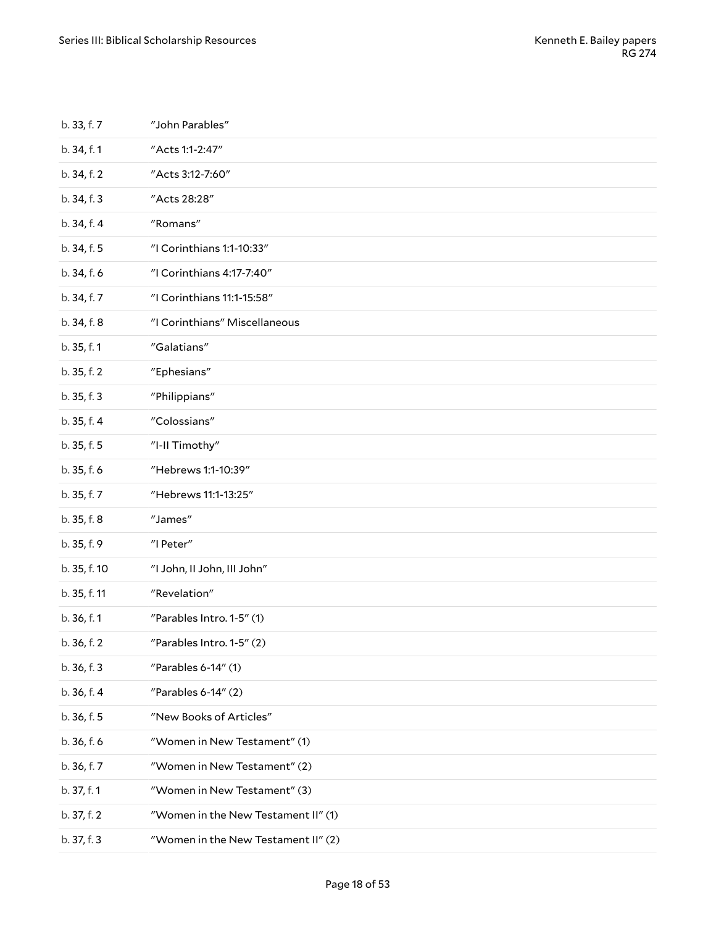| b. 33, f. 7  | "John Parables"                     |
|--------------|-------------------------------------|
| b. 34, f. 1  | "Acts 1:1-2:47"                     |
| b. 34, f. 2  | "Acts 3:12-7:60"                    |
| b. 34, f. 3  | "Acts 28:28"                        |
| b. 34, f. 4  | "Romans"                            |
| b. 34, f. 5  | "I Corinthians 1:1-10:33"           |
| b. 34, f. 6  | "I Corinthians 4:17-7:40"           |
| b. 34, f. 7  | "I Corinthians 11:1-15:58"          |
| b. 34, f. 8  | "I Corinthians" Miscellaneous       |
| b. 35, f. 1  | "Galatians"                         |
| b. 35, f. 2  | "Ephesians"                         |
| b. 35, f. 3  | "Philippians"                       |
| b. 35, f. 4  | "Colossians"                        |
| b. 35, f. 5  | "I-II Timothy"                      |
| b. 35, f. 6  | "Hebrews 1:1-10:39"                 |
| b. 35, f. 7  | "Hebrews 11:1-13:25"                |
| b. 35, f. 8  | "James"                             |
| b. 35, f. 9  | "I Peter"                           |
| b. 35, f. 10 | "I John, II John, III John"         |
| b. 35, f. 11 | "Revelation"                        |
| b. 36, f. 1  | "Parables Intro. 1-5" (1)           |
| b. 36, f. 2  | "Parables Intro. 1-5" (2)           |
| b. 36, f. 3  | "Parables 6-14" (1)                 |
| b. 36, f. 4  | "Parables $6-14"$ (2)               |
| b. 36, f. 5  | "New Books of Articles"             |
| b. 36, f. 6  | "Women in New Testament" (1)        |
| b. 36, f. 7  | "Women in New Testament" (2)        |
| b. 37, f. 1  | "Women in New Testament" (3)        |
| b. 37, f. 2  | "Women in the New Testament II" (1) |
| b. 37, f. 3  | "Women in the New Testament II" (2) |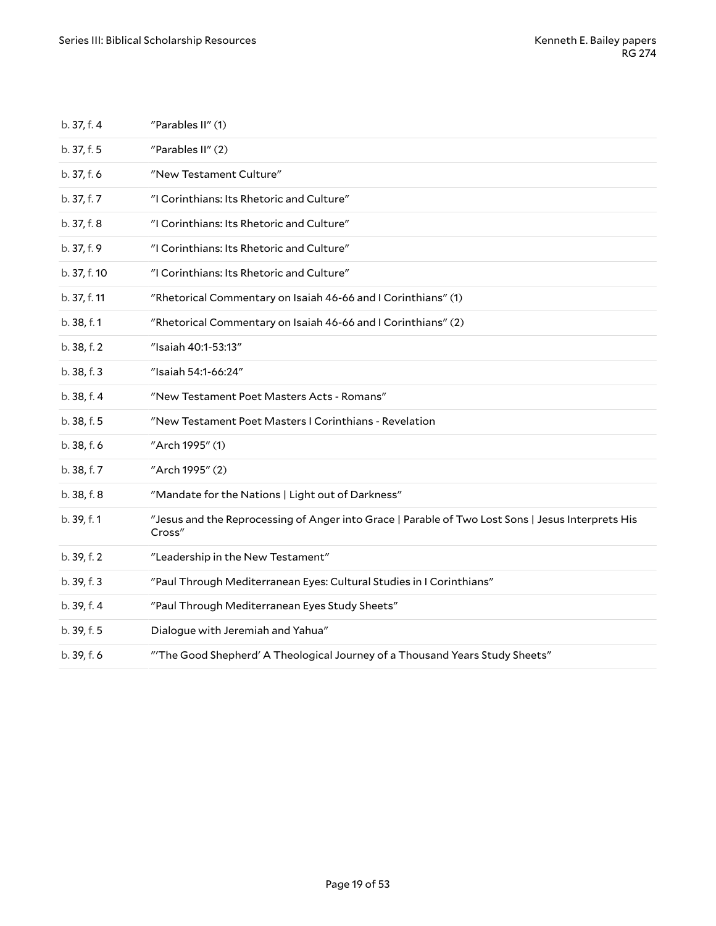| b. 37, f. 4  | "Parables II" (1)                                                                                           |
|--------------|-------------------------------------------------------------------------------------------------------------|
| b. 37, f. 5  | "Parables II" (2)                                                                                           |
| b. 37, f. 6  | "New Testament Culture"                                                                                     |
| b. 37, f. 7  | "I Corinthians: Its Rhetoric and Culture"                                                                   |
| b. 37, f. 8  | "I Corinthians: Its Rhetoric and Culture"                                                                   |
| b. 37, f. 9  | "I Corinthians: Its Rhetoric and Culture"                                                                   |
| b. 37, f. 10 | "I Corinthians: Its Rhetoric and Culture"                                                                   |
| b. 37, f. 11 | "Rhetorical Commentary on Isaiah 46-66 and I Corinthians" (1)                                               |
| b. 38, f. 1  | "Rhetorical Commentary on Isaiah 46-66 and I Corinthians" (2)                                               |
| b. 38, f. 2  | "Isaiah 40:1-53:13"                                                                                         |
| b. 38, f. 3  | "Isaiah 54:1-66:24"                                                                                         |
| b. 38, f. 4  | "New Testament Poet Masters Acts - Romans"                                                                  |
| b. 38, f. 5  | "New Testament Poet Masters I Corinthians - Revelation                                                      |
| b. 38, f. 6  | "Arch 1995" (1)                                                                                             |
| b. 38, f. 7  | "Arch 1995" (2)                                                                                             |
| b. 38, f. 8  | "Mandate for the Nations   Light out of Darkness"                                                           |
| b. 39, f. 1  | "Jesus and the Reprocessing of Anger into Grace   Parable of Two Lost Sons   Jesus Interprets His<br>Cross" |
| b. 39, f. 2  | "Leadership in the New Testament"                                                                           |
| b. 39, f. 3  | "Paul Through Mediterranean Eyes: Cultural Studies in I Corinthians"                                        |
| b. 39, f. 4  | "Paul Through Mediterranean Eyes Study Sheets"                                                              |
| b. 39, f. 5  | Dialogue with Jeremiah and Yahua"                                                                           |
| b. 39, f. 6  | "The Good Shepherd' A Theological Journey of a Thousand Years Study Sheets"                                 |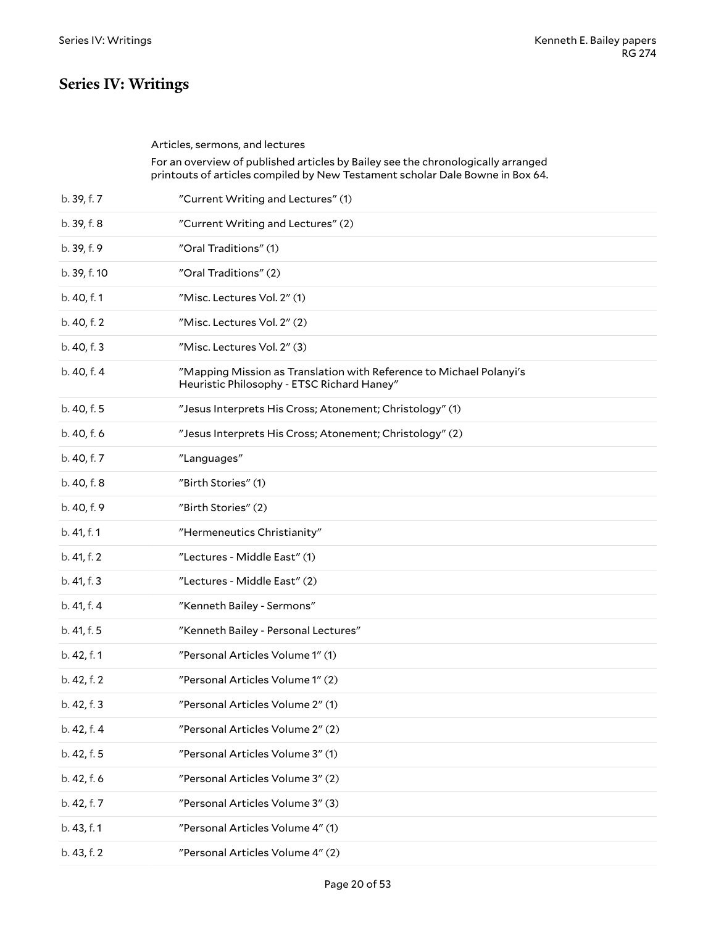# <span id="page-19-0"></span>**Series IV: Writings**

<span id="page-19-1"></span>

|              | Articles, sermons, and lectures<br>For an overview of published articles by Bailey see the chronologically arranged<br>printouts of articles compiled by New Testament scholar Dale Bowne in Box 64. |
|--------------|------------------------------------------------------------------------------------------------------------------------------------------------------------------------------------------------------|
| b. 39, f. 7  | "Current Writing and Lectures" (1)                                                                                                                                                                   |
| b. 39, f. 8  | "Current Writing and Lectures" (2)                                                                                                                                                                   |
| b. 39, f. 9  | "Oral Traditions" (1)                                                                                                                                                                                |
| b. 39, f. 10 | "Oral Traditions" (2)                                                                                                                                                                                |
| b. 40, f. 1  | "Misc. Lectures Vol. 2" (1)                                                                                                                                                                          |
| b. 40, f. 2  | "Misc. Lectures Vol. 2" (2)                                                                                                                                                                          |
| b. 40, f. 3  | "Misc. Lectures Vol. 2" (3)                                                                                                                                                                          |
| b. 40, f. 4  | "Mapping Mission as Translation with Reference to Michael Polanyi's<br>Heuristic Philosophy - ETSC Richard Haney"                                                                                    |
| b. 40, f. 5  | "Jesus Interprets His Cross; Atonement; Christology" (1)                                                                                                                                             |
| b. 40, f. 6  | "Jesus Interprets His Cross; Atonement; Christology" (2)                                                                                                                                             |
| b. 40, f. 7  | "Languages"                                                                                                                                                                                          |
| b. 40, f. 8  | "Birth Stories" (1)                                                                                                                                                                                  |
| b. 40, f. 9  | "Birth Stories" (2)                                                                                                                                                                                  |
| b. 41, f. 1  | "Hermeneutics Christianity"                                                                                                                                                                          |
| b. 41, f. 2  | "Lectures - Middle East" (1)                                                                                                                                                                         |
| b. 41, f. 3  | "Lectures - Middle East" (2)                                                                                                                                                                         |
| b. 41, f. 4  | "Kenneth Bailey - Sermons"                                                                                                                                                                           |
| b. 41, f. 5  | "Kenneth Bailey - Personal Lectures"                                                                                                                                                                 |
| b. 42, f. 1  | "Personal Articles Volume 1" (1)                                                                                                                                                                     |
| b. 42, f. 2  | "Personal Articles Volume 1" (2)                                                                                                                                                                     |
| b. 42, f. 3  | "Personal Articles Volume 2" (1)                                                                                                                                                                     |
| b. 42, f. 4  | "Personal Articles Volume 2" (2)                                                                                                                                                                     |
| b. 42, f. 5  | "Personal Articles Volume 3" (1)                                                                                                                                                                     |
| b. 42, f. 6  | "Personal Articles Volume 3" (2)                                                                                                                                                                     |
| b. 42, f. 7  | "Personal Articles Volume 3" (3)                                                                                                                                                                     |
| b. 43, f. 1  | "Personal Articles Volume 4" (1)                                                                                                                                                                     |
| b. 43, f. 2  | "Personal Articles Volume 4" (2)                                                                                                                                                                     |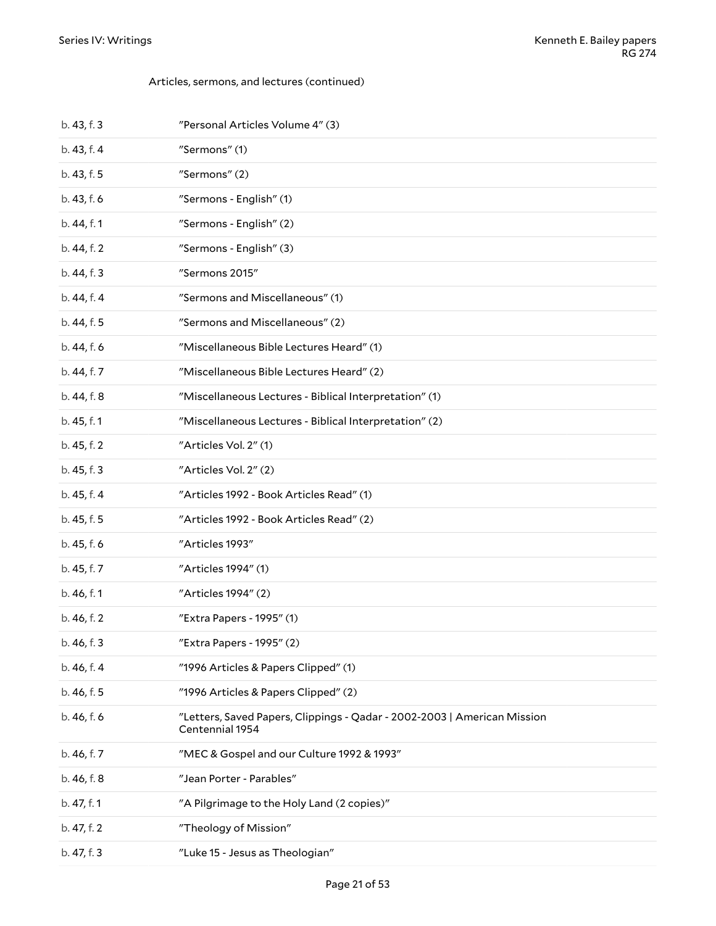#### Articles, sermons, and lectures (continued)

| b. 43, f. 3 | "Personal Articles Volume 4" (3)                                                            |  |
|-------------|---------------------------------------------------------------------------------------------|--|
| b. 43, f. 4 | "Sermons" (1)                                                                               |  |
| b. 43, f. 5 | "Sermons" (2)                                                                               |  |
| b. 43, f. 6 | "Sermons - English" (1)                                                                     |  |
| b. 44, f. 1 | "Sermons - English" (2)                                                                     |  |
| b. 44, f. 2 | "Sermons - English" (3)                                                                     |  |
| b. 44, f. 3 | "Sermons 2015"                                                                              |  |
| b. 44, f. 4 | "Sermons and Miscellaneous" (1)                                                             |  |
| b. 44, f. 5 | "Sermons and Miscellaneous" (2)                                                             |  |
| b. 44, f. 6 | "Miscellaneous Bible Lectures Heard" (1)                                                    |  |
| b. 44, f. 7 | "Miscellaneous Bible Lectures Heard" (2)                                                    |  |
| b. 44, f. 8 | "Miscellaneous Lectures - Biblical Interpretation" (1)                                      |  |
| b. 45, f. 1 | "Miscellaneous Lectures - Biblical Interpretation" (2)                                      |  |
| b. 45, f. 2 | "Articles Vol. 2" (1)                                                                       |  |
| b. 45, f. 3 | "Articles Vol. 2" (2)                                                                       |  |
| b. 45, f. 4 | "Articles 1992 - Book Articles Read" (1)                                                    |  |
| b. 45, f. 5 | "Articles 1992 - Book Articles Read" (2)                                                    |  |
| b. 45, f. 6 | "Articles 1993"                                                                             |  |
| b. 45, f. 7 | "Articles 1994" (1)                                                                         |  |
| b. 46, f. 1 | "Articles 1994" (2)                                                                         |  |
| b. 46, f. 2 | "Extra Papers - 1995" (1)                                                                   |  |
| b. 46, f. 3 | "Extra Papers - 1995" (2)                                                                   |  |
| b. 46, f. 4 | "1996 Articles & Papers Clipped" (1)                                                        |  |
| b. 46, f. 5 | "1996 Articles & Papers Clipped" (2)                                                        |  |
| b. 46, f. 6 | "Letters, Saved Papers, Clippings - Qadar - 2002-2003   American Mission<br>Centennial 1954 |  |
| b. 46, f. 7 | "MEC & Gospel and our Culture 1992 & 1993"                                                  |  |
| b. 46, f. 8 | "Jean Porter - Parables"                                                                    |  |
| b. 47, f. 1 | "A Pilgrimage to the Holy Land (2 copies)"                                                  |  |
| b. 47, f. 2 | "Theology of Mission"                                                                       |  |
| b. 47, f. 3 | "Luke 15 - Jesus as Theologian"                                                             |  |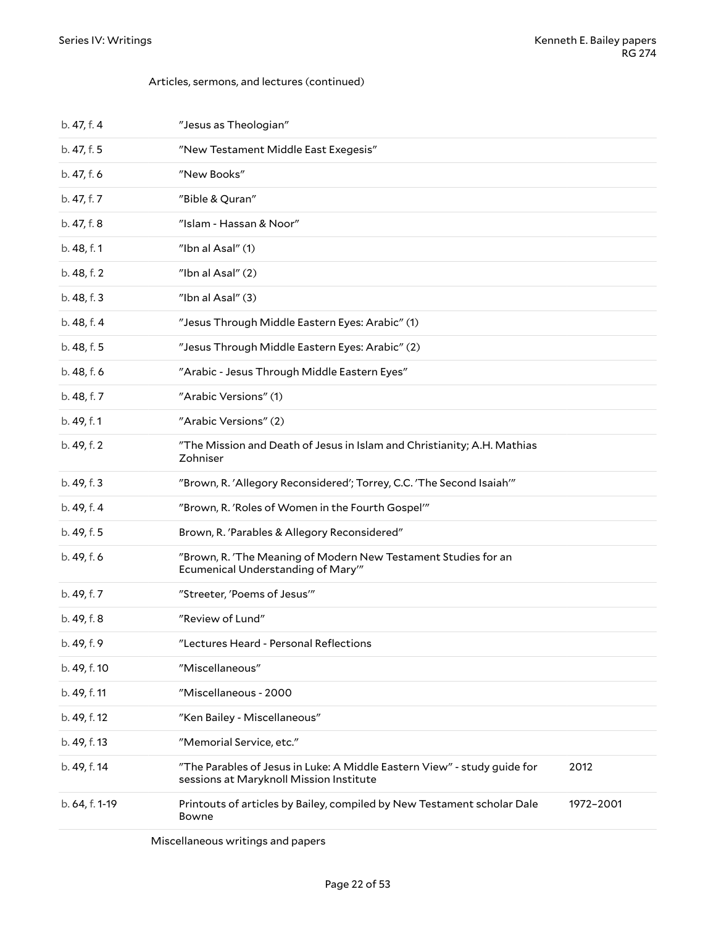#### Articles, sermons, and lectures (continued)

| b. 47, f. 4    | "Jesus as Theologian"                                                                                                       |  |  |
|----------------|-----------------------------------------------------------------------------------------------------------------------------|--|--|
| b. 47, f. 5    | "New Testament Middle East Exegesis"                                                                                        |  |  |
| b. 47, f. 6    | "New Books"                                                                                                                 |  |  |
| b. 47, f. 7    | "Bible & Quran"                                                                                                             |  |  |
| b. 47, f. 8    | "Islam - Hassan & Noor"                                                                                                     |  |  |
| b. 48, f. 1    | "Ibn al Asal" (1)                                                                                                           |  |  |
| b. 48, f. 2    | "Ibn al Asal" (2)                                                                                                           |  |  |
| b. 48, f. 3    | "Ibn al Asal" (3)                                                                                                           |  |  |
| b. 48, f. 4    | "Jesus Through Middle Eastern Eyes: Arabic" (1)                                                                             |  |  |
| b. 48, f. 5    | "Jesus Through Middle Eastern Eyes: Arabic" (2)                                                                             |  |  |
| b. 48, f. 6    | "Arabic - Jesus Through Middle Eastern Eyes"                                                                                |  |  |
| b. 48, f. 7    | "Arabic Versions" (1)                                                                                                       |  |  |
| b. 49, f. 1    | "Arabic Versions" (2)                                                                                                       |  |  |
| b. 49, f. 2    | "The Mission and Death of Jesus in Islam and Christianity; A.H. Mathias<br>Zohniser                                         |  |  |
| b. 49, f. 3    | "Brown, R. 'Allegory Reconsidered'; Torrey, C.C. 'The Second Isaiah'"                                                       |  |  |
| b. 49, f. 4    | "Brown, R. 'Roles of Women in the Fourth Gospel'"                                                                           |  |  |
| b. 49, f. 5    | Brown, R. 'Parables & Allegory Reconsidered"                                                                                |  |  |
| b. 49, f. 6    | "Brown, R. 'The Meaning of Modern New Testament Studies for an<br>Ecumenical Understanding of Mary"                         |  |  |
| b. 49, f. 7    | "Streeter, 'Poems of Jesus'"                                                                                                |  |  |
| b. 49, f. 8    | "Review of Lund"                                                                                                            |  |  |
| b. 49, f. 9    | "Lectures Heard - Personal Reflections                                                                                      |  |  |
| b. 49, f. 10   | "Miscellaneous"                                                                                                             |  |  |
| b. 49, f. 11   | "Miscellaneous - 2000                                                                                                       |  |  |
| b. 49, f. 12   | "Ken Bailey - Miscellaneous"                                                                                                |  |  |
| b. 49, f. 13   | "Memorial Service, etc."                                                                                                    |  |  |
| b. 49, f. 14   | "The Parables of Jesus in Luke: A Middle Eastern View" - study guide for<br>2012<br>sessions at Maryknoll Mission Institute |  |  |
| b. 64, f. 1-19 | Printouts of articles by Bailey, compiled by New Testament scholar Dale<br>1972-2001<br>Bowne                               |  |  |
|                |                                                                                                                             |  |  |

<span id="page-21-0"></span>Miscellaneous writings and papers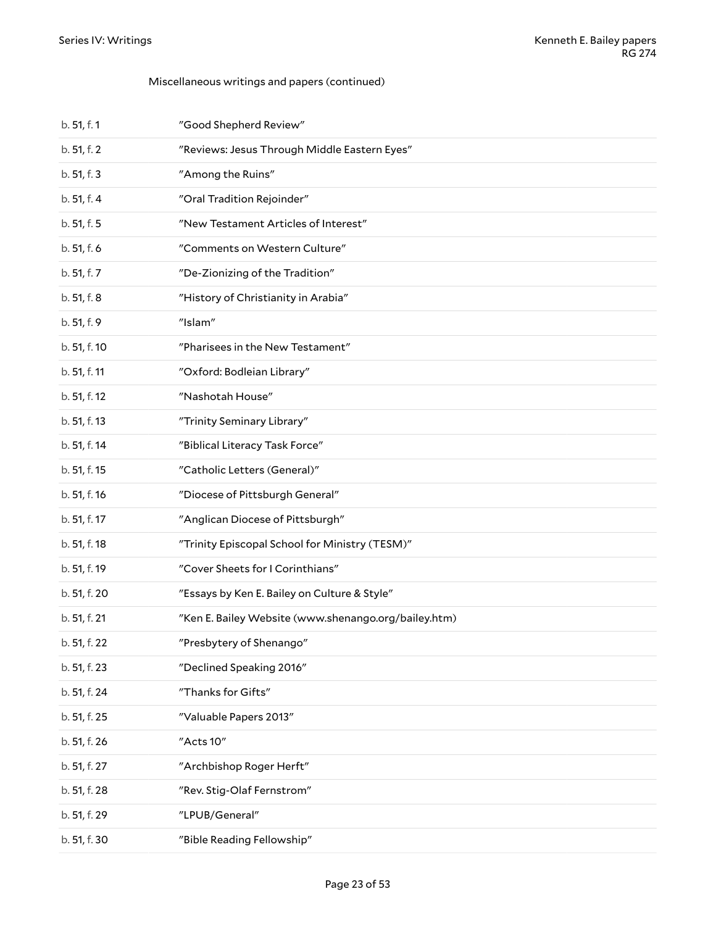| b. 51, f. 1  | "Good Shepherd Review"                               |
|--------------|------------------------------------------------------|
| b. 51, f. 2  | "Reviews: Jesus Through Middle Eastern Eyes"         |
| b. 51, f. 3  | "Among the Ruins"                                    |
| b. 51, f. 4  | "Oral Tradition Rejoinder"                           |
| b. 51, f. 5  | "New Testament Articles of Interest"                 |
| b. 51, f. 6  | "Comments on Western Culture"                        |
| b. 51, f. 7  | "De-Zionizing of the Tradition"                      |
| b. 51, f. 8  | "History of Christianity in Arabia"                  |
| b. 51, f. 9  | "Islam"                                              |
| b. 51, f. 10 | "Pharisees in the New Testament"                     |
| b. 51, f. 11 | "Oxford: Bodleian Library"                           |
| b. 51, f. 12 | "Nashotah House"                                     |
| b. 51, f. 13 | "Trinity Seminary Library"                           |
| b. 51, f. 14 | "Biblical Literacy Task Force"                       |
| b. 51, f. 15 | "Catholic Letters (General)"                         |
| b. 51, f. 16 | "Diocese of Pittsburgh General"                      |
| b. 51, f. 17 | "Anglican Diocese of Pittsburgh"                     |
| b. 51, f. 18 | "Trinity Episcopal School for Ministry (TESM)"       |
| b. 51, f. 19 | "Cover Sheets for I Corinthians"                     |
| b. 51, f. 20 | "Essays by Ken E. Bailey on Culture & Style"         |
| b. 51, f. 21 | "Ken E. Bailey Website (www.shenango.org/bailey.htm) |
| b. 51, f. 22 | "Presbytery of Shenango"                             |
| b. 51, f. 23 | "Declined Speaking 2016"                             |
| b. 51, f. 24 | "Thanks for Gifts"                                   |
| b. 51, f. 25 | "Valuable Papers 2013"                               |
| b. 51, f. 26 | "Acts 10"                                            |
| b. 51, f. 27 | "Archbishop Roger Herft"                             |
| b. 51, f. 28 | "Rev. Stig-Olaf Fernstrom"                           |
| b. 51, f. 29 | "LPUB/General"                                       |
| b. 51, f. 30 | "Bible Reading Fellowship"                           |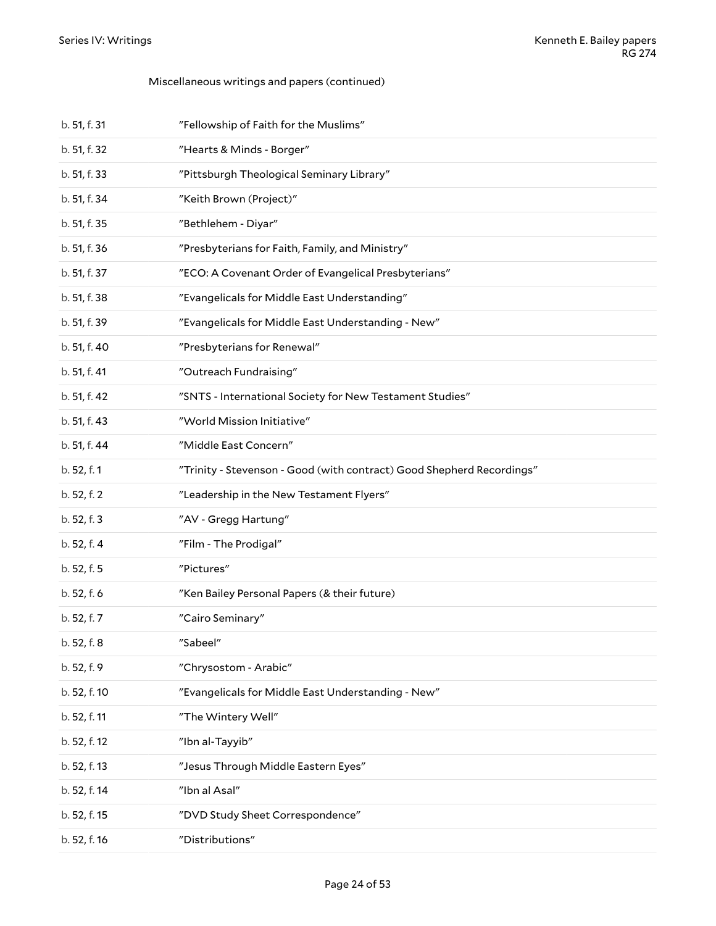| b. 51, f. 31 | "Fellowship of Faith for the Muslims"                                 |  |
|--------------|-----------------------------------------------------------------------|--|
| b. 51, f. 32 | "Hearts & Minds - Borger"                                             |  |
| b. 51, f. 33 | "Pittsburgh Theological Seminary Library"                             |  |
| b. 51, f. 34 | "Keith Brown (Project)"                                               |  |
| b. 51, f. 35 | "Bethlehem - Diyar"                                                   |  |
| b. 51, f. 36 | "Presbyterians for Faith, Family, and Ministry"                       |  |
| b. 51, f. 37 | "ECO: A Covenant Order of Evangelical Presbyterians"                  |  |
| b. 51, f. 38 | "Evangelicals for Middle East Understanding"                          |  |
| b. 51, f. 39 | "Evangelicals for Middle East Understanding - New"                    |  |
| b. 51, f. 40 | "Presbyterians for Renewal"                                           |  |
| b. 51, f. 41 | "Outreach Fundraising"                                                |  |
| b. 51, f. 42 | "SNTS - International Society for New Testament Studies"              |  |
| b. 51, f. 43 | "World Mission Initiative"                                            |  |
| b. 51, f. 44 | "Middle East Concern"                                                 |  |
| b. 52, f. 1  | "Trinity - Stevenson - Good (with contract) Good Shepherd Recordings" |  |
| b. 52, f. 2  | "Leadership in the New Testament Flyers"                              |  |
| b. 52, f. 3  | "AV - Gregg Hartung"                                                  |  |
| b. 52, f. 4  | "Film - The Prodigal"                                                 |  |
| b. 52, f. 5  | "Pictures"                                                            |  |
| b. 52, f. 6  | "Ken Bailey Personal Papers (& their future)                          |  |
| b. 52, f. 7  | "Cairo Seminary"                                                      |  |
| b. 52, f. 8  | "Sabeel"                                                              |  |
| b. 52, f. 9  | "Chrysostom - Arabic"                                                 |  |
| b. 52, f. 10 | "Evangelicals for Middle East Understanding - New"                    |  |
| b. 52, f. 11 |                                                                       |  |
|              | "The Wintery Well"                                                    |  |
| b. 52, f. 12 | "Ibn al-Tayyib"                                                       |  |
| b. 52, f. 13 | "Jesus Through Middle Eastern Eyes"                                   |  |
| b. 52, f. 14 | "Ibn al Asal"                                                         |  |
| b. 52, f. 15 | "DVD Study Sheet Correspondence"                                      |  |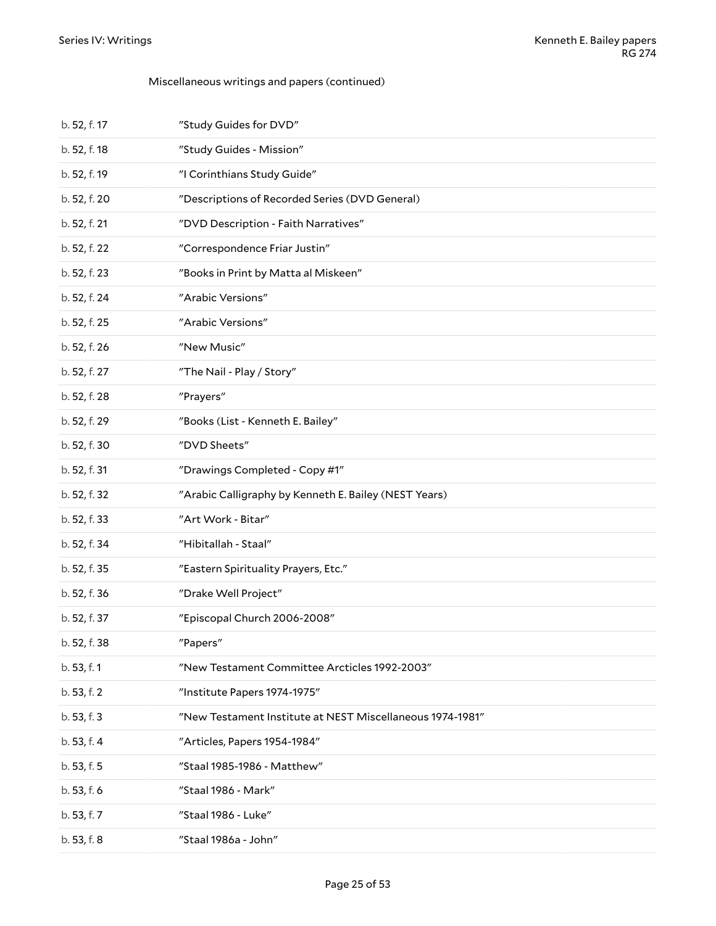| b. 52, f. 17 | "Study Guides for DVD"                                    |  |
|--------------|-----------------------------------------------------------|--|
| b. 52, f. 18 | "Study Guides - Mission"                                  |  |
| b. 52, f. 19 | "I Corinthians Study Guide"                               |  |
| b. 52, f. 20 | "Descriptions of Recorded Series (DVD General)            |  |
| b. 52, f. 21 | "DVD Description - Faith Narratives"                      |  |
| b. 52, f. 22 | "Correspondence Friar Justin"                             |  |
| b. 52, f. 23 | "Books in Print by Matta al Miskeen"                      |  |
| b. 52, f. 24 | "Arabic Versions"                                         |  |
| b. 52, f. 25 | "Arabic Versions"                                         |  |
| b. 52, f. 26 | "New Music"                                               |  |
| b. 52, f. 27 | "The Nail - Play / Story"                                 |  |
| b. 52, f. 28 | "Prayers"                                                 |  |
| b. 52, f. 29 | "Books (List - Kenneth E. Bailey"                         |  |
| b. 52, f. 30 | "DVD Sheets"                                              |  |
| b. 52, f. 31 | "Drawings Completed - Copy #1"                            |  |
| b. 52, f. 32 | "Arabic Calligraphy by Kenneth E. Bailey (NEST Years)     |  |
| b. 52, f. 33 | "Art Work - Bitar"                                        |  |
| b. 52, f. 34 | "Hibitallah - Staal"                                      |  |
| b. 52, f. 35 |                                                           |  |
|              | "Eastern Spirituality Prayers, Etc."                      |  |
| b. 52, f. 36 | "Drake Well Project"                                      |  |
| b. 52, f. 37 | "Episcopal Church 2006-2008"                              |  |
| b. 52, f. 38 | "Papers"                                                  |  |
| b. 53, f. 1  | "New Testament Committee Arcticles 1992-2003"             |  |
| b. 53, f. 2  | "Institute Papers 1974-1975"                              |  |
| b. 53, f. 3  | "New Testament Institute at NEST Miscellaneous 1974-1981" |  |
| b. 53, f. 4  | "Articles, Papers 1954-1984"                              |  |
| b. 53, f. 5  | "Staal 1985-1986 - Matthew"                               |  |
| b. 53, f. 6  | "Staal 1986 - Mark"                                       |  |
| b. 53, f. 7  | "Staal 1986 - Luke"                                       |  |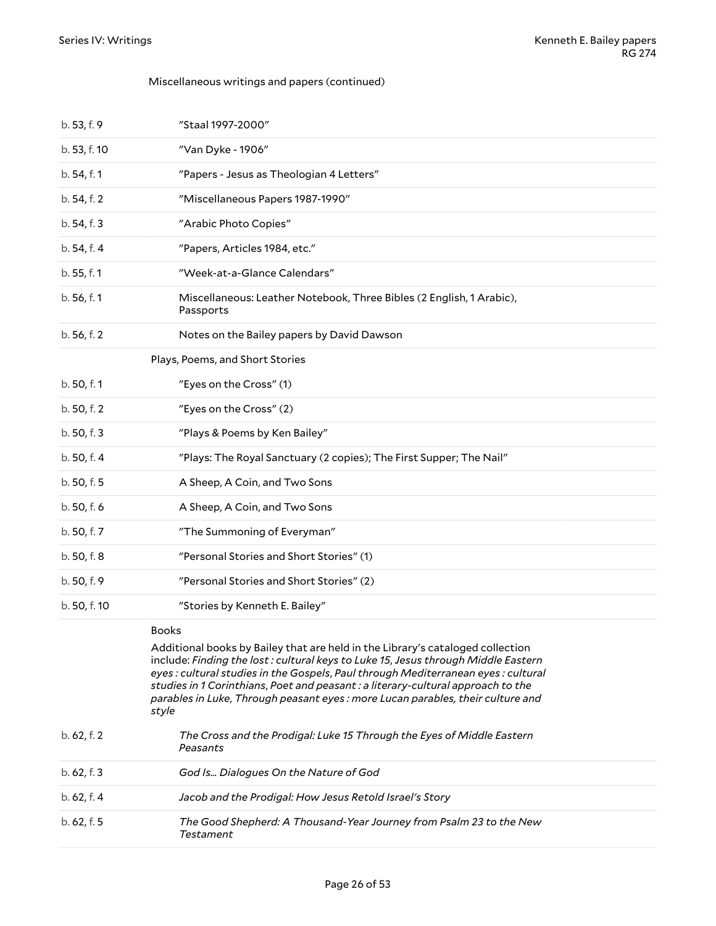<span id="page-25-1"></span><span id="page-25-0"></span>

| b. 53, f. 9  | "Staal 1997-2000"                                                                                                                                                                                                                                                                                                                                                                                                                                       |  |
|--------------|---------------------------------------------------------------------------------------------------------------------------------------------------------------------------------------------------------------------------------------------------------------------------------------------------------------------------------------------------------------------------------------------------------------------------------------------------------|--|
| b. 53, f. 10 | "Van Dyke - 1906"                                                                                                                                                                                                                                                                                                                                                                                                                                       |  |
| b. 54, f. 1  | "Papers - Jesus as Theologian 4 Letters"                                                                                                                                                                                                                                                                                                                                                                                                                |  |
| b. 54, f. 2  | "Miscellaneous Papers 1987-1990"                                                                                                                                                                                                                                                                                                                                                                                                                        |  |
| b. 54, f. 3  | "Arabic Photo Copies"                                                                                                                                                                                                                                                                                                                                                                                                                                   |  |
| b. 54, f. 4  | "Papers, Articles 1984, etc."                                                                                                                                                                                                                                                                                                                                                                                                                           |  |
| b. 55, f. 1  | "Week-at-a-Glance Calendars"                                                                                                                                                                                                                                                                                                                                                                                                                            |  |
| b. 56, f. 1  | Miscellaneous: Leather Notebook, Three Bibles (2 English, 1 Arabic),<br>Passports                                                                                                                                                                                                                                                                                                                                                                       |  |
| b. 56, f. 2  | Notes on the Bailey papers by David Dawson                                                                                                                                                                                                                                                                                                                                                                                                              |  |
|              | Plays, Poems, and Short Stories                                                                                                                                                                                                                                                                                                                                                                                                                         |  |
| b. 50, f. 1  | "Eyes on the Cross" (1)                                                                                                                                                                                                                                                                                                                                                                                                                                 |  |
| b. 50, f. 2  | "Eyes on the Cross" (2)                                                                                                                                                                                                                                                                                                                                                                                                                                 |  |
| b. 50, f. 3  | "Plays & Poems by Ken Bailey"                                                                                                                                                                                                                                                                                                                                                                                                                           |  |
| b. 50, f. 4  | "Plays: The Royal Sanctuary (2 copies); The First Supper; The Nail"                                                                                                                                                                                                                                                                                                                                                                                     |  |
| b. 50, f. 5  | A Sheep, A Coin, and Two Sons                                                                                                                                                                                                                                                                                                                                                                                                                           |  |
| b. 50, f. 6  | A Sheep, A Coin, and Two Sons                                                                                                                                                                                                                                                                                                                                                                                                                           |  |
| b. 50, f. 7  | "The Summoning of Everyman"                                                                                                                                                                                                                                                                                                                                                                                                                             |  |
| b. 50, f. 8  | "Personal Stories and Short Stories" (1)                                                                                                                                                                                                                                                                                                                                                                                                                |  |
| b. 50, f. 9  | "Personal Stories and Short Stories" (2)                                                                                                                                                                                                                                                                                                                                                                                                                |  |
| b. 50, f. 10 | "Stories by Kenneth E. Bailey"                                                                                                                                                                                                                                                                                                                                                                                                                          |  |
|              | <b>Books</b><br>Additional books by Bailey that are held in the Library's cataloged collection<br>include: Finding the lost: cultural keys to Luke 15, Jesus through Middle Eastern<br>eyes: cultural studies in the Gospels, Paul through Mediterranean eyes: cultural<br>studies in 1 Corinthians, Poet and peasant : a literary-cultural approach to the<br>parables in Luke, Through peasant eyes : more Lucan parables, their culture and<br>style |  |
| b. 62, f. 2  | The Cross and the Prodigal: Luke 15 Through the Eyes of Middle Eastern<br>Peasants                                                                                                                                                                                                                                                                                                                                                                      |  |
| b. 62, f. 3  | God Is Dialogues On the Nature of God                                                                                                                                                                                                                                                                                                                                                                                                                   |  |
| b.62, f.4    | Jacob and the Prodigal: How Jesus Retold Israel's Story                                                                                                                                                                                                                                                                                                                                                                                                 |  |
| b. 62, f. 5  | The Good Shepherd: A Thousand-Year Journey from Psalm 23 to the New<br><b>Testament</b>                                                                                                                                                                                                                                                                                                                                                                 |  |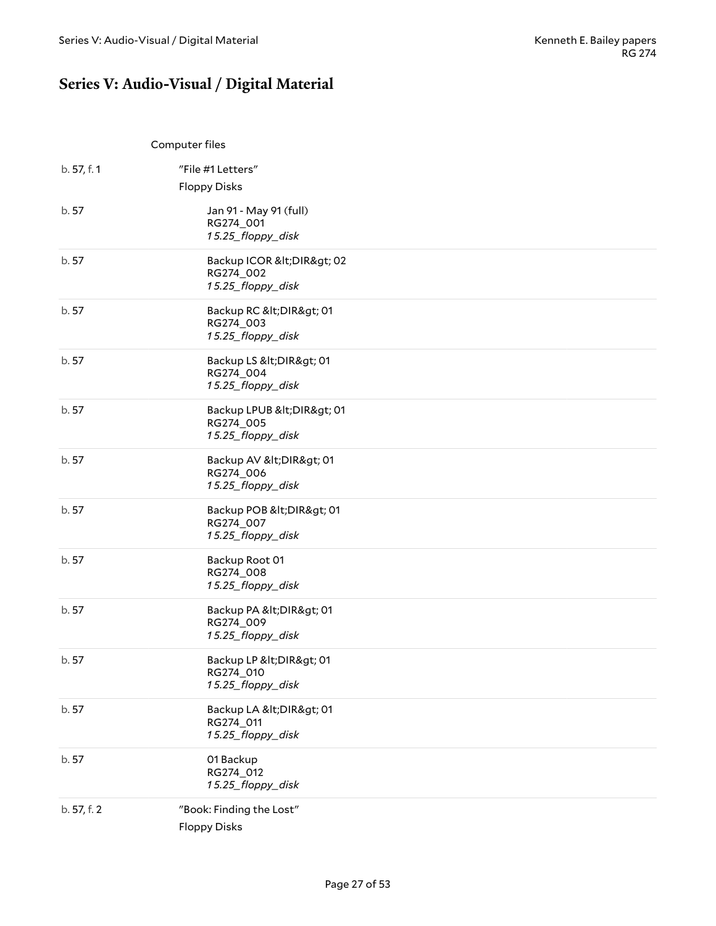# <span id="page-26-0"></span>**Series V: Audio-Visual / Digital Material**

<span id="page-26-1"></span>

|             | Computer files                                            |  |
|-------------|-----------------------------------------------------------|--|
| b. 57, f. 1 | "File #1 Letters"<br><b>Floppy Disks</b>                  |  |
| b. 57       | Jan 91 - May 91 (full)<br>RG274_001<br>15.25_floppy_disk  |  |
| b. 57       | Backup ICOR &It DIR> 02<br>RG274_002<br>15.25_floppy_disk |  |
| b.57        | Backup RC < DIR> 01<br>RG274_003<br>15.25_floppy_disk     |  |
| b. 57       | Backup LS < DIR> 01<br>RG274_004<br>15.25_floppy_disk     |  |
| b. 57       | Backup LPUB < DIR> 01<br>RG274_005<br>15.25_floppy_disk   |  |
| b. 57       | Backup AV < DIR> 01<br>RG274_006<br>15.25_floppy_disk     |  |
| b. 57       | Backup POB < DIR> 01<br>RG274_007<br>15.25_floppy_disk    |  |
| b. 57       | Backup Root 01<br>RG274_008<br>15.25_floppy_disk          |  |
| b.57        | Backup PA < DIR> 01<br>RG274_009<br>15.25_floppy_disk     |  |
| b.57        | Backup LP < DIR> 01<br>RG274_010<br>15.25_floppy_disk     |  |
| b. 57       | Backup LA < DIR> 01<br>RG274_011<br>15.25_floppy_disk     |  |
| b. 57       | 01 Backup<br>RG274_012<br>15.25_floppy_disk               |  |
| b. 57, f. 2 | "Book: Finding the Lost"<br><b>Floppy Disks</b>           |  |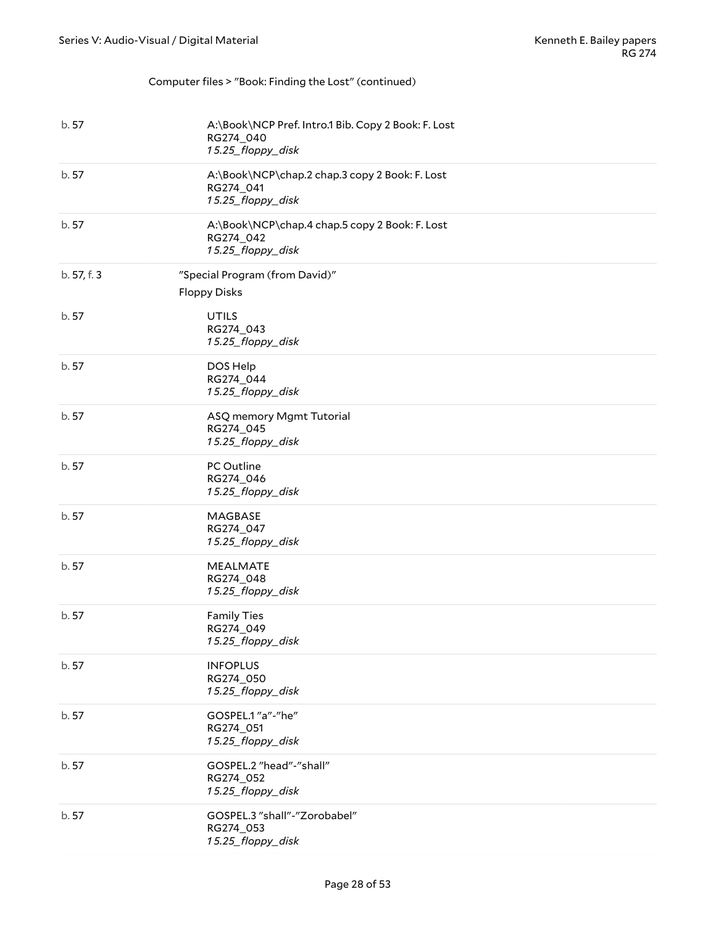#### Computer files > "Book: Finding the Lost" (continued)

| b. 57       | A:\Book\NCP Pref. Intro.1 Bib. Copy 2 Book: F. Lost<br>RG274_040<br>15.25_floppy_disk |
|-------------|---------------------------------------------------------------------------------------|
| b. 57       | A:\Book\NCP\chap.2 chap.3 copy 2 Book: F. Lost<br>RG274_041<br>15.25_floppy_disk      |
| b. 57       | A:\Book\NCP\chap.4 chap.5 copy 2 Book: F. Lost<br>RG274_042<br>15.25_floppy_disk      |
| b. 57, f. 3 | "Special Program (from David)"<br><b>Floppy Disks</b>                                 |
| b. 57       | <b>UTILS</b><br>RG274_043<br>15.25_floppy_disk                                        |
| b.57        | DOS Help<br>RG274_044<br>15.25_floppy_disk                                            |
| b. 57       | ASQ memory Mgmt Tutorial<br>RG274_045<br>15.25_floppy_disk                            |
| b. 57       | PC Outline<br>RG274_046<br>15.25_floppy_disk                                          |
| b. 57       | MAGBASE<br>RG274_047<br>15.25_floppy_disk                                             |
| b. 57       | <b>MEALMATE</b><br>RG274_048<br>15.25_floppy_disk                                     |
| b. 57       | <b>Family Ties</b><br>RG274_049<br>15.25_floppy_disk                                  |
| b.57        | <b>INFOPLUS</b><br>RG274_050<br>15.25_floppy_disk                                     |
| b. 57       | GOSPEL.1"a"-"he"<br>RG274_051<br>15.25_floppy_disk                                    |
| b.57        | GOSPEL.2 "head"-"shall"<br>RG274_052<br>15.25_floppy_disk                             |
| b. 57       | GOSPEL.3 "shall"-"Zorobabel"<br>RG274_053<br>15.25_floppy_disk                        |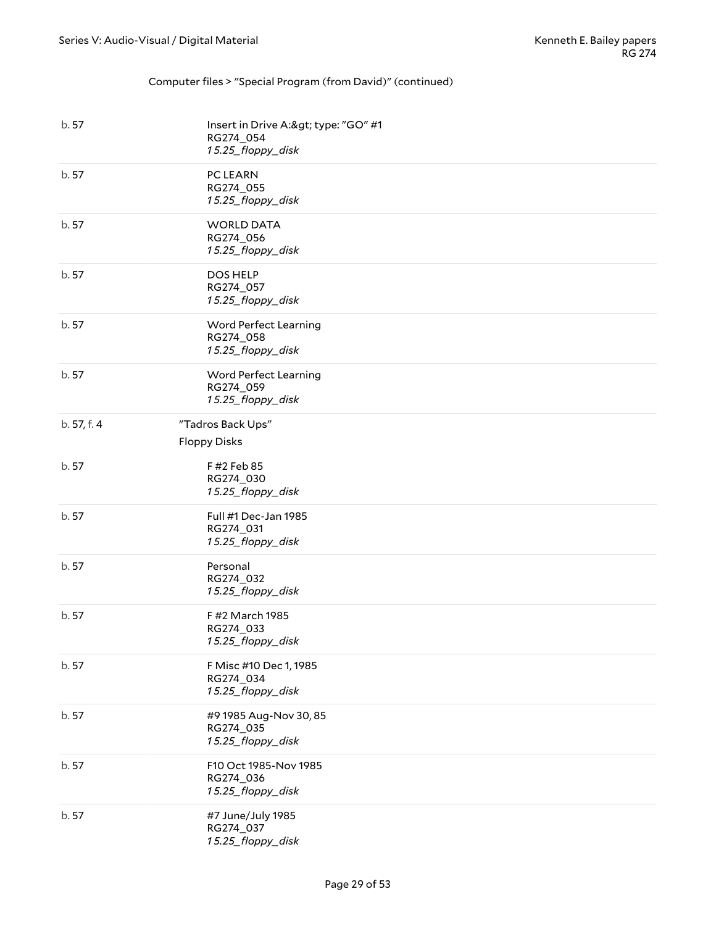#### Computer files > "Special Program (from David)" (continued)

| b. 57       | Insert in Drive A:> type: "GO" #1<br>RG274_054<br>15.25_floppy_disk |
|-------------|---------------------------------------------------------------------|
| b. 57       | PC LEARN<br>RG274_055<br>15.25_floppy_disk                          |
| b. 57       | <b>WORLD DATA</b><br>RG274_056<br>15.25_floppy_disk                 |
| b. 57       | DOS HELP<br>RG274_057<br>15.25_floppy_disk                          |
| b. 57       | Word Perfect Learning<br>RG274_058<br>15.25_floppy_disk             |
| b. 57       | Word Perfect Learning<br>RG274_059<br>15.25_floppy_disk             |
| b. 57, f. 4 | "Tadros Back Ups"<br><b>Floppy Disks</b>                            |
| b. 57       | F #2 Feb 85<br>RG274_030<br>15.25_floppy_disk                       |
| b. 57       | Full #1 Dec-Jan 1985<br>RG274_031<br>15.25_floppy_disk              |
| b. 57       | Personal<br>RG274_032<br>15.25_floppy_disk                          |
| b.57        | F #2 March 1985<br>RG274_033<br>15.25_floppy_disk                   |
| b. 57       | F Misc #10 Dec 1, 1985<br>RG274_034<br>15.25_floppy_disk            |
| b.57        | #9 1985 Aug-Nov 30, 85<br>RG274_035<br>15.25_floppy_disk            |
| b. 57       | F10 Oct 1985-Nov 1985<br>RG274_036<br>15.25_floppy_disk             |
| b. 57       | #7 June/July 1985<br>RG274_037<br>15.25_floppy_disk                 |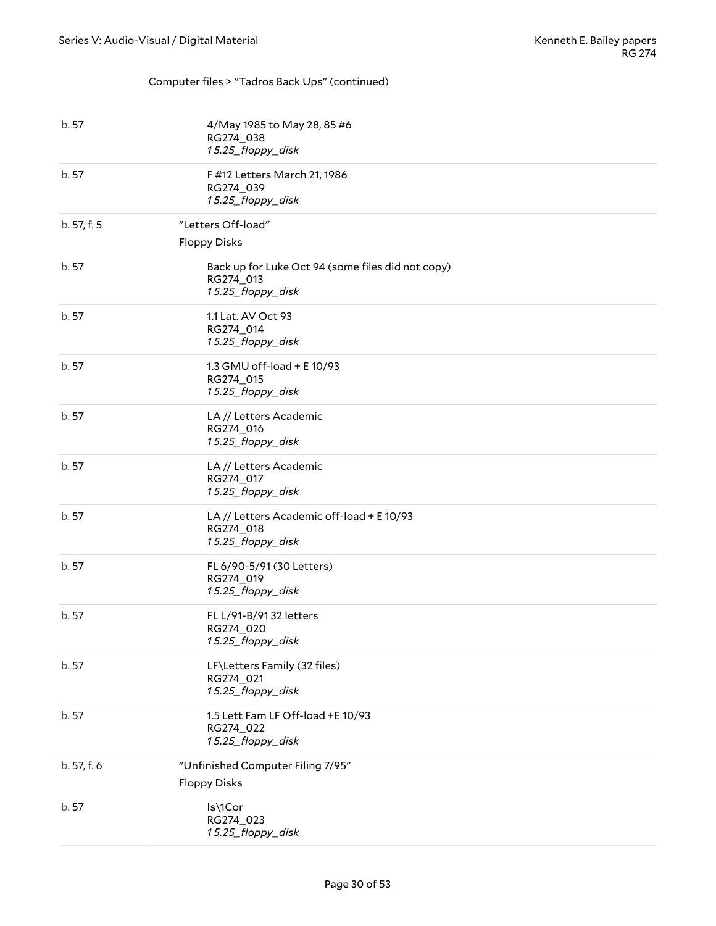### Computer files > "Tadros Back Ups" (continued)

| b. 57       | 4/May 1985 to May 28, 85 #6<br>RG274_038<br>15.25_floppy_disk                       |
|-------------|-------------------------------------------------------------------------------------|
| b. 57       | F #12 Letters March 21, 1986<br>RG274_039<br>15.25_floppy_disk                      |
| b. 57, f. 5 | "Letters Off-load"<br><b>Floppy Disks</b>                                           |
| b. 57       | Back up for Luke Oct 94 (some files did not copy)<br>RG274_013<br>15.25_floppy_disk |
| b. 57       | 1.1 Lat. AV Oct 93<br>RG274_014<br>15.25_floppy_disk                                |
| b. 57       | 1.3 GMU off-load + E 10/93<br>RG274_015<br>15.25_floppy_disk                        |
| b. 57       | LA // Letters Academic<br>RG274_016<br>15.25_floppy_disk                            |
| b. 57       | LA // Letters Academic<br>RG274_017<br>15.25_floppy_disk                            |
| b. 57       | LA // Letters Academic off-load + E 10/93<br>RG274_018<br>15.25_floppy_disk         |
| b. 57       | FL 6/90-5/91 (30 Letters)<br>RG274_019<br>15.25_floppy_disk                         |
| b. 57       | FL L/91-B/91 32 letters<br>RG274_020<br>15.25_floppy_disk                           |
| b.57        | LF\Letters Family (32 files)<br>RG274_021<br>15.25_floppy_disk                      |
| b.57        | 1.5 Lett Fam LF Off-load +E 10/93<br>RG274_022<br>15.25_floppy_disk                 |
| b. 57, f. 6 | "Unfinished Computer Filing 7/95"<br><b>Floppy Disks</b>                            |
| b. 57       | Is\1Cor<br>RG274_023<br>15.25_floppy_disk                                           |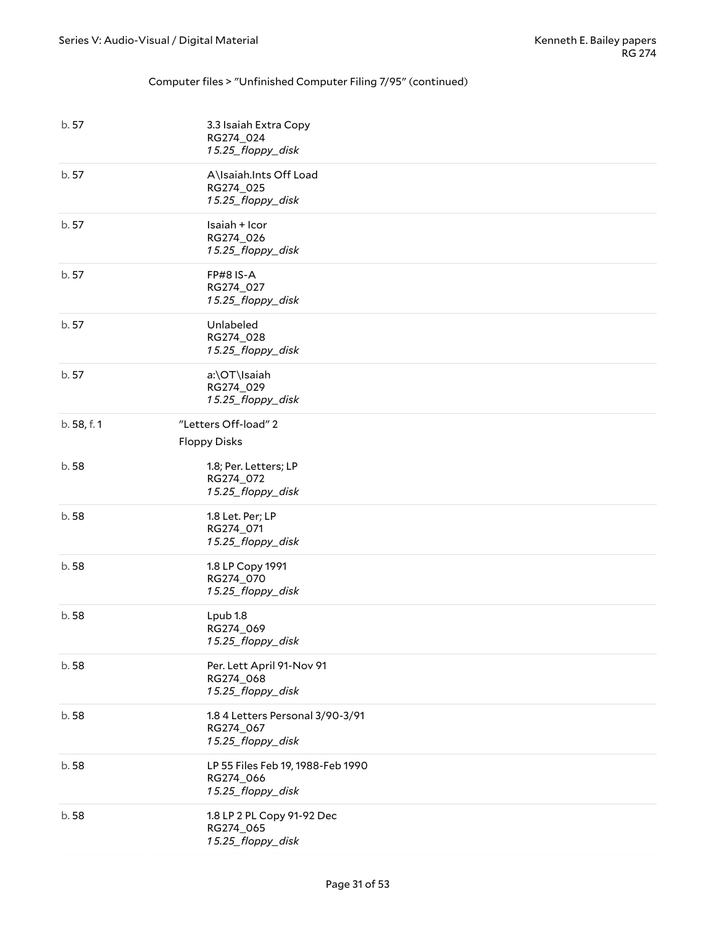#### Computer files > "Unfinished Computer Filing 7/95" (continued)

| b. 57       | 3.3 Isaiah Extra Copy<br>RG274_024<br>15.25_floppy_disk             |
|-------------|---------------------------------------------------------------------|
| b. 57       | A\Isaiah.Ints Off Load<br>RG274_025<br>15.25_floppy_disk            |
| b. 57       | Isaiah + Icor<br>RG274_026<br>15.25_floppy_disk                     |
| b. 57       | <b>FP#8 IS-A</b><br>RG274_027<br>15.25_floppy_disk                  |
| b. 57       | Unlabeled<br>RG274_028<br>15.25_floppy_disk                         |
| b. 57       | a:\OT\Isaiah<br>RG274_029<br>15.25_floppy_disk                      |
| b. 58, f. 1 | "Letters Off-load" 2<br><b>Floppy Disks</b>                         |
| b.58        | 1.8; Per. Letters; LP<br>RG274_072<br>15.25_floppy_disk             |
| b.58        | 1.8 Let. Per; LP<br>RG274_071<br>15.25_floppy_disk                  |
| b.58        | 1.8 LP Copy 1991<br>RG274_070<br>15.25_floppy_disk                  |
| b. 58       | Lpub 1.8<br>RG274_069<br>15.25_floppy_disk                          |
| b.58        | Per. Lett April 91-Nov 91<br>RG274_068<br>15.25_floppy_disk         |
| b.58        | 1.8 4 Letters Personal 3/90-3/91<br>RG274_067<br>15.25_floppy_disk  |
| b.58        | LP 55 Files Feb 19, 1988-Feb 1990<br>RG274_066<br>15.25_floppy_disk |
| b.58        | 1.8 LP 2 PL Copy 91-92 Dec<br>RG274_065<br>15.25_floppy_disk        |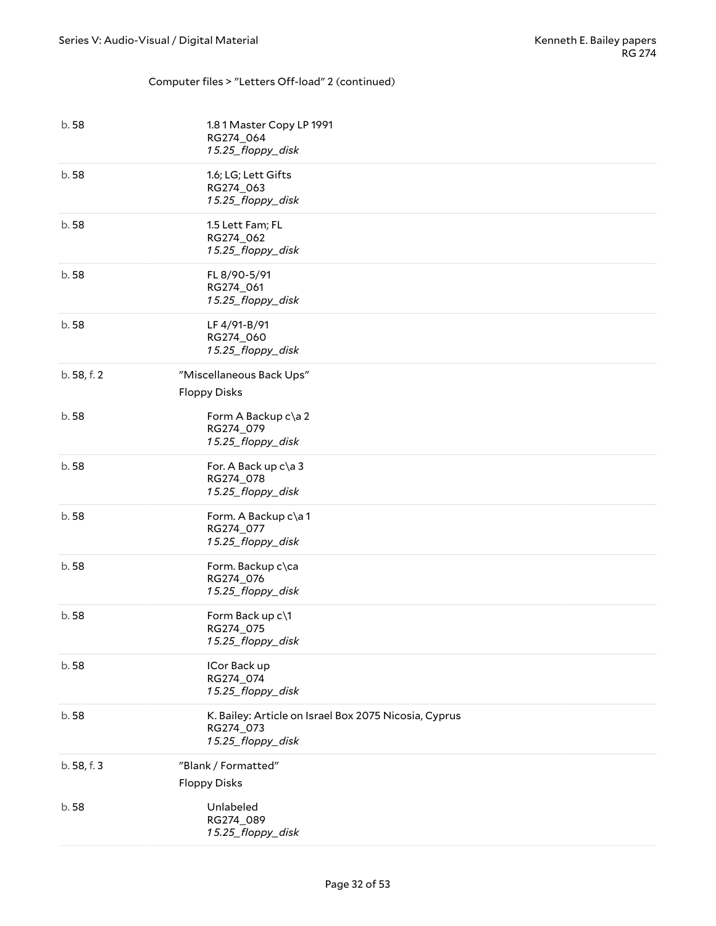#### Computer files > "Letters Off-load" 2 (continued)

| b.58        | 1.81 Master Copy LP 1991<br>RG274_064<br>15.25_floppy_disk                              |
|-------------|-----------------------------------------------------------------------------------------|
| b.58        | 1.6; LG; Lett Gifts<br>RG274_063<br>15.25_floppy_disk                                   |
| b.58        | 1.5 Lett Fam; FL<br>RG274_062<br>15.25_floppy_disk                                      |
| b.58        | FL 8/90-5/91<br>RG274_061<br>15.25_floppy_disk                                          |
| b.58        | LF 4/91-B/91<br>RG274_060<br>15.25_floppy_disk                                          |
| b. 58, f. 2 | "Miscellaneous Back Ups"<br><b>Floppy Disks</b>                                         |
| b.58        | Form A Backup c\a 2<br>RG274_079<br>15.25_floppy_disk                                   |
| b.58        | For. A Back up c\a 3<br>RG274_078<br>15.25_floppy_disk                                  |
| b.58        | Form. A Backup c\a1<br>RG274_077<br>15.25_floppy_disk                                   |
| b.58        | Form. Backup c\ca<br>RG274_076<br>15.25_floppy_disk                                     |
| b.58        | Form Back up c\1<br>RG274_075<br>15.25_floppy_disk                                      |
| b.58        | ICor Back up<br>RG274_074<br>15.25_floppy_disk                                          |
| b.58        | K. Bailey: Article on Israel Box 2075 Nicosia, Cyprus<br>RG274_073<br>15.25_floppy_disk |
| b. 58, f. 3 | "Blank / Formatted"<br><b>Floppy Disks</b>                                              |
| b.58        | Unlabeled<br>RG274_089<br>15.25_floppy_disk                                             |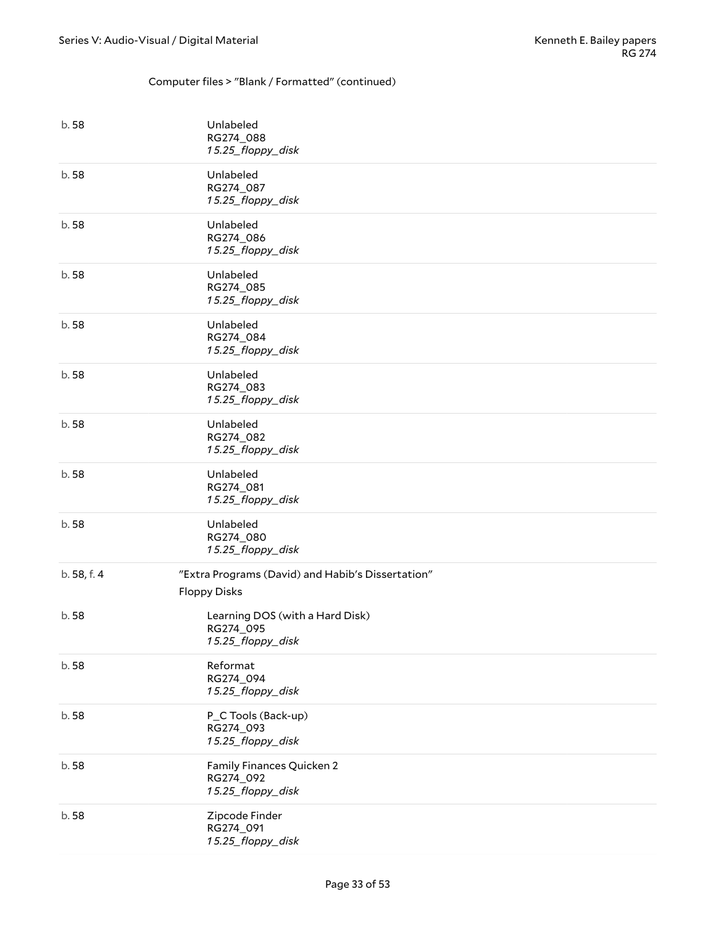#### Computer files > "Blank / Formatted" (continued)

| b.58        | Unlabeled<br>RG274_088<br>15.25_floppy_disk                              |
|-------------|--------------------------------------------------------------------------|
| b. 58       | Unlabeled<br>RG274_087<br>15.25_floppy_disk                              |
| b.58        | Unlabeled<br>RG274_086<br>15.25_floppy_disk                              |
| b. 58       | Unlabeled<br>RG274_085<br>15.25_floppy_disk                              |
| b.58        | Unlabeled<br>RG274_084<br>15.25_floppy_disk                              |
| b.58        | Unlabeled<br>RG274_083<br>15.25_floppy_disk                              |
| b.58        | Unlabeled<br>RG274_082<br>15.25_floppy_disk                              |
| b.58        | Unlabeled<br>RG274_081<br>15.25_floppy_disk                              |
| b.58        | Unlabeled<br>RG274_080<br>15.25_floppy_disk                              |
| b. 58, f. 4 | "Extra Programs (David) and Habib's Dissertation"<br><b>Floppy Disks</b> |
| b.58        | Learning DOS (with a Hard Disk)<br>RG274_095<br>15.25_floppy_disk        |
| b.58        | Reformat<br>RG274_094<br>15.25_floppy_disk                               |
| b.58        | P_C Tools (Back-up)<br>RG274_093<br>15.25_floppy_disk                    |
| b. 58       | Family Finances Quicken 2<br>RG274_092<br>15.25_floppy_disk              |
| b. 58       | Zipcode Finder<br>RG274_091<br>15.25_floppy_disk                         |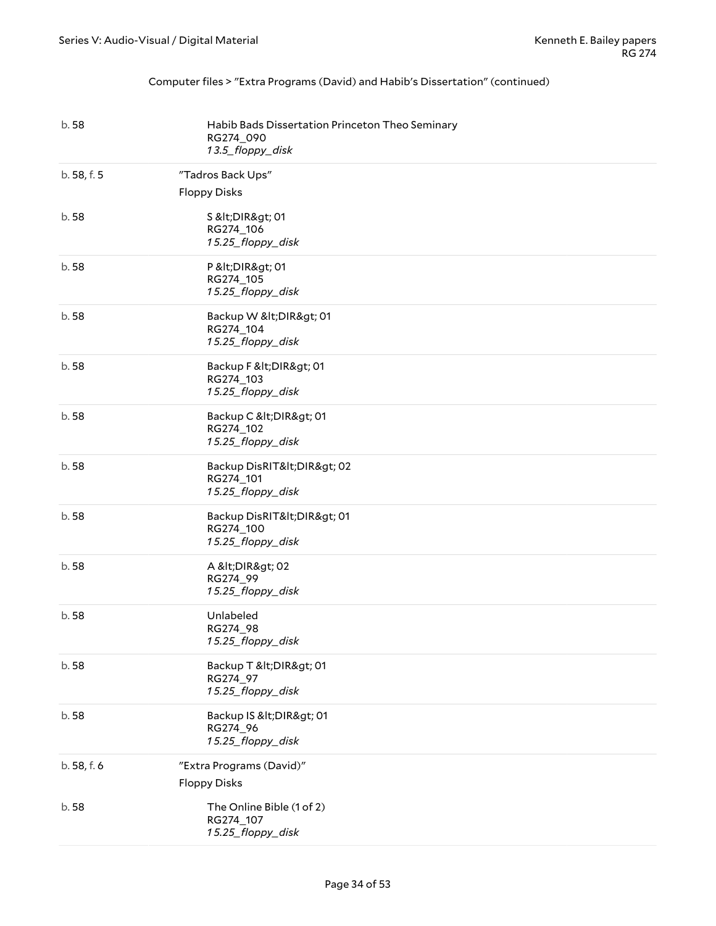#### Computer files > "Extra Programs (David) and Habib's Dissertation" (continued)

| b.58        | Habib Bads Dissertation Princeton Theo Seminary<br>RG274_090<br>13.5_floppy_disk |
|-------------|----------------------------------------------------------------------------------|
| b. 58, f. 5 | "Tadros Back Ups"<br><b>Floppy Disks</b>                                         |
| b.58        | S <dir> 01<br/>RG274_106<br/>15.25_floppy_disk</dir>                             |
| b.58        | P <dir> 01<br/>RG274_105<br/>15.25_floppy_disk</dir>                             |
| b.58        | Backup W <dir> 01<br/>RG274_104<br/>15.25_floppy_disk</dir>                      |
| b.58        | Backup F < DIR> 01<br>RG274_103<br>15.25_floppy_disk                             |
| b.58        | Backup C < DIR> 01<br>RG274_102<br>15.25_floppy_disk                             |
| b.58        | Backup DisRIT <dir> 02<br/>RG274_101<br/>15.25_floppy_disk</dir>                 |
| b.58        | Backup DisRIT< DIR> 01<br>RG274_100<br>15.25_floppy_disk                         |
| b.58        | A <dir> 02<br/>RG274_99<br/>15.25_floppy_disk</dir>                              |
| b.58        | Unlabeled<br>RG274_98<br>15.25_floppy_disk                                       |
| b.58        | Backup T < DIR> 01<br>RG274_97<br>15.25_floppy_disk                              |
| b.58        | Backup IS < DIR> 01<br>RG274_96<br>15.25_floppy_disk                             |
| b. 58, f. 6 | "Extra Programs (David)"<br><b>Floppy Disks</b>                                  |
| b.58        | The Online Bible (1 of 2)<br>RG274_107<br>15.25_floppy_disk                      |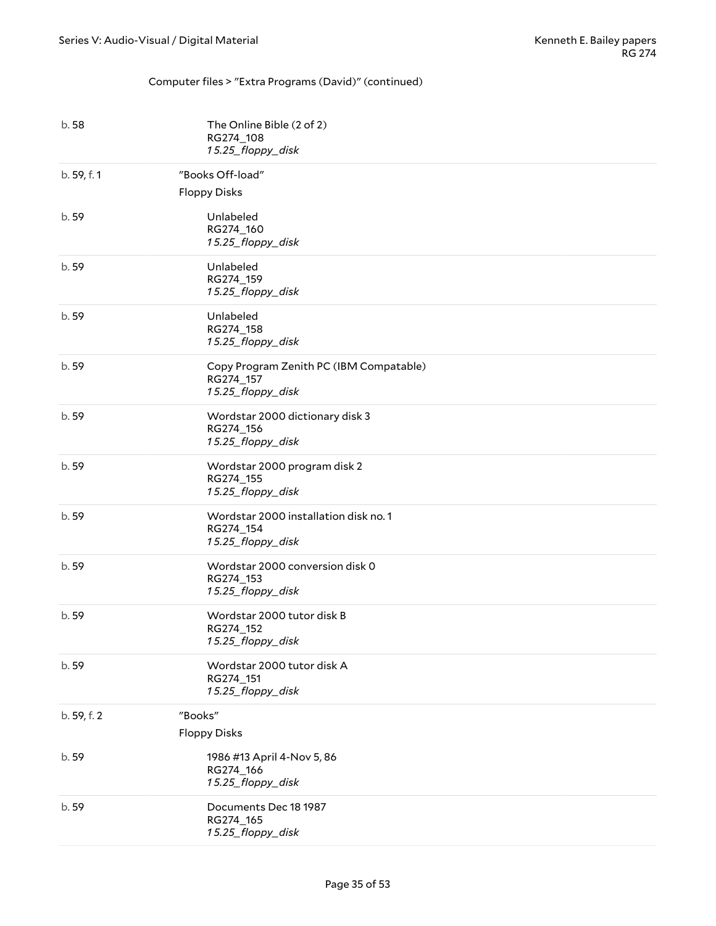#### Computer files > "Extra Programs (David)" (continued)

| b.58        | The Online Bible (2 of 2)<br>RG274_108<br>15.25_floppy_disk               |
|-------------|---------------------------------------------------------------------------|
| b. 59, f. 1 | "Books Off-load"<br><b>Floppy Disks</b>                                   |
| b. 59       | Unlabeled<br>RG274_160<br>15.25_floppy_disk                               |
| b. 59       | Unlabeled<br>RG274_159<br>15.25_floppy_disk                               |
| b. 59       | Unlabeled<br>RG274_158<br>15.25_floppy_disk                               |
| b.59        | Copy Program Zenith PC (IBM Compatable)<br>RG274_157<br>15.25_floppy_disk |
| b. 59       | Wordstar 2000 dictionary disk 3<br>RG274_156<br>15.25_floppy_disk         |
| b. 59       | Wordstar 2000 program disk 2<br>RG274_155<br>15.25_floppy_disk            |
| b. 59       | Wordstar 2000 installation disk no. 1<br>RG274_154<br>15.25_floppy_disk   |
| b. 59       | Wordstar 2000 conversion disk 0<br>RG274_153<br>15.25_floppy_disk         |
| b. 59       | Wordstar 2000 tutor disk B<br>RG274_152<br>15.25_floppy_disk              |
| b. 59       | Wordstar 2000 tutor disk A<br>RG274_151<br>15.25_floppy_disk              |
| b. 59, f. 2 | "Books"                                                                   |
|             | <b>Floppy Disks</b>                                                       |
| b. 59       | 1986 #13 April 4-Nov 5, 86<br>RG274_166<br>15.25_floppy_disk              |
| b. 59       | Documents Dec 18 1987<br>RG274_165<br>15.25_floppy_disk                   |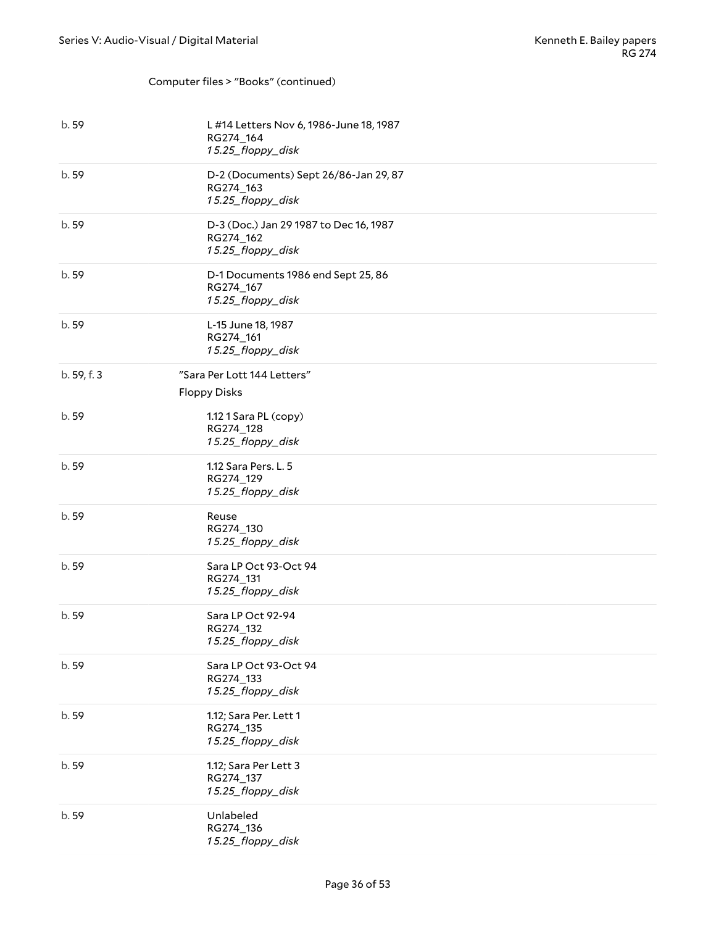#### Computer files > "Books" (continued)

| b. 59       | L #14 Letters Nov 6, 1986-June 18, 1987<br>RG274_164<br>15.25_floppy_disk |
|-------------|---------------------------------------------------------------------------|
| b. 59       | D-2 (Documents) Sept 26/86-Jan 29, 87<br>RG274_163<br>15.25_floppy_disk   |
| b. 59       | D-3 (Doc.) Jan 29 1987 to Dec 16, 1987<br>RG274_162<br>15.25_floppy_disk  |
| b. 59       | D-1 Documents 1986 end Sept 25, 86<br>RG274_167<br>15.25_floppy_disk      |
| b. 59       | L-15 June 18, 1987<br>RG274_161<br>15.25_floppy_disk                      |
| b. 59, f. 3 | "Sara Per Lott 144 Letters"<br><b>Floppy Disks</b>                        |
| b. 59       | 1.12 1 Sara PL (copy)<br>RG274_128<br>15.25_floppy_disk                   |
| b. 59       | 1.12 Sara Pers. L. 5<br>RG274_129<br>15.25_floppy_disk                    |
| b. 59       | Reuse<br>RG274_130<br>15.25_floppy_disk                                   |
| b. 59       | Sara LP Oct 93-Oct 94<br>RG274_131<br>15.25_floppy_disk                   |
| b. 59       | Sara LP Oct 92-94<br>RG274_132<br>15.25_floppy_disk                       |
| b. 59       | Sara LP Oct 93-Oct 94<br>RG274_133<br>15.25_floppy_disk                   |
| b. 59       | 1.12; Sara Per. Lett 1<br>RG274_135<br>15.25_floppy_disk                  |
| b. 59       | 1.12; Sara Per Lett 3<br>RG274_137<br>15.25_floppy_disk                   |
| b. 59       | Unlabeled<br>RG274_136<br>15.25_floppy_disk                               |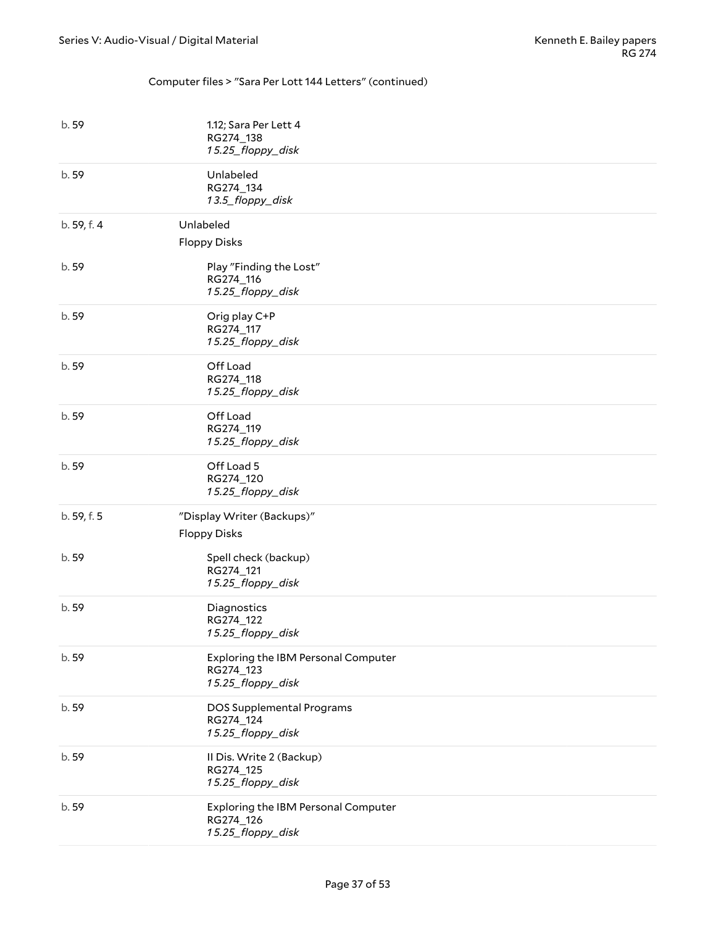#### Computer files > "Sara Per Lott 144 Letters" (continued)

| b. 59       | 1.12; Sara Per Lett 4<br>RG274_138<br>15.25_floppy_disk                      |
|-------------|------------------------------------------------------------------------------|
| b.59        | Unlabeled<br>RG274_134<br>13.5_floppy_disk                                   |
| b. 59, f. 4 | Unlabeled<br><b>Floppy Disks</b>                                             |
| b.59        | Play "Finding the Lost"<br>RG274_116<br>15.25_floppy_disk                    |
| b. 59       | Orig play C+P<br>RG274_117<br>15.25_floppy_disk                              |
| b. 59       | Off Load<br>RG274_118<br>15.25_floppy_disk                                   |
| b. 59       | Off Load<br>RG274_119<br>15.25_floppy_disk                                   |
| b.59        | Off Load 5<br>RG274_120<br>15.25_floppy_disk                                 |
| b. 59, f. 5 | "Display Writer (Backups)"<br><b>Floppy Disks</b>                            |
| b. 59       | Spell check (backup)<br>RG274_121<br>15.25_floppy_disk                       |
| b.59        | Diagnostics<br>RG274_122<br>15.25_floppy_disk                                |
| b. 59       | <b>Exploring the IBM Personal Computer</b><br>RG274_123<br>15.25_floppy_disk |
| b. 59       | DOS Supplemental Programs<br>RG274_124<br>15.25_floppy_disk                  |
| b.59        | Il Dis. Write 2 (Backup)<br>RG274_125<br>15.25_floppy_disk                   |
| b. 59       | Exploring the IBM Personal Computer<br>RG274_126<br>15.25_floppy_disk        |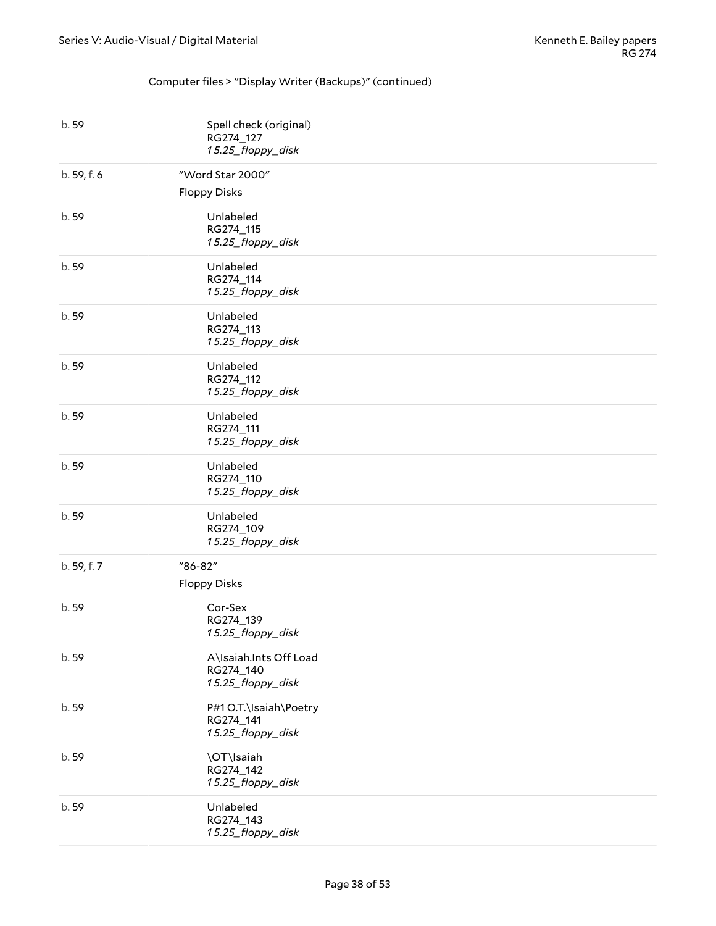#### Computer files > "Display Writer (Backups)" (continued)

| b. 59       | Spell check (original)<br>RG274_127<br>15.25_floppy_disk |
|-------------|----------------------------------------------------------|
| b. 59, f. 6 | "Word Star 2000"<br><b>Floppy Disks</b>                  |
| b. 59       | Unlabeled<br>RG274_115<br>15.25_floppy_disk              |
| b. 59       | Unlabeled<br>RG274_114<br>15.25_floppy_disk              |
| b. 59       | Unlabeled<br>RG274_113<br>15.25_floppy_disk              |
| b. 59       | Unlabeled<br>RG274_112<br>15.25_floppy_disk              |
| b. 59       | Unlabeled<br>RG274_111<br>15.25_floppy_disk              |
| b.59        | Unlabeled<br>RG274_110<br>15.25_floppy_disk              |
| b. 59       | Unlabeled<br>RG274_109<br>15.25_floppy_disk              |
| b. 59, f. 7 | "86-82"<br><b>Floppy Disks</b>                           |
| b. 59       | Cor-Sex<br>RG274_139<br>15.25_floppy_disk                |
| b. 59       | A\Isaiah.Ints Off Load<br>RG274_140<br>15.25_floppy_disk |
| b. 59       | P#1 O.T.\Isaiah\Poetry<br>RG274_141<br>15.25_floppy_disk |
| b. 59       | \OT\Isaiah<br>RG274_142<br>15.25_floppy_disk             |
| b. 59       | Unlabeled<br>RG274_143<br>15.25_floppy_disk              |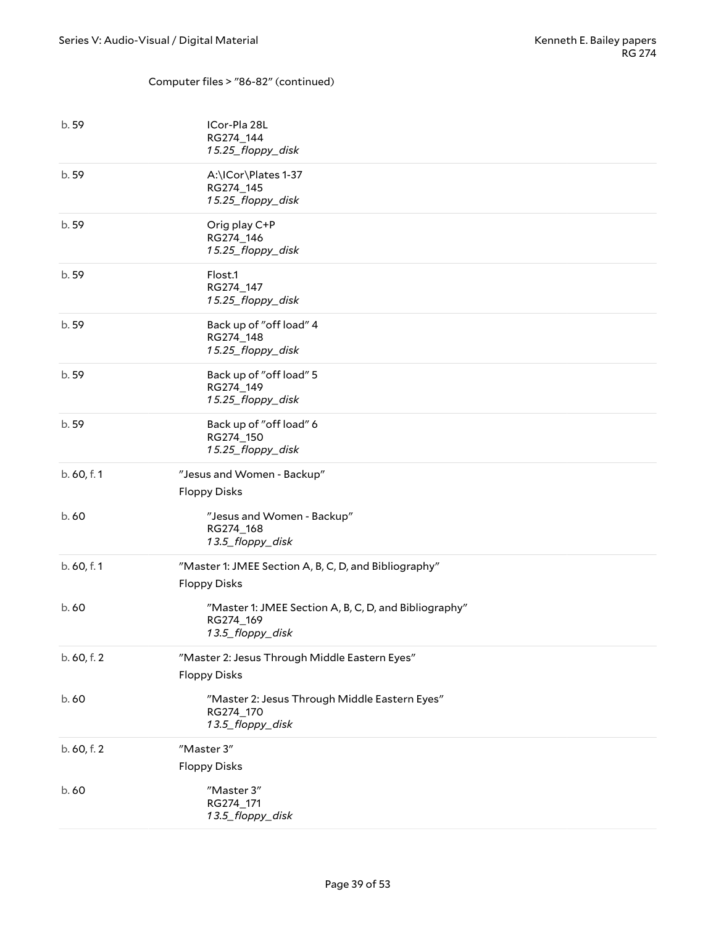#### Computer files > "86-82" (continued)

| b. 59       | ICor-Pla 28L<br>RG274_144<br>15.25_floppy_disk                                         |
|-------------|----------------------------------------------------------------------------------------|
| b.59        | A:\ICor\Plates 1-37<br>RG274_145<br>15.25_floppy_disk                                  |
| b. 59       | Orig play C+P<br>RG274_146<br>15.25_floppy_disk                                        |
| b. 59       | Flost.1<br>RG274_147<br>15.25_floppy_disk                                              |
| b. 59       | Back up of "off load" 4<br>RG274_148<br>15.25_floppy_disk                              |
| b. 59       | Back up of "off load" 5<br>RG274_149<br>15.25_floppy_disk                              |
| b. 59       | Back up of "off load" 6<br>RG274_150<br>15.25_floppy_disk                              |
| b. 60, f. 1 | "Jesus and Women - Backup"<br><b>Floppy Disks</b>                                      |
| b.60        | "Jesus and Women - Backup"<br>RG274_168<br>13.5_floppy_disk                            |
| b. 60, f. 1 | "Master 1: JMEE Section A, B, C, D, and Bibliography"<br><b>Floppy Disks</b>           |
| b.60        | "Master 1: JMEE Section A, B, C, D, and Bibliography"<br>RG274_169<br>13.5_floppy_disk |
| b. 60, f. 2 | "Master 2: Jesus Through Middle Eastern Eyes"<br><b>Floppy Disks</b>                   |
| b.60        | "Master 2: Jesus Through Middle Eastern Eyes"<br>RG274_170<br>13.5_floppy_disk         |
| b. 60, f. 2 | "Master 3"<br><b>Floppy Disks</b>                                                      |
| b.60        | "Master 3"<br>RG274_171<br>13.5_floppy_disk                                            |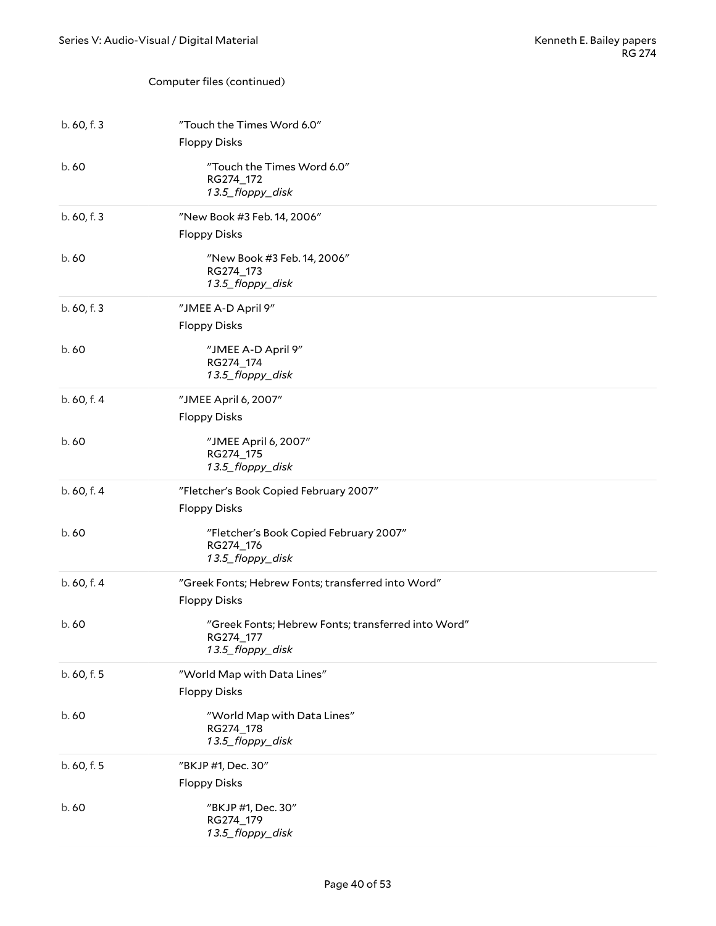#### Computer files (continued)

| b.60, f.3   | "Touch the Times Word 6.0"<br><b>Floppy Disks</b>                                   |
|-------------|-------------------------------------------------------------------------------------|
| b.60        | "Touch the Times Word 6.0"<br>RG274_172<br>13.5_floppy_disk                         |
| b. 60, f. 3 | "New Book #3 Feb. 14, 2006"<br><b>Floppy Disks</b>                                  |
| b.60        | "New Book #3 Feb. 14, 2006"<br>RG274_173<br>13.5_floppy_disk                        |
| b. 60, f. 3 | "JMEE A-D April 9"<br><b>Floppy Disks</b>                                           |
| b.60        | "JMEE A-D April 9"<br>RG274_174<br>13.5_floppy_disk                                 |
| b. 60, f. 4 | "JMEE April 6, 2007"<br><b>Floppy Disks</b>                                         |
| b.60        | "JMEE April 6, 2007"<br>RG274 175<br>13.5_floppy_disk                               |
| b. 60, f. 4 | "Fletcher's Book Copied February 2007"<br><b>Floppy Disks</b>                       |
| b.60        | "Fletcher's Book Copied February 2007"<br>RG274_176<br>13.5_floppy_disk             |
| b. 60, f. 4 | "Greek Fonts; Hebrew Fonts; transferred into Word"<br><b>Floppy Disks</b>           |
| b.60        | "Greek Fonts; Hebrew Fonts; transferred into Word"<br>RG274_177<br>13.5_floppy_disk |
| b. 60, f. 5 | "World Map with Data Lines"<br><b>Floppy Disks</b>                                  |
| b. 60       | "World Map with Data Lines"<br>RG274_178<br>13.5_floppy_disk                        |
| b. 60, f. 5 | "BKJP #1, Dec. 30"<br><b>Floppy Disks</b>                                           |
| b.60        | "BKJP #1, Dec. 30"<br>RG274_179<br>13.5_floppy_disk                                 |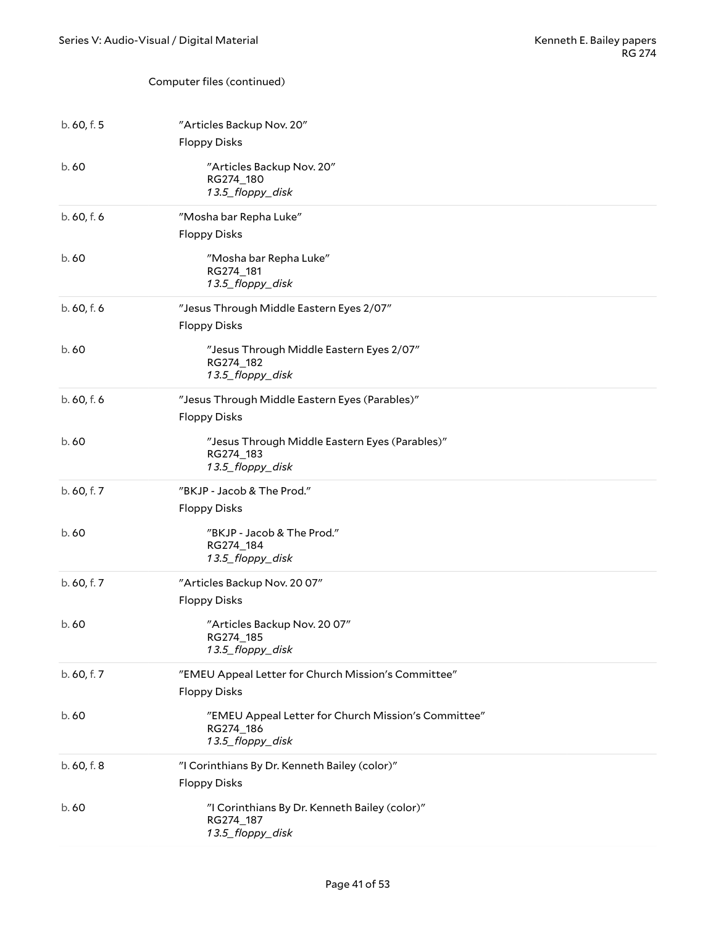#### Computer files (continued)

| b.60, f.5   | "Articles Backup Nov. 20"<br><b>Floppy Disks</b>                                     |
|-------------|--------------------------------------------------------------------------------------|
| b.60        | "Articles Backup Nov. 20"<br>RG274_180<br>13.5_floppy_disk                           |
| b. 60, f. 6 | "Mosha bar Repha Luke"<br><b>Floppy Disks</b>                                        |
| b.60        | "Mosha bar Repha Luke"<br>RG274_181<br>13.5_floppy_disk                              |
| b. 60, f. 6 | "Jesus Through Middle Eastern Eyes 2/07"<br><b>Floppy Disks</b>                      |
| b.60        | "Jesus Through Middle Eastern Eyes 2/07"<br>RG274_182<br>13.5_floppy_disk            |
| b. 60, f. 6 | "Jesus Through Middle Eastern Eyes (Parables)"<br><b>Floppy Disks</b>                |
| b.60        | "Jesus Through Middle Eastern Eyes (Parables)"<br>RG274_183<br>13.5_floppy_disk      |
|             |                                                                                      |
| b. 60, f. 7 | "BKJP - Jacob & The Prod."<br><b>Floppy Disks</b>                                    |
| b.60        | "BKJP - Jacob & The Prod."<br>RG274_184<br>13.5_floppy_disk                          |
| b. 60, f. 7 | "Articles Backup Nov. 20 07"<br><b>Floppy Disks</b>                                  |
| b.60        | "Articles Backup Nov. 20 07"<br>RG274 185<br>13.5_floppy_disk                        |
| b. 60, f. 7 | "EMEU Appeal Letter for Church Mission's Committee"<br><b>Floppy Disks</b>           |
| b.60        | "EMEU Appeal Letter for Church Mission's Committee"<br>RG274_186<br>13.5_floppy_disk |
| b. 60, f. 8 | "I Corinthians By Dr. Kenneth Bailey (color)"<br><b>Floppy Disks</b>                 |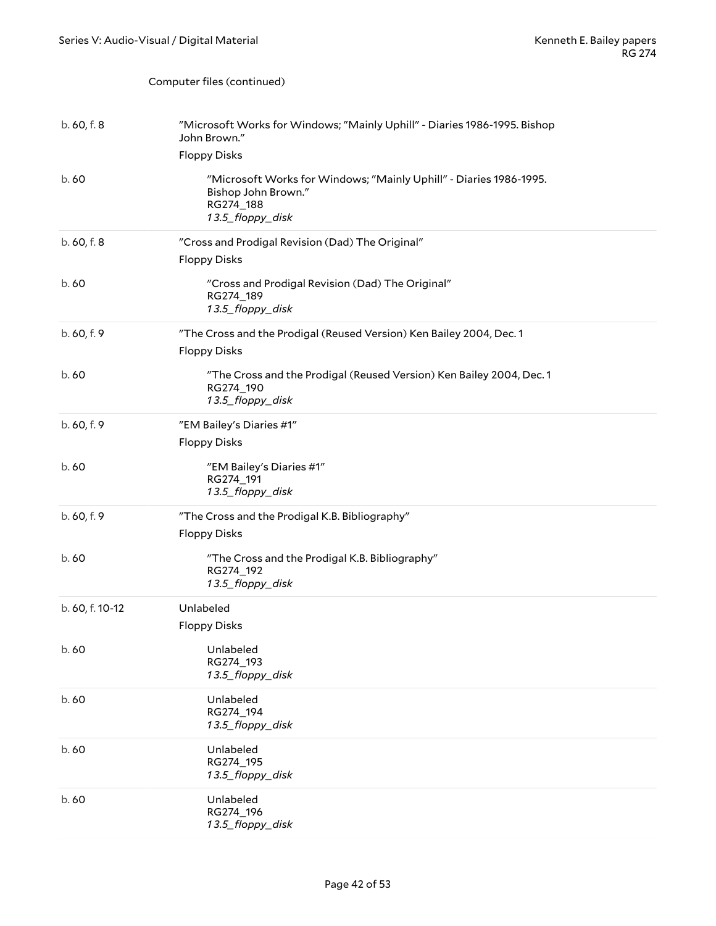Computer files (continued)

| b.60, f.8       | "Microsoft Works for Windows; "Mainly Uphill" - Diaries 1986-1995. Bishop<br>John Brown."                                  |
|-----------------|----------------------------------------------------------------------------------------------------------------------------|
|                 | <b>Floppy Disks</b>                                                                                                        |
| b.60            | "Microsoft Works for Windows; "Mainly Uphill" - Diaries 1986-1995.<br>Bishop John Brown."<br>RG274_188<br>13.5_floppy_disk |
| b. 60, f. 8     | "Cross and Prodigal Revision (Dad) The Original"                                                                           |
|                 | <b>Floppy Disks</b>                                                                                                        |
| b.60            | "Cross and Prodigal Revision (Dad) The Original"<br>RG274_189<br>13.5_floppy_disk                                          |
| b. 60, f. 9     | "The Cross and the Prodigal (Reused Version) Ken Bailey 2004, Dec. 1                                                       |
|                 | <b>Floppy Disks</b>                                                                                                        |
| b.60            | "The Cross and the Prodigal (Reused Version) Ken Bailey 2004, Dec. 1<br>RG274_190<br>13.5_floppy_disk                      |
| b. 60, f. 9     | "EM Bailey's Diaries #1"                                                                                                   |
|                 | <b>Floppy Disks</b>                                                                                                        |
| b.60            | "EM Bailey's Diaries #1"<br>RG274_191<br>13.5_floppy_disk                                                                  |
| b. 60, f. 9     | "The Cross and the Prodigal K.B. Bibliography"<br><b>Floppy Disks</b>                                                      |
| b.60            | "The Cross and the Prodigal K.B. Bibliography"<br>RG274_192<br>13.5_floppy_disk                                            |
| b. 60, f. 10-12 | Unlabeled                                                                                                                  |
|                 | <b>Floppy Disks</b>                                                                                                        |
| b. 60           | Unlabeled<br>RG274_193<br>13.5_floppy_disk                                                                                 |
| b.60            | Unlabeled<br>RG274_194<br>13.5_floppy_disk                                                                                 |
| b. 60           | Unlabeled<br>RG274_195<br>13.5_floppy_disk                                                                                 |
| b. 60           | Unlabeled<br>RG274_196<br>13.5_floppy_disk                                                                                 |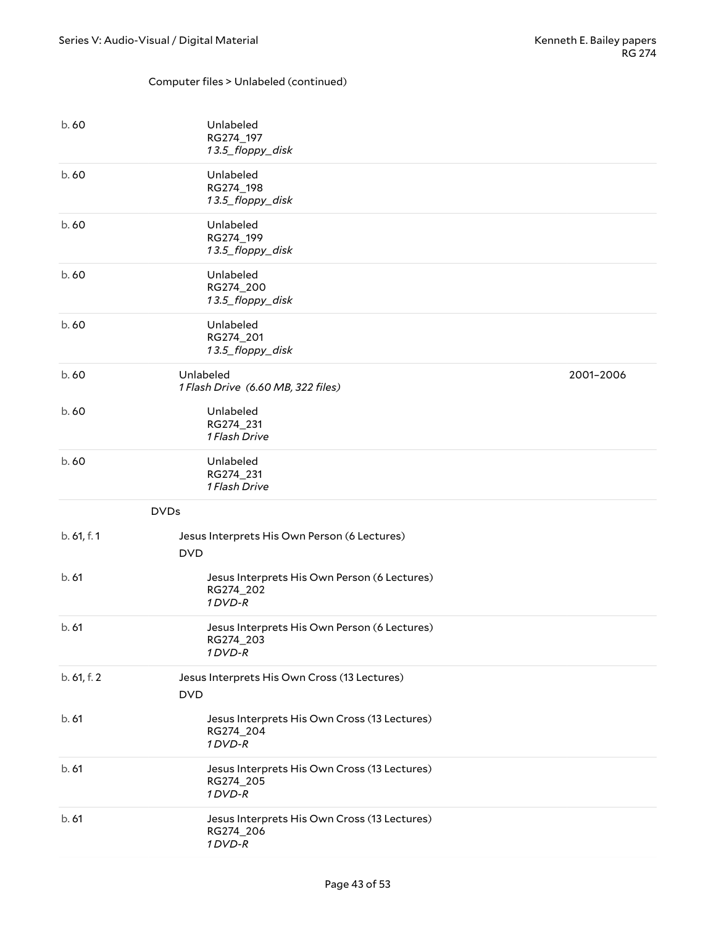#### Computer files > Unlabeled (continued)

<span id="page-42-0"></span>

| b.60                      | Unlabeled<br>RG274_197<br>13.5_floppy_disk                             |           |
|---------------------------|------------------------------------------------------------------------|-----------|
| b.60                      | Unlabeled<br>RG274_198<br>13.5_floppy_disk                             |           |
| b.60                      | Unlabeled<br>RG274_199<br>13.5_floppy_disk                             |           |
| b.60                      | Unlabeled<br>RG274_200<br>13.5_floppy_disk                             |           |
| b.60                      | Unlabeled<br>RG274_201<br>13.5_floppy_disk                             |           |
| b.60                      | Unlabeled<br>1 Flash Drive (6.60 MB, 322 files)                        | 2001-2006 |
| b.60                      | Unlabeled<br>RG274_231<br>1 Flash Drive                                |           |
| b.60                      | Unlabeled<br>RG274_231<br>1 Flash Drive                                |           |
| <b>DVDs</b>               |                                                                        |           |
| b. 61, f. 1<br><b>DVD</b> | Jesus Interprets His Own Person (6 Lectures)                           |           |
| b.61                      | Jesus Interprets His Own Person (6 Lectures)<br>RG274_202<br>1 DVD-R   |           |
| b.61                      | Jesus Interprets His Own Person (6 Lectures)<br>RG274_203<br>1 DVD-R   |           |
| b. 61, f. 2<br><b>DVD</b> | Jesus Interprets His Own Cross (13 Lectures)                           |           |
| b.61                      | Jesus Interprets His Own Cross (13 Lectures)<br>RG274_204<br>$1$ DVD-R |           |
| b.61                      | Jesus Interprets His Own Cross (13 Lectures)<br>RG274_205<br>1 DVD-R   |           |
| b.61                      | Jesus Interprets His Own Cross (13 Lectures)<br>RG274_206<br>1 DVD-R   |           |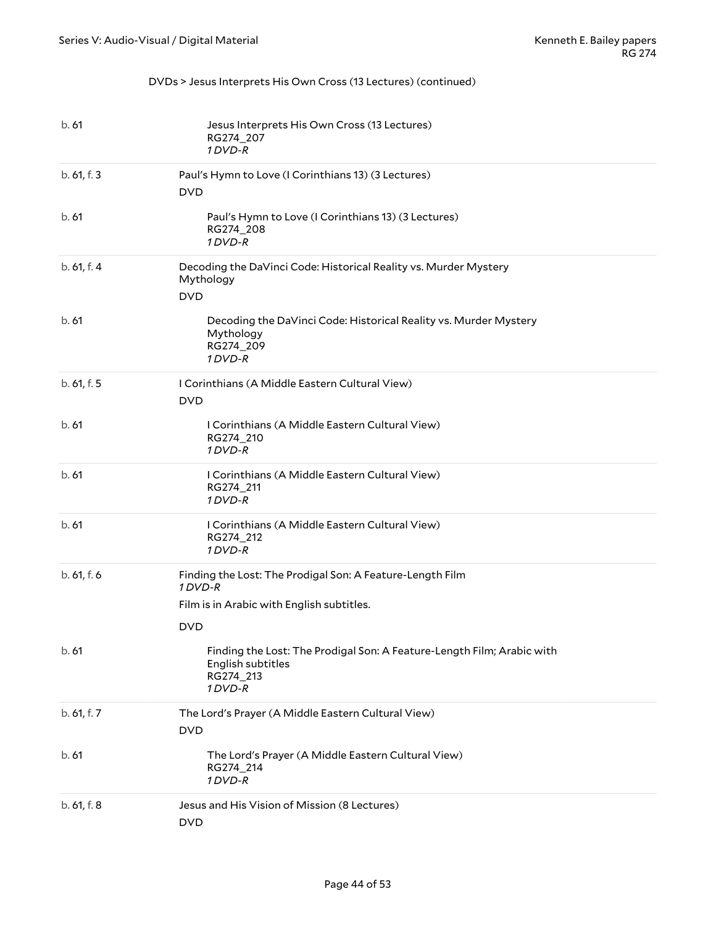#### DVDs > Jesus Interprets His Own Cross (13 Lectures) (continued)

| b.61        | Jesus Interprets His Own Cross (13 Lectures)<br>RG274_207<br>1 DVD-R                                                            |
|-------------|---------------------------------------------------------------------------------------------------------------------------------|
| b. 61, f. 3 | Paul's Hymn to Love (I Corinthians 13) (3 Lectures)<br><b>DVD</b>                                                               |
| b.61        | Paul's Hymn to Love (I Corinthians 13) (3 Lectures)<br>RG274_208<br>1DVD-R                                                      |
| b.61, f.4   | Decoding the DaVinci Code: Historical Reality vs. Murder Mystery<br>Mythology<br><b>DVD</b>                                     |
| b.61        | Decoding the DaVinci Code: Historical Reality vs. Murder Mystery<br>Mythology<br>RG274_209<br>1 DVD-R                           |
| b. 61, f. 5 | I Corinthians (A Middle Eastern Cultural View)<br><b>DVD</b>                                                                    |
| b.61        | I Corinthians (A Middle Eastern Cultural View)<br>RG274_210<br>1 DVD-R                                                          |
| b.61        | I Corinthians (A Middle Eastern Cultural View)<br>RG274_211<br>1 DVD-R                                                          |
| b.61        | I Corinthians (A Middle Eastern Cultural View)<br>RG274_212<br>1 DVD-R                                                          |
| b. 61, f. 6 | Finding the Lost: The Prodigal Son: A Feature-Length Film<br>1 DVD-R<br>Film is in Arabic with English subtitles.<br><b>DVD</b> |
| b.61        | Finding the Lost: The Prodigal Son: A Feature-Length Film; Arabic with<br>English subtitles<br>RG274_213<br>1 DVD-R             |
| b. 61, f. 7 | The Lord's Prayer (A Middle Eastern Cultural View)<br><b>DVD</b>                                                                |
| b.61        | The Lord's Prayer (A Middle Eastern Cultural View)<br>RG274_214<br>1 DVD-R                                                      |
| b. 61, f. 8 | Jesus and His Vision of Mission (8 Lectures)<br><b>DVD</b>                                                                      |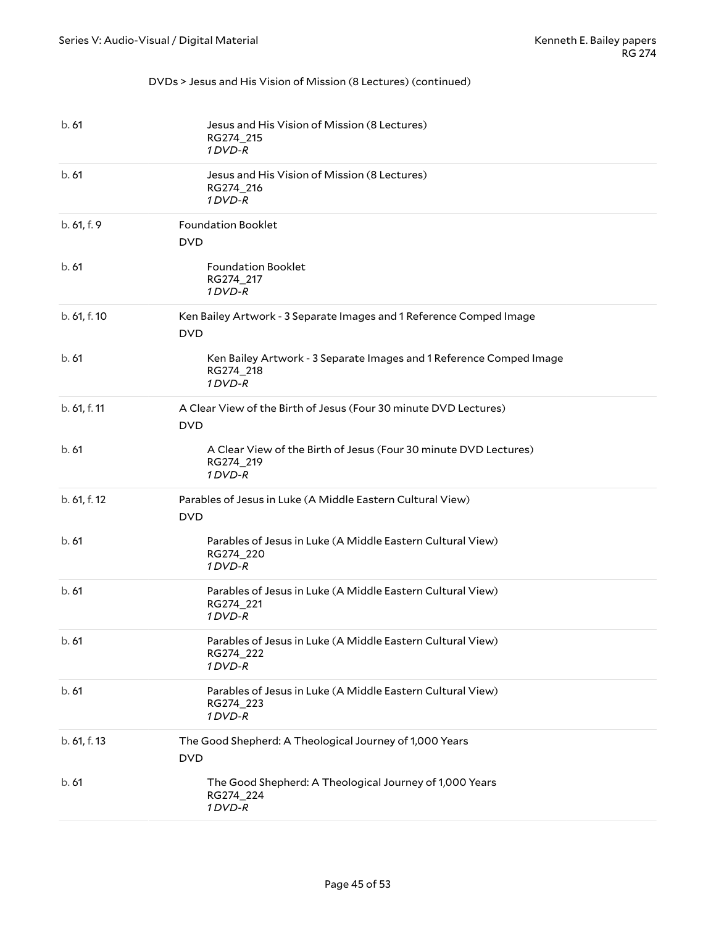#### DVDs > Jesus and His Vision of Mission (8 Lectures) (continued)

| b.61         | Jesus and His Vision of Mission (8 Lectures)<br>RG274_215<br>1 DVD-R                        |
|--------------|---------------------------------------------------------------------------------------------|
| b.61         | Jesus and His Vision of Mission (8 Lectures)<br>RG274_216<br>1DVD-R                         |
| b. 61, f. 9  | <b>Foundation Booklet</b><br><b>DVD</b>                                                     |
| b.61         | <b>Foundation Booklet</b><br>RG274_217<br>1 DVD-R                                           |
| b. 61, f. 10 | Ken Bailey Artwork - 3 Separate Images and 1 Reference Comped Image<br><b>DVD</b>           |
| b.61         | Ken Bailey Artwork - 3 Separate Images and 1 Reference Comped Image<br>RG274_218<br>1 DVD-R |
| b. 61, f. 11 | A Clear View of the Birth of Jesus (Four 30 minute DVD Lectures)<br><b>DVD</b>              |
| b.61         | A Clear View of the Birth of Jesus (Four 30 minute DVD Lectures)<br>RG274_219<br>1 DVD-R    |
| b. 61, f. 12 | Parables of Jesus in Luke (A Middle Eastern Cultural View)<br><b>DVD</b>                    |
| b.61         | Parables of Jesus in Luke (A Middle Eastern Cultural View)<br>RG274_220<br>1DVD-R           |
| b.61         | Parables of Jesus in Luke (A Middle Eastern Cultural View)<br>RG274_221<br>1 DVD-R          |
| b.61         | Parables of Jesus in Luke (A Middle Eastern Cultural View)<br>RG274_222<br>1DVD-R           |
| b.61         | Parables of Jesus in Luke (A Middle Eastern Cultural View)<br>RG274_223<br>1 DVD-R          |
| b. 61, f. 13 | The Good Shepherd: A Theological Journey of 1,000 Years<br><b>DVD</b>                       |
| b.61         | The Good Shepherd: A Theological Journey of 1,000 Years<br>RG274_224<br>1 DVD-R             |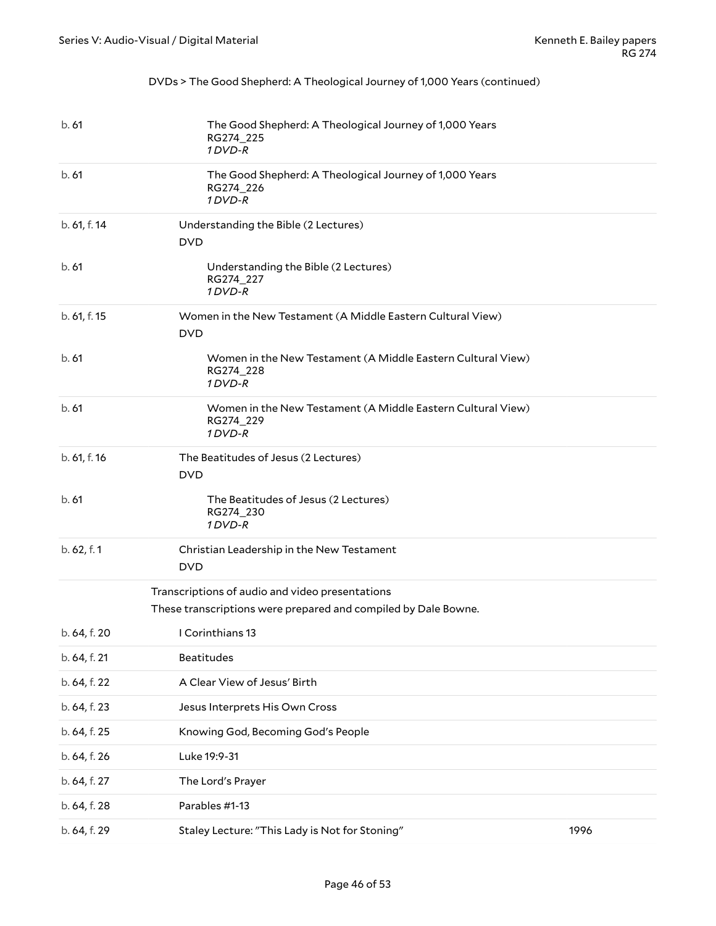#### DVDs > The Good Shepherd: A Theological Journey of 1,000 Years (continued)

<span id="page-45-0"></span>

| b.61         | The Good Shepherd: A Theological Journey of 1,000 Years<br>RG274_225<br>1 DVD-R                                   |      |
|--------------|-------------------------------------------------------------------------------------------------------------------|------|
| b.61         | The Good Shepherd: A Theological Journey of 1,000 Years<br>RG274_226<br>1 DVD-R                                   |      |
| b. 61, f. 14 | Understanding the Bible (2 Lectures)<br><b>DVD</b>                                                                |      |
| b.61         | Understanding the Bible (2 Lectures)<br>RG274_227<br>1 DVD-R                                                      |      |
| b. 61, f. 15 | Women in the New Testament (A Middle Eastern Cultural View)<br><b>DVD</b>                                         |      |
| b.61         | Women in the New Testament (A Middle Eastern Cultural View)<br>RG274_228<br>1 DVD-R                               |      |
| b.61         | Women in the New Testament (A Middle Eastern Cultural View)<br>RG274_229<br>1 DVD-R                               |      |
| b. 61, f. 16 | The Beatitudes of Jesus (2 Lectures)<br><b>DVD</b>                                                                |      |
| b. 61        | The Beatitudes of Jesus (2 Lectures)<br>RG274_230<br>1 DVD-R                                                      |      |
| b. 62, f. 1  | Christian Leadership in the New Testament<br><b>DVD</b>                                                           |      |
|              | Transcriptions of audio and video presentations<br>These transcriptions were prepared and compiled by Dale Bowne. |      |
| b. 64, f. 20 | I Corinthians 13                                                                                                  |      |
| b. 64, f. 21 | <b>Beatitudes</b>                                                                                                 |      |
| b. 64, f. 22 | A Clear View of Jesus' Birth                                                                                      |      |
| b. 64, f. 23 | Jesus Interprets His Own Cross                                                                                    |      |
| b. 64, f. 25 | Knowing God, Becoming God's People                                                                                |      |
| b. 64, f. 26 | Luke 19:9-31                                                                                                      |      |
| b. 64, f. 27 | The Lord's Prayer                                                                                                 |      |
| b. 64, f. 28 | Parables #1-13                                                                                                    |      |
| b. 64, f. 29 | Staley Lecture: "This Lady is Not for Stoning"                                                                    | 1996 |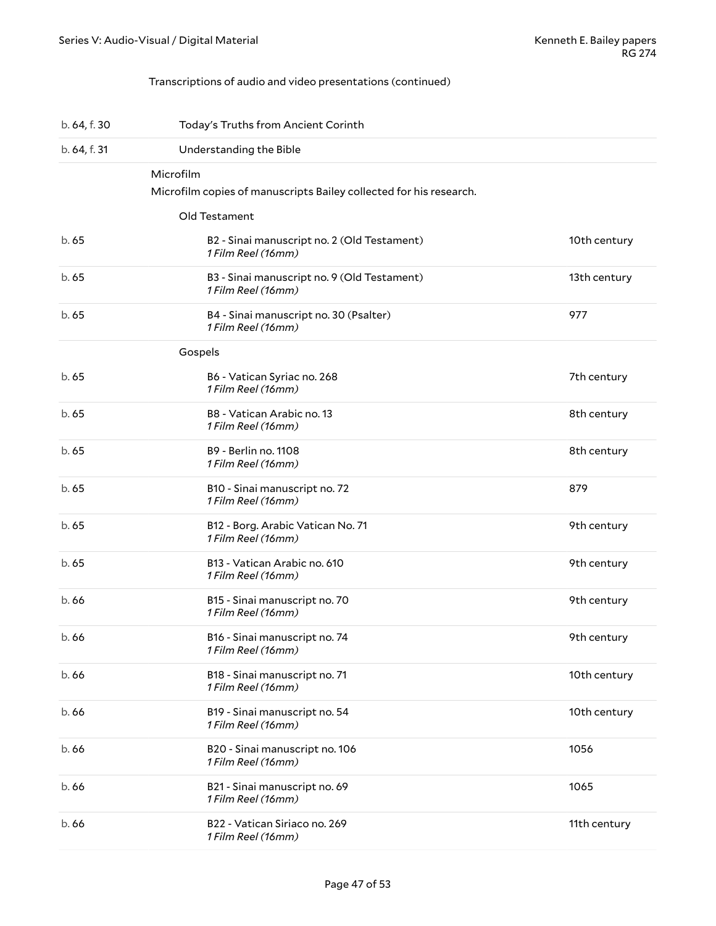#### <span id="page-46-0"></span>Transcriptions of audio and video presentations (continued)

| b. 64, f. 30 | Today's Truths from Ancient Corinth                                                              |              |
|--------------|--------------------------------------------------------------------------------------------------|--------------|
| b. 64, f. 31 | Understanding the Bible                                                                          |              |
|              | Microfilm<br>Microfilm copies of manuscripts Bailey collected for his research.<br>Old Testament |              |
| b.65         | B2 - Sinai manuscript no. 2 (Old Testament)<br>1 Film Reel (16mm)                                | 10th century |
| b.65         | B3 - Sinai manuscript no. 9 (Old Testament)<br>1 Film Reel (16mm)                                | 13th century |
| b.65         | B4 - Sinai manuscript no. 30 (Psalter)<br>1 Film Reel (16mm)                                     | 977          |
|              | Gospels                                                                                          |              |
| b.65         | B6 - Vatican Syriac no. 268<br>1 Film Reel (16mm)                                                | 7th century  |
| b.65         | B8 - Vatican Arabic no. 13<br>1 Film Reel (16mm)                                                 | 8th century  |
| b.65         | B9 - Berlin no. 1108<br>1 Film Reel (16mm)                                                       | 8th century  |
| b.65         | B10 - Sinai manuscript no. 72<br>1 Film Reel (16mm)                                              | 879          |
| b. 65        | B12 - Borg. Arabic Vatican No. 71<br>1 Film Reel (16mm)                                          | 9th century  |
| b.65         | B13 - Vatican Arabic no. 610<br>1 Film Reel (16mm)                                               | 9th century  |
| b.66         | B15 - Sinai manuscript no. 70<br>1 Film Reel (16mm)                                              | 9th century  |
| b. 66        | B16 - Sinai manuscript no. 74<br>1 Film Reel (16mm)                                              | 9th century  |
| b.66         | B18 - Sinai manuscript no. 71<br>1 Film Reel (16mm)                                              | 10th century |
| b.66         | B19 - Sinai manuscript no. 54<br>1 Film Reel (16mm)                                              | 10th century |
| b. 66        | B20 - Sinai manuscript no. 106<br>1 Film Reel (16mm)                                             | 1056         |
| b. 66        | B21 - Sinai manuscript no. 69<br>1 Film Reel (16mm)                                              | 1065         |
| b.66         | B22 - Vatican Siriaco no. 269<br>1 Film Reel (16mm)                                              | 11th century |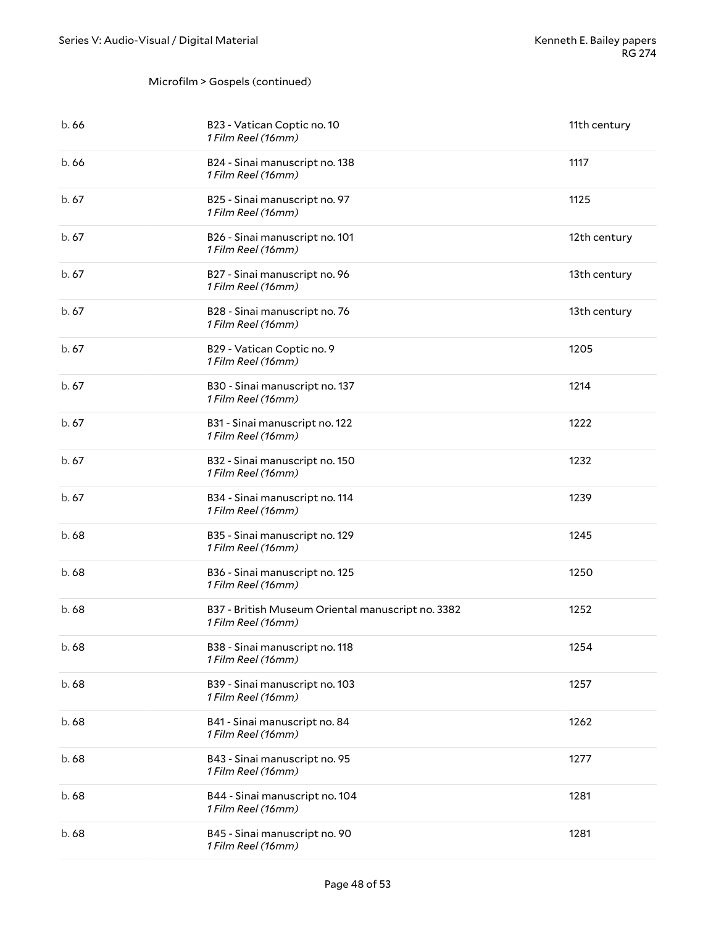#### Microfilm > Gospels (continued)

| b.66  | B23 - Vatican Coptic no. 10<br>1 Film Reel (16mm)                       | 11th century |
|-------|-------------------------------------------------------------------------|--------------|
| b.66  | B24 - Sinai manuscript no. 138<br>1 Film Reel (16mm)                    | 1117         |
| b.67  | B25 - Sinai manuscript no. 97<br>1 Film Reel (16mm)                     | 1125         |
| b.67  | B26 - Sinai manuscript no. 101<br>1 Film Reel (16mm)                    | 12th century |
| b.67  | B27 - Sinai manuscript no. 96<br>1 Film Reel (16mm)                     | 13th century |
| b.67  | B28 - Sinai manuscript no. 76<br>1 Film Reel (16mm)                     | 13th century |
| b.67  | B29 - Vatican Coptic no. 9<br>1 Film Reel (16mm)                        | 1205         |
| b.67  | B30 - Sinai manuscript no. 137<br>1 Film Reel (16mm)                    | 1214         |
| b.67  | B31 - Sinai manuscript no. 122<br>1 Film Reel (16mm)                    | 1222         |
| b.67  | B32 - Sinai manuscript no. 150<br>1 Film Reel (16mm)                    | 1232         |
| b.67  | B34 - Sinai manuscript no. 114<br>1 Film Reel (16mm)                    | 1239         |
| b.68  | B35 - Sinai manuscript no. 129<br>1 Film Reel (16mm)                    | 1245         |
| b.68  | B36 - Sinai manuscript no. 125<br>1 Film Reel (16mm)                    | 1250         |
| b.68  | B37 - British Museum Oriental manuscript no. 3382<br>1 Film Reel (16mm) | 1252         |
| b. 68 | B38 - Sinai manuscript no. 118<br>1 Film Reel (16mm)                    | 1254         |
| b.68  | B39 - Sinai manuscript no. 103<br>1 Film Reel (16mm)                    | 1257         |
| b.68  | B41 - Sinai manuscript no. 84<br>1 Film Reel (16mm)                     | 1262         |
| b.68  | B43 - Sinai manuscript no. 95<br>1 Film Reel (16mm)                     | 1277         |
| b.68  | B44 - Sinai manuscript no. 104<br>1 Film Reel (16mm)                    | 1281         |
| b.68  | B45 - Sinai manuscript no. 90<br>1 Film Reel (16mm)                     | 1281         |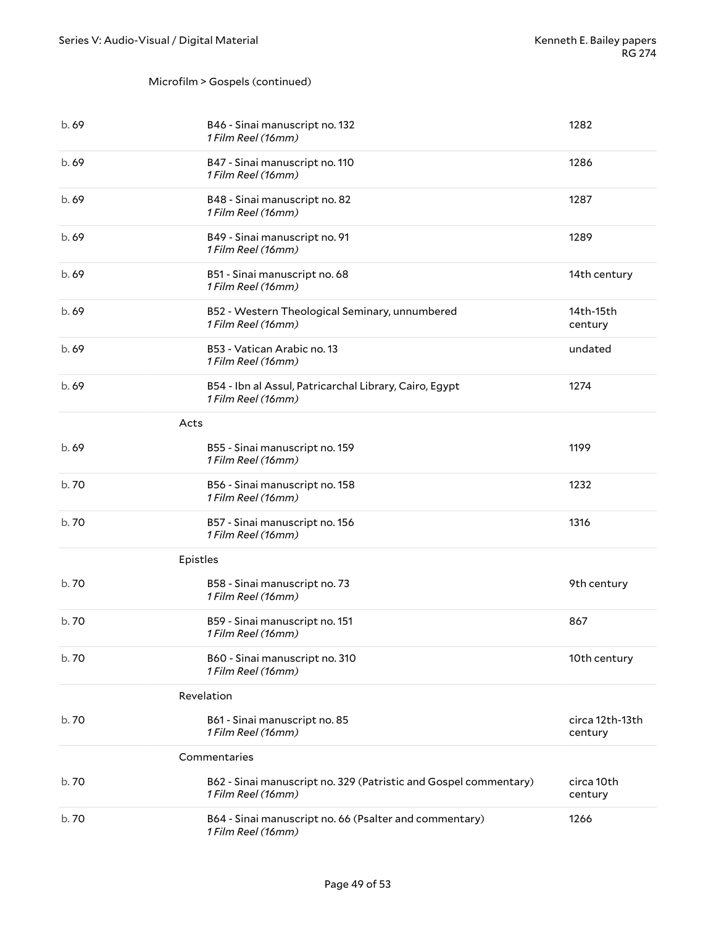#### Microfilm > Gospels (continued)

| b. 69 | B46 - Sinai manuscript no. 132<br>1 Film Reel (16mm)                                   | 1282                       |
|-------|----------------------------------------------------------------------------------------|----------------------------|
| b. 69 | B47 - Sinai manuscript no. 110<br>1 Film Reel (16mm)                                   | 1286                       |
| b.69  | B48 - Sinai manuscript no. 82<br>1 Film Reel (16mm)                                    | 1287                       |
| b.69  | B49 - Sinai manuscript no. 91<br>1 Film Reel (16mm)                                    | 1289                       |
| b.69  | B51 - Sinai manuscript no. 68<br>1 Film Reel (16mm)                                    | 14th century               |
| b.69  | B52 - Western Theological Seminary, unnumbered<br>1 Film Reel (16mm)                   | 14th-15th<br>century       |
| b. 69 | B53 - Vatican Arabic no. 13<br>1 Film Reel (16mm)                                      | undated                    |
| b.69  | B54 - Ibn al Assul, Patricarchal Library, Cairo, Egypt<br>1 Film Reel (16mm)           | 1274                       |
| Acts  |                                                                                        |                            |
| b.69  | B55 - Sinai manuscript no. 159<br>1 Film Reel (16mm)                                   | 1199                       |
| b.70  | B56 - Sinai manuscript no. 158<br>1 Film Reel (16mm)                                   | 1232                       |
| b. 70 | B57 - Sinai manuscript no. 156<br>1 Film Reel (16mm)                                   | 1316                       |
|       | Epistles                                                                               |                            |
| b. 70 | B58 - Sinai manuscript no. 73<br>1 Film Reel (16mm)                                    | 9th century                |
| b.70  | B59 - Sinai manuscript no. 151<br>1 Film Reel (16mm)                                   | 867                        |
| b. 70 | B60 - Sinai manuscript no. 310<br>1 Film Reel (16mm)                                   | 10th century               |
|       | Revelation                                                                             |                            |
| b. 70 | B61 - Sinai manuscript no. 85<br>1 Film Reel (16mm)                                    | circa 12th-13th<br>century |
|       | Commentaries                                                                           |                            |
| b. 70 | B62 - Sinai manuscript no. 329 (Patristic and Gospel commentary)<br>1 Film Reel (16mm) | circa 10th<br>century      |
| b. 70 | B64 - Sinai manuscript no. 66 (Psalter and commentary)<br>1 Film Reel (16mm)           | 1266                       |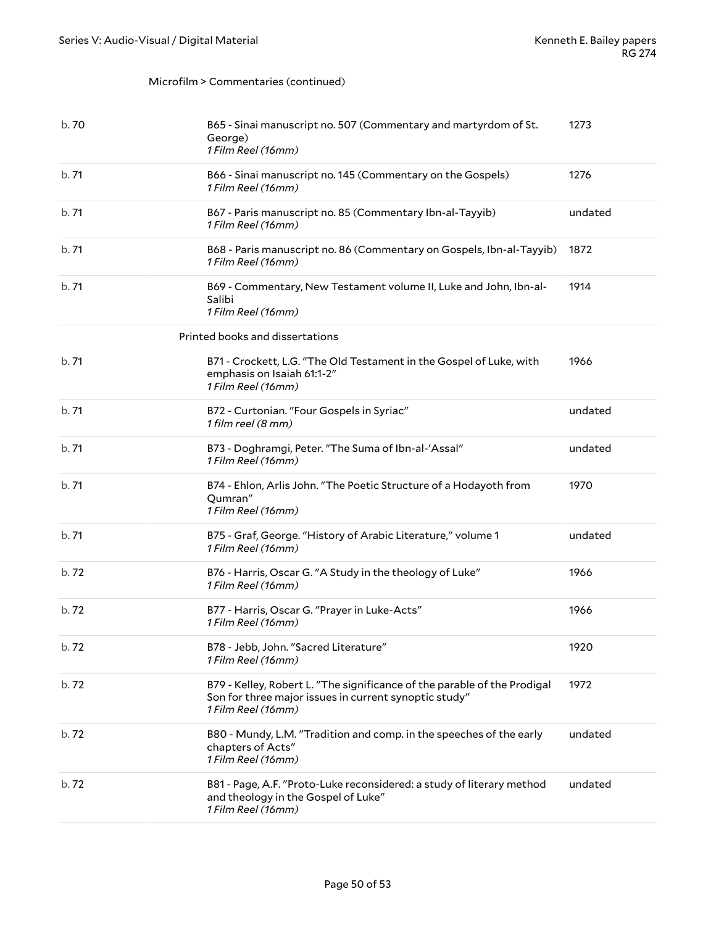#### Microfilm > Commentaries (continued)

| b. 70 | B65 - Sinai manuscript no. 507 (Commentary and martyrdom of St.<br>George)<br>1 Film Reel (16mm)                                                        | 1273    |
|-------|---------------------------------------------------------------------------------------------------------------------------------------------------------|---------|
| b.71  | B66 - Sinai manuscript no. 145 (Commentary on the Gospels)<br>1 Film Reel (16mm)                                                                        | 1276    |
| b.71  | B67 - Paris manuscript no. 85 (Commentary Ibn-al-Tayyib)<br>1 Film Reel (16mm)                                                                          | undated |
| b.71  | B68 - Paris manuscript no. 86 (Commentary on Gospels, Ibn-al-Tayyib)<br>1 Film Reel (16mm)                                                              | 1872    |
| b.71  | B69 - Commentary, New Testament volume II, Luke and John, Ibn-al-<br>Salibi<br>1 Film Reel (16mm)                                                       | 1914    |
|       | Printed books and dissertations                                                                                                                         |         |
| b.71  | B71 - Crockett, L.G. "The Old Testament in the Gospel of Luke, with<br>emphasis on Isaiah 61:1-2"<br>1 Film Reel (16mm)                                 | 1966    |
| b.71  | B72 - Curtonian. "Four Gospels in Syriac"<br>1 film reel (8 mm)                                                                                         | undated |
| b.71  | B73 - Doghramgi, Peter. "The Suma of Ibn-al-'Assal"<br>1 Film Reel (16mm)                                                                               | undated |
| b.71  | B74 - Ehlon, Arlis John. "The Poetic Structure of a Hodayoth from<br>Qumran"<br>1 Film Reel (16mm)                                                      | 1970    |
| b.71  | B75 - Graf, George. "History of Arabic Literature," volume 1<br>1 Film Reel (16mm)                                                                      | undated |
| b.72  | B76 - Harris, Oscar G. "A Study in the theology of Luke"<br>1 Film Reel (16mm)                                                                          | 1966    |
| b.72  | B77 - Harris, Oscar G. "Prayer in Luke-Acts"<br>1 Film Reel (16mm)                                                                                      | 1966    |
| b. 72 | B78 - Jebb, John. "Sacred Literature"<br>1 Film Reel (16mm)                                                                                             | 1920    |
| b.72  | B79 - Kelley, Robert L. "The significance of the parable of the Prodigal<br>Son for three major issues in current synoptic study"<br>1 Film Reel (16mm) | 1972    |
| b.72  | B80 - Mundy, L.M. "Tradition and comp. in the speeches of the early<br>chapters of Acts"<br>1 Film Reel (16mm)                                          | undated |
| b.72  | B81 - Page, A.F. "Proto-Luke reconsidered: a study of literary method<br>and theology in the Gospel of Luke"<br>1 Film Reel (16mm)                      | undated |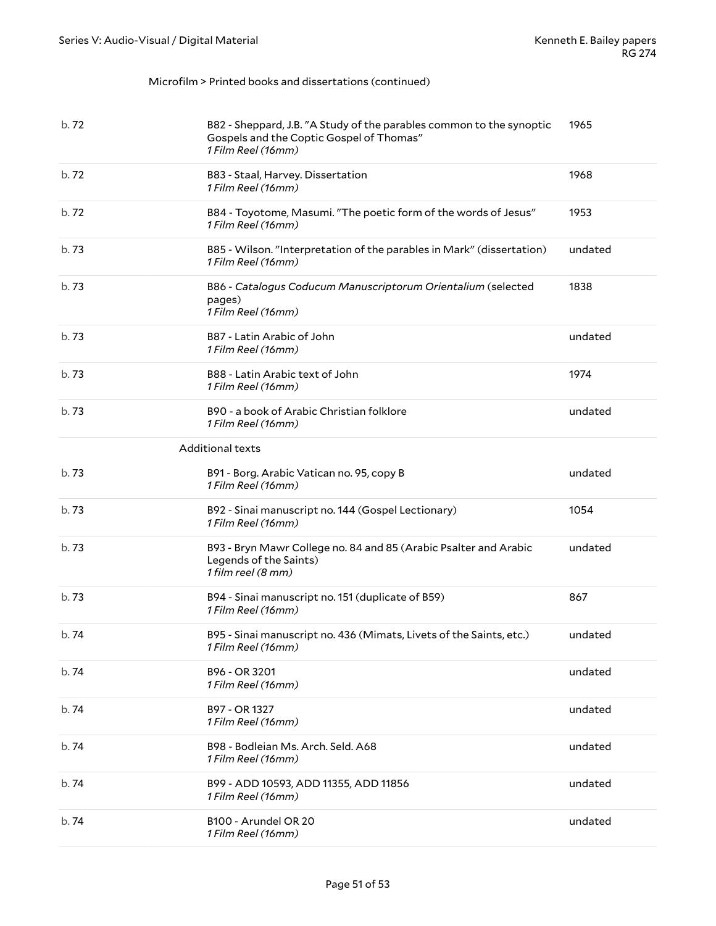#### Microfilm > Printed books and dissertations (continued)

| b.72  | B82 - Sheppard, J.B. "A Study of the parables common to the synoptic<br>Gospels and the Coptic Gospel of Thomas"<br>1 Film Reel (16mm) | 1965    |
|-------|----------------------------------------------------------------------------------------------------------------------------------------|---------|
| b.72  | B83 - Staal, Harvey. Dissertation<br>1 Film Reel (16mm)                                                                                | 1968    |
| b.72  | B84 - Toyotome, Masumi. "The poetic form of the words of Jesus"<br>1 Film Reel (16mm)                                                  | 1953    |
| b.73  | B85 - Wilson. "Interpretation of the parables in Mark" (dissertation)<br>1 Film Reel (16mm)                                            | undated |
| b.73  | B86 - Catalogus Coducum Manuscriptorum Orientalium (selected<br>pages)<br>1 Film Reel (16mm)                                           | 1838    |
| b.73  | B87 - Latin Arabic of John<br>1 Film Reel (16mm)                                                                                       | undated |
| b.73  | B88 - Latin Arabic text of John<br>1 Film Reel (16mm)                                                                                  | 1974    |
| b.73  | B90 - a book of Arabic Christian folklore<br>1 Film Reel (16mm)                                                                        | undated |
|       | <b>Additional texts</b>                                                                                                                |         |
| b.73  | B91 - Borg. Arabic Vatican no. 95, copy B<br>1 Film Reel (16mm)                                                                        | undated |
| b.73  | B92 - Sinai manuscript no. 144 (Gospel Lectionary)<br>1 Film Reel (16mm)                                                               | 1054    |
| b.73  | B93 - Bryn Mawr College no. 84 and 85 (Arabic Psalter and Arabic<br>Legends of the Saints)<br>1 film reel (8 mm)                       | undated |
| b.73  | B94 - Sinai manuscript no. 151 (duplicate of B59)<br>1 Film Reel (16mm)                                                                | 867     |
| b.74  | B95 - Sinai manuscript no. 436 (Mimats, Livets of the Saints, etc.)<br>1 Film Reel (16mm)                                              | undated |
| b.74  | B96 - OR 3201<br>1 Film Reel (16mm)                                                                                                    | undated |
| b. 74 | B97 - OR 1327<br>1 Film Reel (16mm)                                                                                                    | undated |
| b.74  | B98 - Bodleian Ms. Arch. Seld. A68<br>1 Film Reel (16mm)                                                                               | undated |
| b. 74 | B99 - ADD 10593, ADD 11355, ADD 11856<br>1 Film Reel (16mm)                                                                            | undated |
| b.74  | B100 - Arundel OR 20<br>1 Film Reel (16mm)                                                                                             | undated |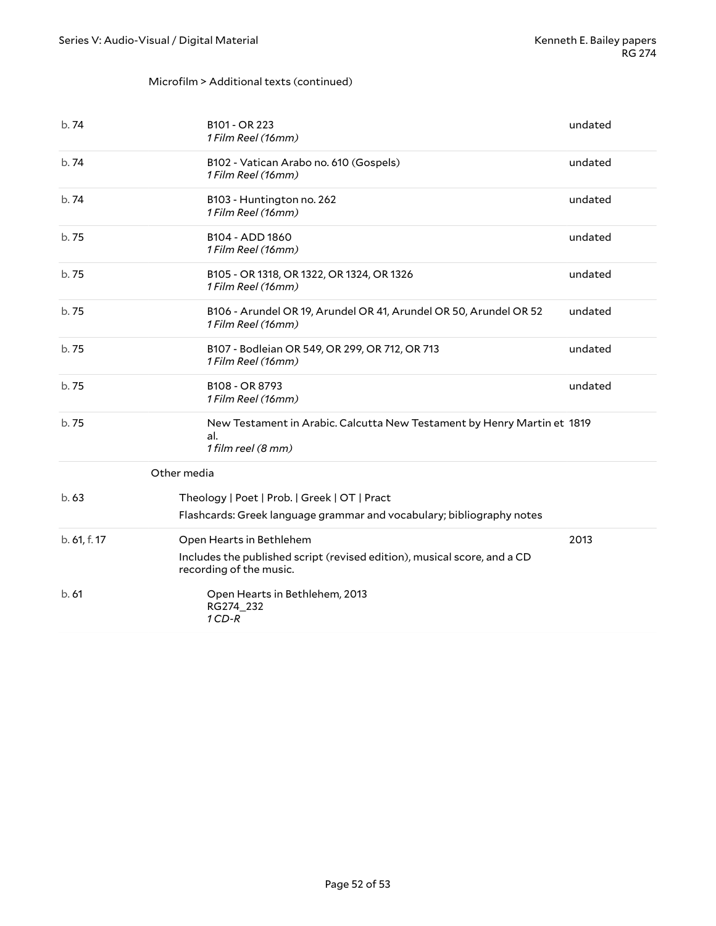#### Microfilm > Additional texts (continued)

<span id="page-51-0"></span>

| b.74         | B101 - OR 223<br>1 Film Reel (16mm)                                                                                             | undated |
|--------------|---------------------------------------------------------------------------------------------------------------------------------|---------|
| b.74         | B102 - Vatican Arabo no. 610 (Gospels)<br>1 Film Reel (16mm)                                                                    | undated |
| b.74         | B103 - Huntington no. 262<br>1 Film Reel (16mm)                                                                                 | undated |
| b.75         | B104 - ADD 1860<br>1 Film Reel (16mm)                                                                                           | undated |
| b.75         | B105 - OR 1318, OR 1322, OR 1324, OR 1326<br>1 Film Reel (16mm)                                                                 | undated |
| b.75         | B106 - Arundel OR 19, Arundel OR 41, Arundel OR 50, Arundel OR 52<br>1 Film Reel (16mm)                                         | undated |
| b.75         | B107 - Bodleian OR 549, OR 299, OR 712, OR 713<br>1 Film Reel (16mm)                                                            | undated |
| b. 75        | B108 - OR 8793<br>1 Film Reel (16mm)                                                                                            | undated |
| b.75         | New Testament in Arabic. Calcutta New Testament by Henry Martin et 1819<br>al.<br>1 film reel (8 mm)                            |         |
| Other media  |                                                                                                                                 |         |
| b.63         | Theology   Poet   Prob.   Greek   OT   Pract<br>Flashcards: Greek language grammar and vocabulary; bibliography notes           |         |
| b. 61, f. 17 | Open Hearts in Bethlehem<br>Includes the published script (revised edition), musical score, and a CD<br>recording of the music. | 2013    |
| b.61         | Open Hearts in Bethlehem, 2013<br>RG274_232<br>$1$ CD-R                                                                         |         |